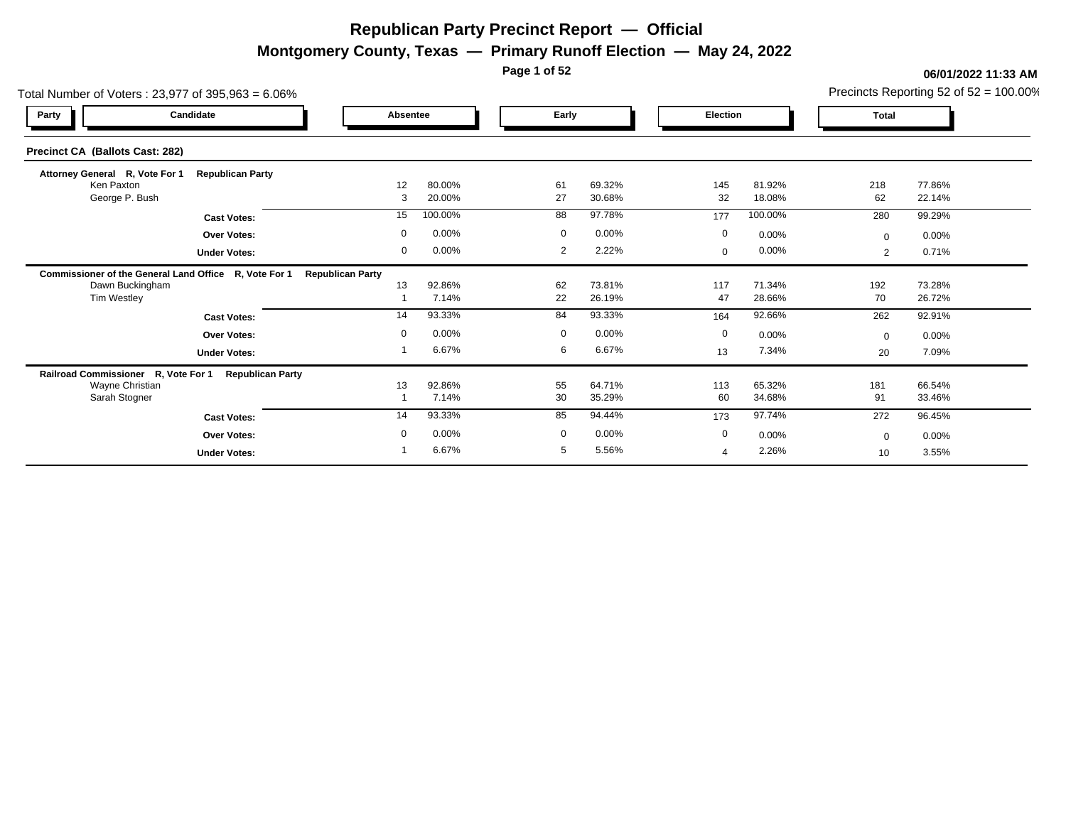**Montgomery County, Texas — Primary Runoff Election — May 24, 2022**

**Page 1 of 52**

| Total Number of Voters: 23,977 of 395,963 = 6.06%     |                         |                         |                  |             |                  |              |                  |                | Precincts Reporting 52 of $52 = 100.00\%$ |
|-------------------------------------------------------|-------------------------|-------------------------|------------------|-------------|------------------|--------------|------------------|----------------|-------------------------------------------|
| Party                                                 | Candidate               | Absentee                |                  | Early       |                  | Election     |                  | <b>Total</b>   |                                           |
| Precinct CA (Ballots Cast: 282)                       |                         |                         |                  |             |                  |              |                  |                |                                           |
| Attorney General R, Vote For 1                        | <b>Republican Party</b> |                         |                  |             |                  |              |                  |                |                                           |
| Ken Paxton<br>George P. Bush                          |                         | 12<br>3                 | 80.00%<br>20.00% | 61<br>27    | 69.32%<br>30.68% | 145<br>32    | 81.92%<br>18.08% | 218<br>62      | 77.86%<br>22.14%                          |
|                                                       | <b>Cast Votes:</b>      | 15                      | 100.00%          | 88          | 97.78%           | 177          | 100.00%          | 280            | 99.29%                                    |
|                                                       | <b>Over Votes:</b>      | $\mathbf 0$             | 0.00%            | $\mathbf 0$ | 0.00%            | $\mathbf 0$  | 0.00%            | $\mathbf{0}$   | 0.00%                                     |
|                                                       | <b>Under Votes:</b>     | 0                       | 0.00%            | 2           | 2.22%            | $\mathbf{0}$ | $0.00\%$         | $\overline{2}$ | 0.71%                                     |
| Commissioner of the General Land Office R, Vote For 1 |                         | <b>Republican Party</b> |                  |             |                  |              |                  |                |                                           |
| Dawn Buckingham                                       |                         | 13                      | 92.86%<br>7.14%  | 62<br>22    | 73.81%<br>26.19% | 117<br>47    | 71.34%<br>28.66% | 192<br>70      | 73.28%<br>26.72%                          |
| Tim Westley                                           |                         |                         |                  |             |                  |              |                  |                |                                           |
|                                                       | <b>Cast Votes:</b>      | 14                      | 93.33%           | 84          | 93.33%           | 164          | 92.66%           | 262            | 92.91%                                    |
|                                                       | <b>Over Votes:</b>      | $\mathbf 0$             | 0.00%            | $\mathbf 0$ | 0.00%            | 0            | 0.00%            | $\Omega$       | 0.00%                                     |
|                                                       | <b>Under Votes:</b>     |                         | 6.67%            | 6           | 6.67%            | 13           | 7.34%            | 20             | 7.09%                                     |
| Railroad Commissioner R, Vote For 1                   | <b>Republican Party</b> |                         |                  |             |                  |              |                  |                |                                           |
| Wayne Christian<br>Sarah Stogner                      |                         | 13                      | 92.86%<br>7.14%  | 55<br>30    | 64.71%<br>35.29% | 113<br>60    | 65.32%<br>34.68% | 181<br>91      | 66.54%<br>33.46%                          |
|                                                       |                         |                         |                  |             |                  |              |                  |                |                                           |
|                                                       | <b>Cast Votes:</b>      | 14                      | 93.33%           | 85          | 94.44%           | 173          | 97.74%           | 272            | 96.45%                                    |
|                                                       | Over Votes:             | $\mathbf 0$             | 0.00%            | $\mathbf 0$ | 0.00%            | $\mathbf 0$  | 0.00%            | $\Omega$       | 0.00%                                     |
|                                                       | <b>Under Votes:</b>     |                         | 6.67%            | 5           | 5.56%            | 4            | 2.26%            | 10             | 3.55%                                     |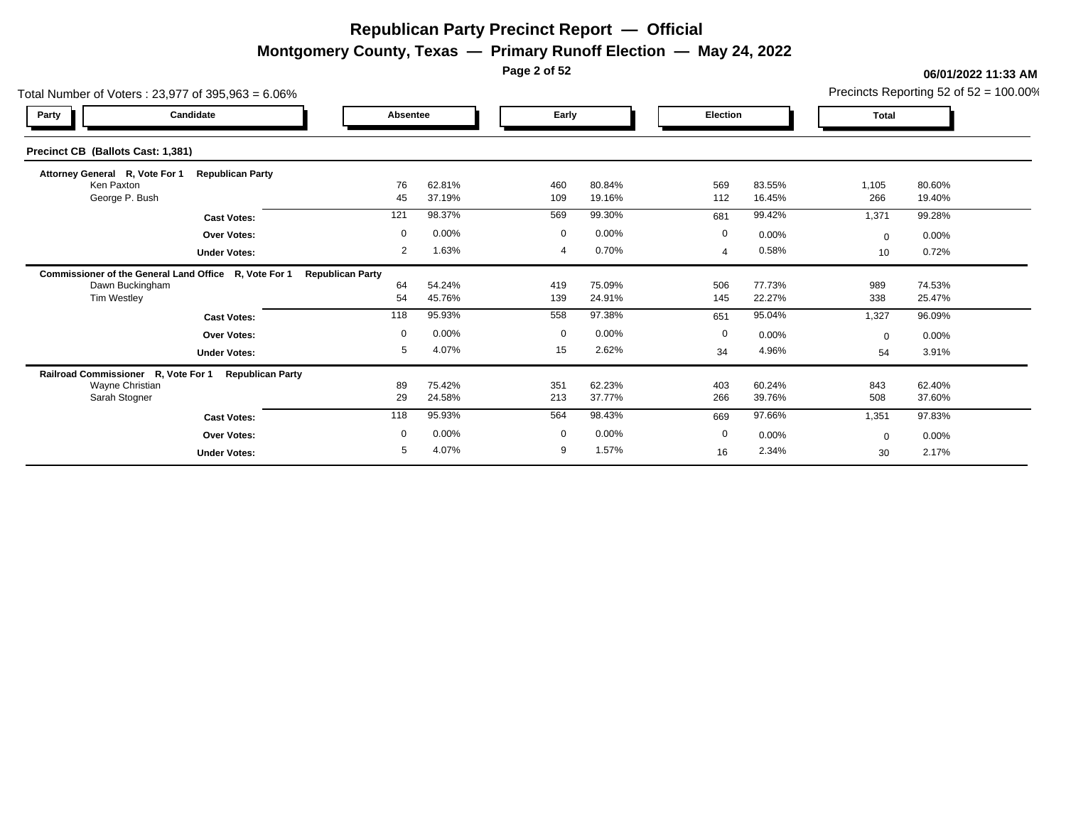**Montgomery County, Texas — Primary Runoff Election — May 24, 2022**

**Page 2 of 52**

| Total Number of Voters: 23,977 of 395,963 = 6.06%     |                         |                         |                  |             |                  |                 |                  |              | Precincts Reporting 52 of $52 = 100.00\%$ |
|-------------------------------------------------------|-------------------------|-------------------------|------------------|-------------|------------------|-----------------|------------------|--------------|-------------------------------------------|
| Party                                                 | Candidate               | Absentee                |                  | Early       |                  | <b>Election</b> |                  | <b>Total</b> |                                           |
| Precinct CB (Ballots Cast: 1,381)                     |                         |                         |                  |             |                  |                 |                  |              |                                           |
| Attorney General R, Vote For 1                        | <b>Republican Party</b> |                         |                  |             |                  |                 |                  |              |                                           |
| Ken Paxton<br>George P. Bush                          |                         | 76<br>45                | 62.81%<br>37.19% | 460<br>109  | 80.84%<br>19.16% | 569<br>112      | 83.55%<br>16.45% | 1,105<br>266 | 80.60%<br>19.40%                          |
|                                                       | <b>Cast Votes:</b>      | 121                     | 98.37%           | 569         | 99.30%           | 681             | 99.42%           | 1,371        | 99.28%                                    |
|                                                       | <b>Over Votes:</b>      | $\mathbf 0$             | 0.00%            | $\mathbf 0$ | 0.00%            | $\mathbf 0$     | 0.00%            | $\Omega$     | 0.00%                                     |
|                                                       | <b>Under Votes:</b>     | 2                       | 1.63%            |             | 0.70%            | $\overline{a}$  | 0.58%            | 10           | 0.72%                                     |
| Commissioner of the General Land Office R, Vote For 1 |                         | <b>Republican Party</b> |                  |             |                  |                 |                  |              |                                           |
| Dawn Buckingham<br>Tim Westley                        |                         | 64<br>54                | 54.24%<br>45.76% | 419<br>139  | 75.09%<br>24.91% | 506<br>145      | 77.73%<br>22.27% | 989<br>338   | 74.53%<br>25.47%                          |
|                                                       | <b>Cast Votes:</b>      | 118                     | 95.93%           | 558         | 97.38%           | 651             | 95.04%           | 1,327        | 96.09%                                    |
|                                                       | <b>Over Votes:</b>      | $\mathbf 0$             | 0.00%            | $\mathbf 0$ | 0.00%            | $\mathbf 0$     | 0.00%            | $\Omega$     | $0.00\%$                                  |
|                                                       | <b>Under Votes:</b>     | 5                       | 4.07%            | 15          | 2.62%            | 34              | 4.96%            | 54           | 3.91%                                     |
| Railroad Commissioner R, Vote For 1                   | <b>Republican Party</b> |                         |                  |             |                  |                 |                  |              |                                           |
| Wayne Christian<br>Sarah Stogner                      |                         | 89<br>29                | 75.42%<br>24.58% | 351<br>213  | 62.23%<br>37.77% | 403<br>266      | 60.24%<br>39.76% | 843<br>508   | 62.40%<br>37.60%                          |
|                                                       | <b>Cast Votes:</b>      | 118                     | 95.93%           | 564         | 98.43%           | 669             | 97.66%           | 1,351        | 97.83%                                    |
|                                                       | <b>Over Votes:</b>      | $\mathbf 0$             | 0.00%            | $\mathbf 0$ | 0.00%            | $\mathbf 0$     | $0.00\%$         | $\Omega$     | 0.00%                                     |
|                                                       | <b>Under Votes:</b>     | 5                       | 4.07%            | 9           | 1.57%            | 16              | 2.34%            | 30           | 2.17%                                     |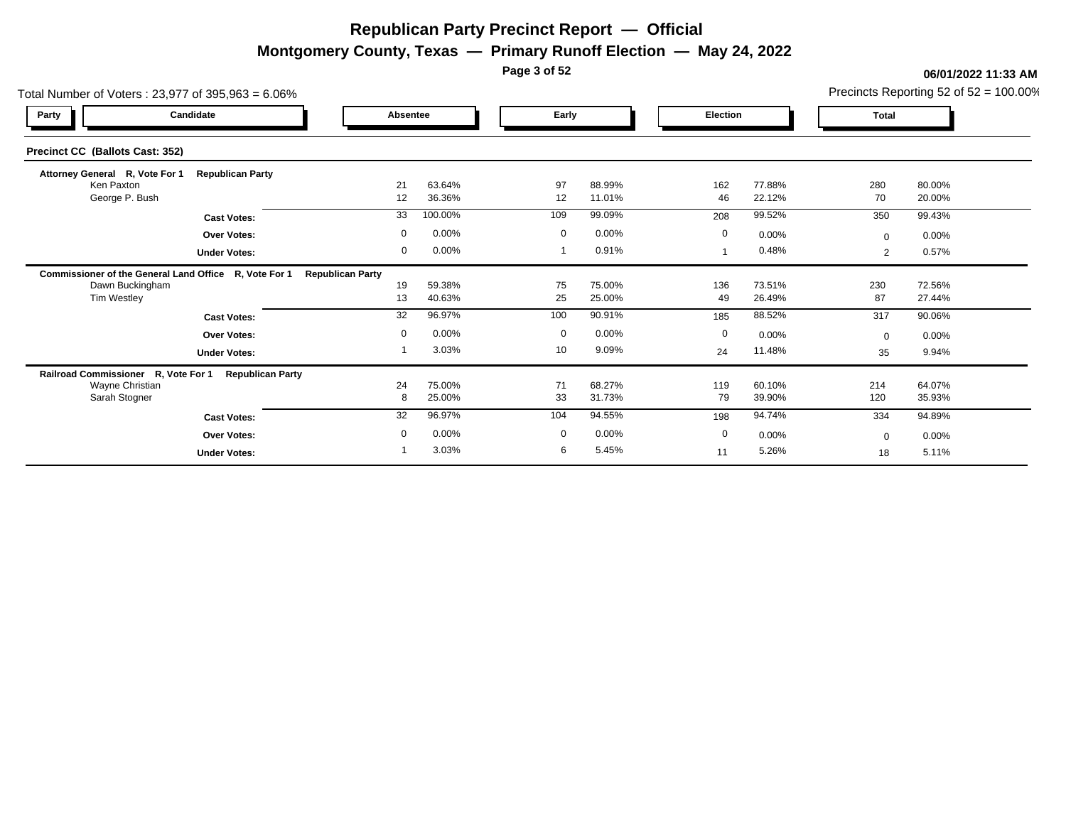**Montgomery County, Texas — Primary Runoff Election — May 24, 2022**

**Page 3 of 52**

| Total Number of Voters: 23,977 of 395,963 = 6.06% |                                                       |                         |                  |             |                  |             |                  |                | Precincts Reporting 52 of $52 = 100.00\%$ |
|---------------------------------------------------|-------------------------------------------------------|-------------------------|------------------|-------------|------------------|-------------|------------------|----------------|-------------------------------------------|
| Party                                             | Candidate                                             | Absentee                |                  | Early       |                  | Election    |                  | <b>Total</b>   |                                           |
| Precinct CC (Ballots Cast: 352)                   |                                                       |                         |                  |             |                  |             |                  |                |                                           |
| Attorney General R, Vote For 1                    | <b>Republican Party</b>                               |                         |                  |             |                  |             |                  |                |                                           |
| Ken Paxton<br>George P. Bush                      |                                                       | 21<br>12                | 63.64%<br>36.36% | 97<br>12    | 88.99%<br>11.01% | 162<br>46   | 77.88%<br>22.12% | 280<br>70      | 80.00%<br>20.00%                          |
|                                                   | <b>Cast Votes:</b>                                    | 33                      | 100.00%          | 109         | 99.09%           | 208         | 99.52%           | 350            | 99.43%                                    |
|                                                   | <b>Over Votes:</b>                                    | $\mathbf 0$             | 0.00%            | $\mathbf 0$ | 0.00%            | $\mathbf 0$ | 0.00%            | $\Omega$       | 0.00%                                     |
|                                                   | <b>Under Votes:</b>                                   | $\mathbf 0$             | 0.00%            |             | 0.91%            |             | 0.48%            | $\overline{2}$ | 0.57%                                     |
|                                                   | Commissioner of the General Land Office R, Vote For 1 | <b>Republican Party</b> |                  |             |                  |             |                  |                |                                           |
| Dawn Buckingham                                   |                                                       | 19                      | 59.38%           | 75          | 75.00%           | 136         | 73.51%           | 230            | 72.56%                                    |
| Tim Westley                                       |                                                       | 13                      | 40.63%           | 25          | 25.00%           | 49          | 26.49%           | 87             | 27.44%                                    |
|                                                   | <b>Cast Votes:</b>                                    | 32                      | 96.97%           | 100         | 90.91%           | 185         | 88.52%           | 317            | 90.06%                                    |
|                                                   | <b>Over Votes:</b>                                    | $\mathbf 0$             | 0.00%            | $\mathbf 0$ | 0.00%            | $\mathbf 0$ | 0.00%            | $\Omega$       | 0.00%                                     |
|                                                   | <b>Under Votes:</b>                                   |                         | 3.03%            | 10          | 9.09%            | 24          | 11.48%           | 35             | 9.94%                                     |
| Railroad Commissioner R, Vote For 1               | <b>Republican Party</b>                               |                         |                  |             |                  |             |                  |                |                                           |
| Wayne Christian<br>Sarah Stogner                  |                                                       | 24<br>8                 | 75.00%<br>25.00% | 71<br>33    | 68.27%<br>31.73% | 119<br>79   | 60.10%<br>39.90% | 214<br>120     | 64.07%<br>35.93%                          |
|                                                   |                                                       | 32                      | 96.97%           | 104         | 94.55%           |             | 94.74%           |                |                                           |
|                                                   | <b>Cast Votes:</b>                                    |                         |                  |             |                  | 198         |                  | 334            | 94.89%                                    |
|                                                   | <b>Over Votes:</b>                                    | $\mathbf 0$             | 0.00%            | $\mathbf 0$ | 0.00%            | $\mathbf 0$ | $0.00\%$         | $\Omega$       | 0.00%                                     |
|                                                   | <b>Under Votes:</b>                                   |                         | 3.03%            | 6           | 5.45%            | 11          | 5.26%            | 18             | 5.11%                                     |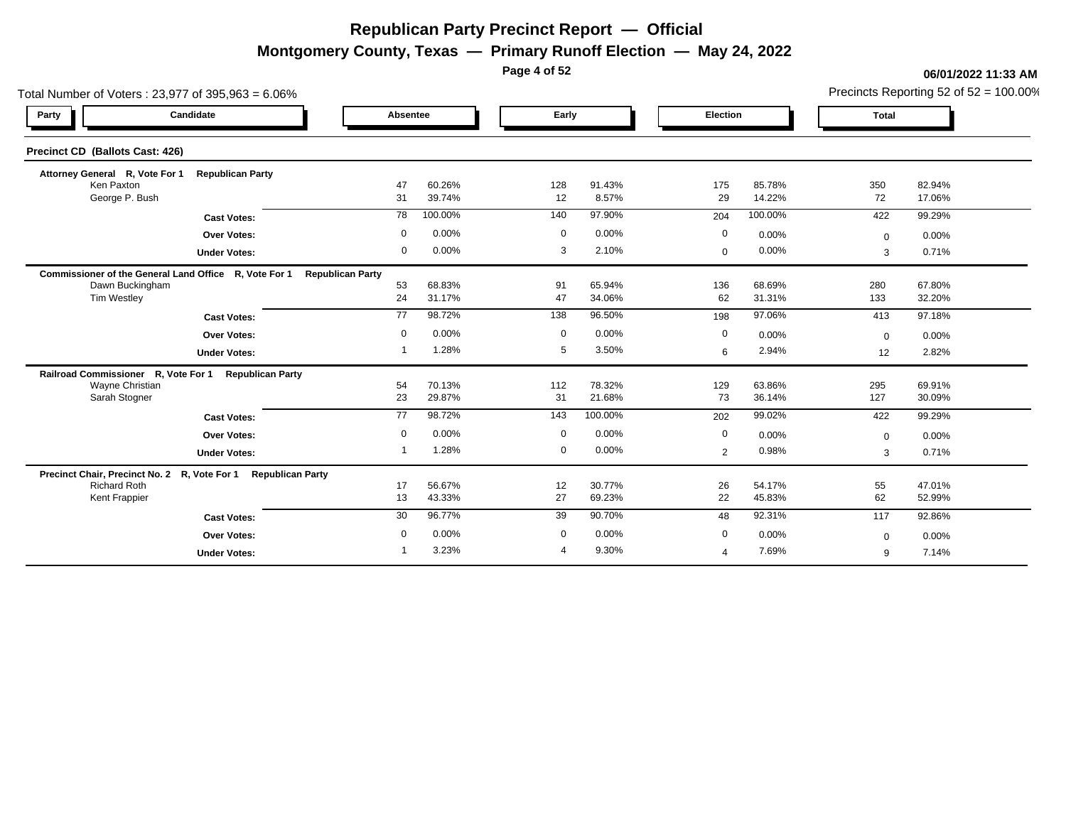**Montgomery County, Texas — Primary Runoff Election — May 24, 2022**

**Page 4 of 52**

#### **06/01/2022 11:33 AM**

Precincts Reporting 52 of 52 = 100.00%

| Total Number of Voters: 23,977 of 395,963 = 6.06%             |                         |                  |             |                 |                |                  |              | Precincts Reporting 52 of $52 = 100.00\%$ |
|---------------------------------------------------------------|-------------------------|------------------|-------------|-----------------|----------------|------------------|--------------|-------------------------------------------|
| Candidate<br>Party                                            | Absentee                |                  | Early       |                 | Election       |                  | <b>Total</b> |                                           |
| Precinct CD (Ballots Cast: 426)                               |                         |                  |             |                 |                |                  |              |                                           |
| Attorney General R, Vote For 1<br><b>Republican Party</b>     |                         |                  |             |                 |                |                  |              |                                           |
| Ken Paxton<br>George P. Bush                                  | 47<br>31                | 60.26%<br>39.74% | 128<br>12   | 91.43%<br>8.57% | 175<br>29      | 85.78%<br>14.22% | 350<br>72    | 82.94%<br>17.06%                          |
|                                                               | 78                      | 100.00%          | 140         | 97.90%          | 204            | 100.00%          | 422          | 99.29%                                    |
| <b>Cast Votes:</b>                                            |                         |                  |             |                 |                |                  |              |                                           |
| <b>Over Votes:</b>                                            | 0                       | 0.00%            | $\mathbf 0$ | 0.00%           | 0              | 0.00%            | $\mathbf 0$  | 0.00%                                     |
| <b>Under Votes:</b>                                           | 0                       | 0.00%            | 3           | 2.10%           | $\mathbf 0$    | 0.00%            | 3            | 0.71%                                     |
| Commissioner of the General Land Office R, Vote For 1         | <b>Republican Party</b> |                  |             |                 |                |                  |              |                                           |
| Dawn Buckingham                                               | 53                      | 68.83%           | 91          | 65.94%          | 136            | 68.69%           | 280          | 67.80%                                    |
| <b>Tim Westley</b>                                            | 24                      | 31.17%           | 47          | 34.06%          | 62             | 31.31%           | 133          | 32.20%                                    |
| <b>Cast Votes:</b>                                            | 77                      | 98.72%           | 138         | 96.50%          | 198            | 97.06%           | 413          | 97.18%                                    |
| <b>Over Votes:</b>                                            | 0                       | 0.00%            | 0           | 0.00%           | 0              | 0.00%            | $\mathbf 0$  | 0.00%                                     |
| <b>Under Votes:</b>                                           | 1                       | 1.28%            | 5           | 3.50%           | 6              | 2.94%            | 12           | 2.82%                                     |
| Railroad Commissioner R, Vote For 1 Republican Party          |                         |                  |             |                 |                |                  |              |                                           |
| Wayne Christian                                               | 54                      | 70.13%           | 112         | 78.32%          | 129            | 63.86%           | 295          | 69.91%                                    |
| Sarah Stogner                                                 | 23                      | 29.87%           | 31          | 21.68%          | 73             | 36.14%           | 127          | 30.09%                                    |
| <b>Cast Votes:</b>                                            | $\overline{77}$         | 98.72%           | 143         | 100.00%         | 202            | 99.02%           | 422          | 99.29%                                    |
| <b>Over Votes:</b>                                            | $\mathbf 0$             | 0.00%            | $\mathbf 0$ | 0.00%           | $\mathbf 0$    | 0.00%            | $\mathbf 0$  | 0.00%                                     |
| <b>Under Votes:</b>                                           |                         | 1.28%            | $\mathbf 0$ | 0.00%           | 2              | 0.98%            | 3            | 0.71%                                     |
| Precinct Chair, Precinct No. 2 R, Vote For 1 Republican Party |                         |                  |             |                 |                |                  |              |                                           |
| <b>Richard Roth</b>                                           | 17                      | 56.67%           | 12          | 30.77%          | 26             | 54.17%           | 55           | 47.01%                                    |
| <b>Kent Frappier</b>                                          | 13                      | 43.33%           | 27          | 69.23%          | 22             | 45.83%           | 62           | 52.99%                                    |
| <b>Cast Votes:</b>                                            | 30                      | 96.77%           | 39          | 90.70%          | 48             | 92.31%           | 117          | 92.86%                                    |
| <b>Over Votes:</b>                                            | 0                       | 0.00%            | 0           | 0.00%           | $\mathbf 0$    | 0.00%            | $\mathbf 0$  | 0.00%                                     |
| <b>Under Votes:</b>                                           |                         | 3.23%            | 4           | 9.30%           | $\overline{4}$ | 7.69%            | 9            | 7.14%                                     |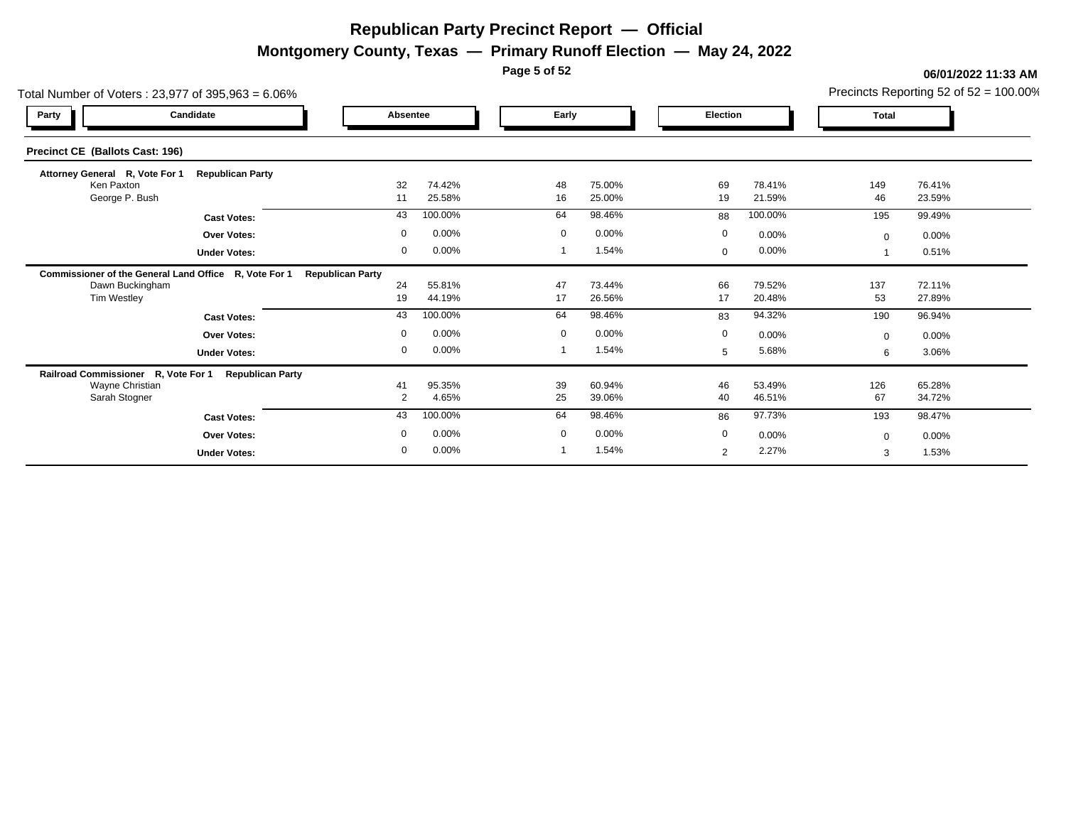**Montgomery County, Texas — Primary Runoff Election — May 24, 2022**

**Page 5 of 52**

| Total Number of Voters: 23,977 of 395,963 = 6.06%     |                         |                         |                  |             |                  |             |                  |              | Precincts Reporting 52 of $52 = 100.00\%$ |
|-------------------------------------------------------|-------------------------|-------------------------|------------------|-------------|------------------|-------------|------------------|--------------|-------------------------------------------|
| Party                                                 | Candidate               | Absentee                |                  | Early       |                  | Election    |                  | <b>Total</b> |                                           |
| Precinct CE (Ballots Cast: 196)                       |                         |                         |                  |             |                  |             |                  |              |                                           |
| Attorney General R, Vote For 1                        | <b>Republican Party</b> |                         |                  |             |                  |             |                  |              |                                           |
| Ken Paxton<br>George P. Bush                          |                         | 32<br>11                | 74.42%<br>25.58% | 48<br>16    | 75.00%<br>25.00% | 69<br>19    | 78.41%<br>21.59% | 149<br>46    | 76.41%<br>23.59%                          |
|                                                       | <b>Cast Votes:</b>      | 43                      | 100.00%          | 64          | 98.46%           | 88          | 100.00%          | 195          | 99.49%                                    |
|                                                       | <b>Over Votes:</b>      | $\mathbf 0$             | 0.00%            | $\mathbf 0$ | 0.00%            | $\mathbf 0$ | 0.00%            | $\Omega$     | 0.00%                                     |
|                                                       | <b>Under Votes:</b>     | $\mathbf 0$             | 0.00%            |             | 1.54%            | $\mathbf 0$ | $0.00\%$         |              | 0.51%                                     |
| Commissioner of the General Land Office R, Vote For 1 |                         | <b>Republican Party</b> |                  |             |                  |             |                  |              |                                           |
| Dawn Buckingham                                       |                         | 24                      | 55.81%           | 47          | 73.44%           | 66          | 79.52%           | 137          | 72.11%                                    |
| Tim Westley                                           |                         | 19                      | 44.19%           | 17          | 26.56%           | 17          | 20.48%           | 53           | 27.89%                                    |
|                                                       | <b>Cast Votes:</b>      | 43                      | 100.00%          | 64          | 98.46%           | 83          | 94.32%           | 190          | 96.94%                                    |
|                                                       | <b>Over Votes:</b>      | $\mathbf 0$             | 0.00%            | $\mathbf 0$ | 0.00%            | $\mathbf 0$ | 0.00%            | $\Omega$     | $0.00\%$                                  |
|                                                       | <b>Under Votes:</b>     | 0                       | 0.00%            |             | 1.54%            | 5           | 5.68%            | 6            | 3.06%                                     |
| Railroad Commissioner R, Vote For 1                   | <b>Republican Party</b> |                         |                  |             |                  |             |                  |              |                                           |
| <b>Wayne Christian</b><br>Sarah Stogner               |                         | 41<br>$\overline{2}$    | 95.35%<br>4.65%  | 39<br>25    | 60.94%<br>39.06% | 46<br>40    | 53.49%<br>46.51% | 126<br>67    | 65.28%<br>34.72%                          |
|                                                       |                         |                         |                  |             |                  |             |                  |              |                                           |
|                                                       | <b>Cast Votes:</b>      | 43                      | 100.00%          | 64          | 98.46%           | 86          | 97.73%           | 193          | 98.47%                                    |
|                                                       | <b>Over Votes:</b>      | $\mathbf 0$             | 0.00%            | $\mathbf 0$ | 0.00%            | $\mathbf 0$ | 0.00%            | $\Omega$     | 0.00%                                     |
|                                                       | <b>Under Votes:</b>     | $\mathbf 0$             | 0.00%            |             | 1.54%            | 2           | 2.27%            | 3            | 1.53%                                     |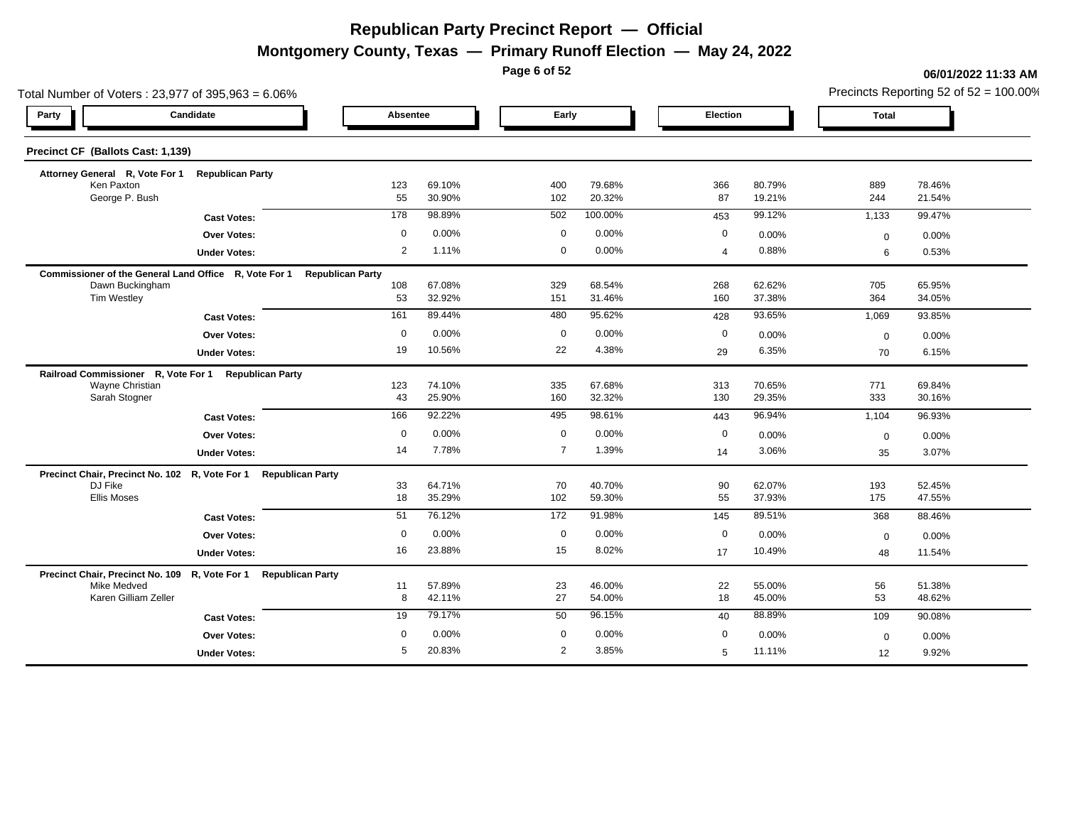**Montgomery County, Texas — Primary Runoff Election — May 24, 2022**

**Page 6 of 52**

| Total Number of Voters: 23,977 of 395,963 = 6.06%               |                                |                         |          |                |         |             |        |              | Precincts Reporting 52 of 52 = 100.00% |
|-----------------------------------------------------------------|--------------------------------|-------------------------|----------|----------------|---------|-------------|--------|--------------|----------------------------------------|
| Party                                                           | Candidate                      |                         | Absentee | Early          |         | Election    |        | <b>Total</b> |                                        |
| Precinct CF (Ballots Cast: 1,139)                               |                                |                         |          |                |         |             |        |              |                                        |
| Attorney General R, Vote For 1 Republican Party                 |                                |                         |          |                |         |             |        |              |                                        |
| Ken Paxton                                                      |                                | 123                     | 69.10%   | 400            | 79.68%  | 366         | 80.79% | 889          | 78.46%                                 |
| George P. Bush                                                  |                                | 55                      | 30.90%   | 102            | 20.32%  | 87          | 19.21% | 244          | 21.54%                                 |
|                                                                 | <b>Cast Votes:</b>             | 178                     | 98.89%   | 502            | 100.00% | 453         | 99.12% | 1,133        | 99.47%                                 |
|                                                                 | Over Votes:                    | $\mathbf 0$             | 0.00%    | $\mathbf 0$    | 0.00%   | $\mathbf 0$ | 0.00%  | $\mathbf 0$  | 0.00%                                  |
|                                                                 | <b>Under Votes:</b>            | 2                       | 1.11%    | $\mathbf 0$    | 0.00%   | 4           | 0.88%  | 6            | 0.53%                                  |
| Commissioner of the General Land Office R, Vote For 1           |                                | <b>Republican Party</b> |          |                |         |             |        |              |                                        |
| Dawn Buckingham                                                 |                                | 108                     | 67.08%   | 329            | 68.54%  | 268         | 62.62% | 705          | 65.95%                                 |
| Tim Westley                                                     |                                | 53                      | 32.92%   | 151            | 31.46%  | 160         | 37.38% | 364          | 34.05%                                 |
|                                                                 | <b>Cast Votes:</b>             | 161                     | 89.44%   | 480            | 95.62%  | 428         | 93.65% | 1,069        | 93.85%                                 |
|                                                                 | <b>Over Votes:</b>             | $\mathbf 0$             | 0.00%    | $\mathbf 0$    | 0.00%   | 0           | 0.00%  | $\mathbf 0$  | 0.00%                                  |
|                                                                 | <b>Under Votes:</b>            | 19                      | 10.56%   | 22             | 4.38%   | 29          | 6.35%  | 70           | 6.15%                                  |
| Railroad Commissioner R, Vote For 1                             | <b>Republican Party</b>        |                         |          |                |         |             |        |              |                                        |
| Wayne Christian                                                 |                                | 123                     | 74.10%   | 335            | 67.68%  | 313         | 70.65% | 771          | 69.84%                                 |
| Sarah Stogner                                                   |                                | 43                      | 25.90%   | 160            | 32.32%  | 130         | 29.35% | 333          | 30.16%                                 |
|                                                                 | <b>Cast Votes:</b>             | 166                     | 92.22%   | 495            | 98.61%  | 443         | 96.94% | 1,104        | 96.93%                                 |
|                                                                 | <b>Over Votes:</b>             | $\mathbf 0$             | 0.00%    | $\mathbf 0$    | 0.00%   | 0           | 0.00%  | $\mathbf 0$  | 0.00%                                  |
|                                                                 | <b>Under Votes:</b>            | 14                      | 7.78%    | $\overline{7}$ | 1.39%   | 14          | 3.06%  | 35           | 3.07%                                  |
| Precinct Chair, Precinct No. 102 R, Vote For 1 Republican Party |                                |                         |          |                |         |             |        |              |                                        |
| DJ Fike                                                         |                                | 33                      | 64.71%   | 70             | 40.70%  | 90          | 62.07% | 193          | 52.45%                                 |
| <b>Ellis Moses</b>                                              |                                | 18                      | 35.29%   | 102            | 59.30%  | 55          | 37.93% | 175          | 47.55%                                 |
|                                                                 | <b>Cast Votes:</b>             | 51                      | 76.12%   | 172            | 91.98%  | 145         | 89.51% | 368          | 88.46%                                 |
|                                                                 | Over Votes:                    | $\mathbf 0$             | 0.00%    | $\mathbf 0$    | 0.00%   | 0           | 0.00%  | $\mathbf 0$  | 0.00%                                  |
|                                                                 | <b>Under Votes:</b>            | 16                      | 23.88%   | 15             | 8.02%   | 17          | 10.49% | 48           | 11.54%                                 |
| Precinct Chair, Precinct No. 109                                | R, Vote For 1 Republican Party |                         |          |                |         |             |        |              |                                        |
| Mike Medved                                                     |                                | 11                      | 57.89%   | 23             | 46.00%  | 22          | 55.00% | 56           | 51.38%                                 |
| Karen Gilliam Zeller                                            |                                | 8                       | 42.11%   | 27             | 54.00%  | 18          | 45.00% | 53           | 48.62%                                 |
|                                                                 | <b>Cast Votes:</b>             | 19                      | 79.17%   | 50             | 96.15%  | 40          | 88.89% | 109          | 90.08%                                 |
|                                                                 | Over Votes:                    | $\mathbf 0$             | 0.00%    | $\mathbf 0$    | 0.00%   | $\mathbf 0$ | 0.00%  | $\mathbf 0$  | 0.00%                                  |
|                                                                 | <b>Under Votes:</b>            | 5                       | 20.83%   | 2              | 3.85%   | 5           | 11.11% | 12           | 9.92%                                  |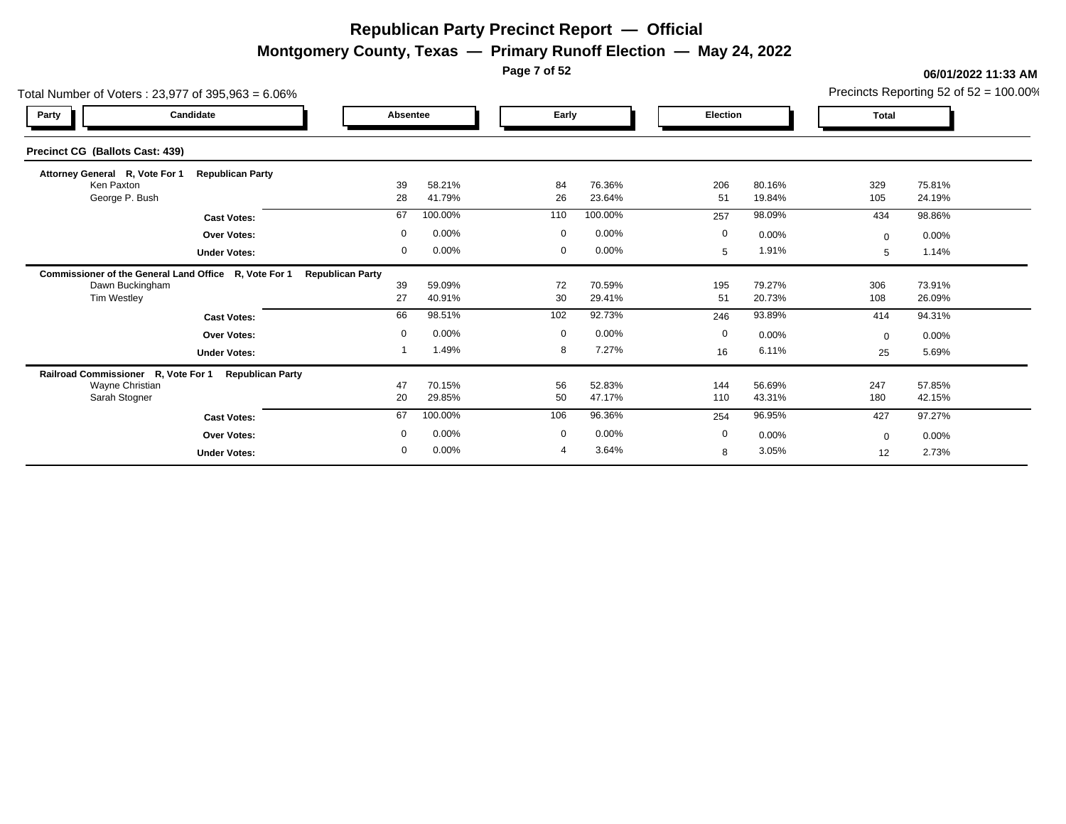**Montgomery County, Texas — Primary Runoff Election — May 24, 2022**

**Page 7 of 52**

| Total Number of Voters: 23,977 of 395,963 = 6.06%     |                         |                         |                  |             |                  |             |                  |            | Precincts Reporting 52 of $52 = 100.00\%$ |
|-------------------------------------------------------|-------------------------|-------------------------|------------------|-------------|------------------|-------------|------------------|------------|-------------------------------------------|
| Party                                                 | Candidate               | Absentee                |                  | Early       |                  | Election    |                  | Total      |                                           |
| Precinct CG (Ballots Cast: 439)                       |                         |                         |                  |             |                  |             |                  |            |                                           |
| Attorney General R, Vote For 1                        | <b>Republican Party</b> |                         |                  |             |                  |             |                  |            |                                           |
| Ken Paxton<br>George P. Bush                          |                         | 39<br>28                | 58.21%<br>41.79% | 84<br>26    | 76.36%<br>23.64% | 206<br>51   | 80.16%<br>19.84% | 329<br>105 | 75.81%<br>24.19%                          |
|                                                       | <b>Cast Votes:</b>      | 67                      | 100.00%          | 110         | 100.00%          | 257         | 98.09%           | 434        | 98.86%                                    |
|                                                       | <b>Over Votes:</b>      | $\mathbf 0$             | 0.00%            | $\mathbf 0$ | 0.00%            | $\mathbf 0$ | $0.00\%$         | $\Omega$   | 0.00%                                     |
|                                                       | <b>Under Votes:</b>     | 0                       | 0.00%            | $\mathbf 0$ | 0.00%            | 5           | 1.91%            | 5          | 1.14%                                     |
| Commissioner of the General Land Office R, Vote For 1 |                         | <b>Republican Party</b> |                  |             |                  |             |                  |            |                                           |
| Dawn Buckingham                                       |                         | 39                      | 59.09%           | 72          | 70.59%           | 195         | 79.27%           | 306        | 73.91%                                    |
| Tim Westley                                           |                         | 27                      | 40.91%           | 30          | 29.41%           | 51          | 20.73%           | 108        | 26.09%                                    |
|                                                       | <b>Cast Votes:</b>      | 66                      | 98.51%           | 102         | 92.73%           | 246         | 93.89%           | 414        | 94.31%                                    |
|                                                       | <b>Over Votes:</b>      | $\mathbf 0$             | 0.00%            | $\mathbf 0$ | 0.00%            | 0           | 0.00%            | $\Omega$   | 0.00%                                     |
|                                                       | <b>Under Votes:</b>     |                         | 1.49%            | 8           | 7.27%            | 16          | 6.11%            | 25         | 5.69%                                     |
| Railroad Commissioner R, Vote For 1                   | <b>Republican Party</b> |                         |                  |             |                  |             |                  |            |                                           |
| Wayne Christian<br>Sarah Stogner                      |                         | 47<br>20                | 70.15%<br>29.85% | 56<br>50    | 52.83%<br>47.17% | 144<br>110  | 56.69%<br>43.31% | 247<br>180 | 57.85%<br>42.15%                          |
|                                                       |                         |                         |                  |             |                  |             |                  |            |                                           |
|                                                       | <b>Cast Votes:</b>      | 67                      | 100.00%          | 106         | 96.36%           | 254         | 96.95%           | 427        | 97.27%                                    |
|                                                       | <b>Over Votes:</b>      | $\mathbf 0$             | 0.00%            | $\mathbf 0$ | 0.00%            | 0           | 0.00%            | $\Omega$   | 0.00%                                     |
|                                                       | <b>Under Votes:</b>     | $\mathbf 0$             | 0.00%            |             | 3.64%            | 8           | 3.05%            | 12         | 2.73%                                     |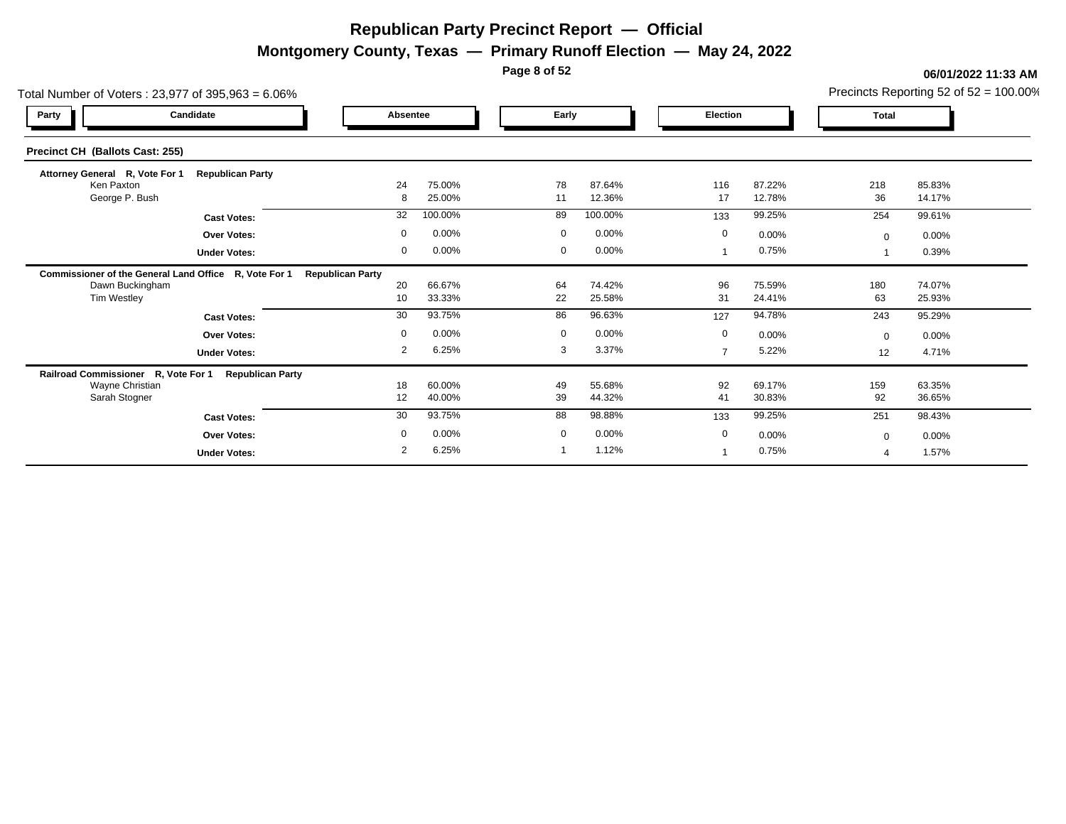**Montgomery County, Texas — Primary Runoff Election — May 24, 2022**

**Page 8 of 52**

| Total Number of Voters: 23,977 of 395,963 = 6.06%     |                         |                         |                  |             |                  |                 |                  |              | Precincts Reporting 52 of $52 = 100.00\%$ |
|-------------------------------------------------------|-------------------------|-------------------------|------------------|-------------|------------------|-----------------|------------------|--------------|-------------------------------------------|
| Party                                                 | Candidate               | Absentee                |                  | Early       |                  | <b>Election</b> |                  | <b>Total</b> |                                           |
| Precinct CH (Ballots Cast: 255)                       |                         |                         |                  |             |                  |                 |                  |              |                                           |
| Attorney General R, Vote For 1                        | <b>Republican Party</b> |                         |                  |             |                  |                 |                  |              |                                           |
| Ken Paxton<br>George P. Bush                          |                         | 24<br>8                 | 75.00%<br>25.00% | 78<br>11    | 87.64%<br>12.36% | 116<br>17       | 87.22%<br>12.78% | 218<br>36    | 85.83%<br>14.17%                          |
|                                                       | <b>Cast Votes:</b>      | 32                      | 100.00%          | 89          | 100.00%          | 133             | 99.25%           | 254          | 99.61%                                    |
|                                                       | <b>Over Votes:</b>      | $\mathbf 0$             | 0.00%            | $\mathbf 0$ | 0.00%            | 0               | $0.00\%$         | $\mathbf{0}$ | 0.00%                                     |
|                                                       | <b>Under Votes:</b>     | $\mathbf{0}$            | 0.00%            | $\mathbf 0$ | 0.00%            |                 | 0.75%            |              | 0.39%                                     |
| Commissioner of the General Land Office R, Vote For 1 |                         | <b>Republican Party</b> |                  |             |                  |                 |                  |              |                                           |
| Dawn Buckingham                                       |                         | 20                      | 66.67%           | 64          | 74.42%           | 96              | 75.59%           | 180          | 74.07%                                    |
| <b>Tim Westley</b>                                    |                         | 10                      | 33.33%           | 22          | 25.58%           | 31              | 24.41%           | 63           | 25.93%                                    |
|                                                       | <b>Cast Votes:</b>      | 30                      | 93.75%           | 86          | 96.63%           | 127             | 94.78%           | 243          | 95.29%                                    |
|                                                       | <b>Over Votes:</b>      | $\mathbf 0$             | 0.00%            | $\mathbf 0$ | 0.00%            | $\mathbf 0$     | 0.00%            | $\Omega$     | 0.00%                                     |
|                                                       | <b>Under Votes:</b>     | $\overline{2}$          | 6.25%            | 3           | 3.37%            | 7               | 5.22%            | 12           | 4.71%                                     |
| Railroad Commissioner R, Vote For 1                   | <b>Republican Party</b> |                         |                  |             |                  |                 |                  |              |                                           |
| Wayne Christian                                       |                         | 18                      | 60.00%           | 49          | 55.68%           | 92              | 69.17%           | 159          | 63.35%                                    |
| Sarah Stogner                                         |                         | 12                      | 40.00%           | 39          | 44.32%           | 41              | 30.83%           | 92           | 36.65%                                    |
|                                                       | <b>Cast Votes:</b>      | 30                      | 93.75%           | 88          | 98.88%           | 133             | 99.25%           | 251          | 98.43%                                    |
|                                                       | <b>Over Votes:</b>      | $\mathbf 0$             | 0.00%            | $\mathbf 0$ | 0.00%            | 0               | 0.00%            | $\Omega$     | 0.00%                                     |
|                                                       | <b>Under Votes:</b>     | 2                       | 6.25%            |             | 1.12%            |                 | 0.75%            |              | 1.57%                                     |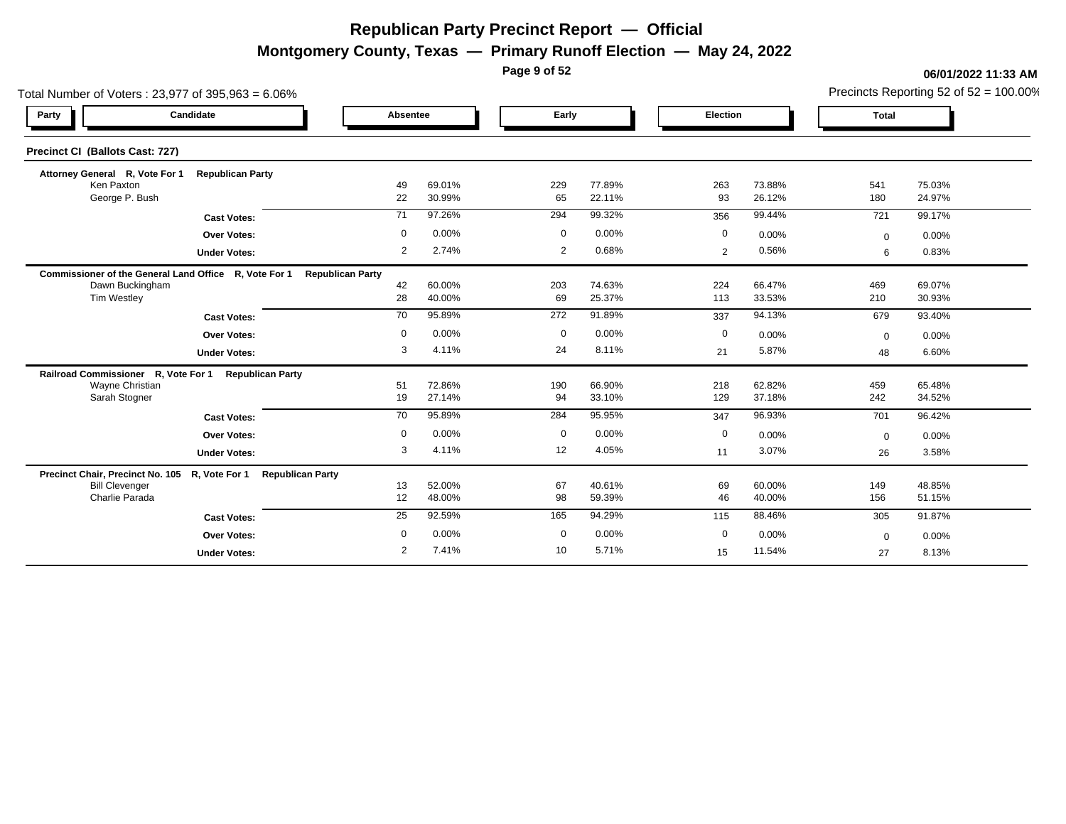**Montgomery County, Texas — Primary Runoff Election — May 24, 2022**

**Page 9 of 52**

#### **06/01/2022 11:33 AM**

Precincts Reporting 52 of 52 = 100.00%

| Total Number of Voters: 23,977 of 395,963 = 6.06%               |                     |                         |                  |              |                  |             |                  |              | Precincts Reporting 52 of $52 = 100.00\%$ |
|-----------------------------------------------------------------|---------------------|-------------------------|------------------|--------------|------------------|-------------|------------------|--------------|-------------------------------------------|
| Candidate<br>Party                                              |                     | Absentee                |                  | Early        |                  | Election    |                  | <b>Total</b> |                                           |
| Precinct CI (Ballots Cast: 727)                                 |                     |                         |                  |              |                  |             |                  |              |                                           |
| Attorney General R, Vote For 1 Republican Party                 |                     |                         |                  |              |                  |             |                  |              |                                           |
| Ken Paxton                                                      |                     | 49                      | 69.01%           | 229          | 77.89%           | 263         | 73.88%           | 541          | 75.03%                                    |
| George P. Bush                                                  |                     | 22                      | 30.99%           | 65           | 22.11%           | 93          | 26.12%           | 180          | 24.97%                                    |
|                                                                 | <b>Cast Votes:</b>  | 71                      | 97.26%           | 294          | 99.32%           | 356         | 99.44%           | 721          | 99.17%                                    |
|                                                                 | <b>Over Votes:</b>  | $\mathbf 0$             | 0.00%            | $\mathbf 0$  | 0.00%            | $\mathbf 0$ | 0.00%            | $\mathbf 0$  | 0.00%                                     |
|                                                                 | <b>Under Votes:</b> | 2                       | 2.74%            | 2            | 0.68%            | 2           | 0.56%            | 6            | 0.83%                                     |
| Commissioner of the General Land Office R, Vote For 1           |                     | <b>Republican Party</b> |                  |              |                  |             |                  |              |                                           |
| Dawn Buckingham<br><b>Tim Westley</b>                           |                     | 42<br>28                | 60.00%<br>40.00% | 203<br>69    | 74.63%<br>25.37% | 224<br>113  | 66.47%<br>33.53% | 469<br>210   | 69.07%<br>30.93%                          |
|                                                                 |                     |                         |                  |              |                  |             |                  |              |                                           |
|                                                                 | <b>Cast Votes:</b>  | 70                      | 95.89%           | 272          | 91.89%           | 337         | 94.13%           | 679          | 93.40%                                    |
|                                                                 | Over Votes:         | $\mathbf 0$             | 0.00%            | $\mathbf 0$  | 0.00%            | $\mathbf 0$ | 0.00%            | $\mathbf 0$  | 0.00%                                     |
|                                                                 | <b>Under Votes:</b> | 3                       | 4.11%            | 24           | 8.11%            | 21          | 5.87%            | 48           | 6.60%                                     |
| Railroad Commissioner R, Vote For 1 Republican Party            |                     |                         |                  |              |                  |             |                  |              |                                           |
| Wayne Christian<br>Sarah Stogner                                |                     | 51<br>19                | 72.86%<br>27.14% | 190<br>94    | 66.90%<br>33.10% | 218<br>129  | 62.82%<br>37.18% | 459<br>242   | 65.48%<br>34.52%                          |
|                                                                 |                     | 70                      | 95.89%           | 284          | 95.95%           |             | 96.93%           |              |                                           |
|                                                                 | <b>Cast Votes:</b>  |                         |                  |              |                  | 347         |                  | 701          | 96.42%                                    |
|                                                                 | Over Votes:         | $\mathbf 0$             | 0.00%            | $\mathbf 0$  | 0.00%            | $\mathbf 0$ | 0.00%            | $\mathbf 0$  | 0.00%                                     |
|                                                                 | <b>Under Votes:</b> | 3                       | 4.11%            | 12           | 4.05%            | 11          | 3.07%            | 26           | 3.58%                                     |
| Precinct Chair, Precinct No. 105 R, Vote For 1 Republican Party |                     |                         |                  |              |                  |             |                  |              |                                           |
| <b>Bill Clevenger</b><br>Charlie Parada                         |                     | 13<br>12                | 52.00%<br>48.00% | 67<br>98     | 40.61%<br>59.39% | 69<br>46    | 60.00%<br>40.00% | 149<br>156   | 48.85%<br>51.15%                          |
|                                                                 |                     |                         |                  |              |                  |             |                  |              |                                           |
|                                                                 | <b>Cast Votes:</b>  | 25                      | 92.59%           | 165          | 94.29%           | 115         | 88.46%           | 305          | 91.87%                                    |
|                                                                 | Over Votes:         | $\mathbf 0$             | 0.00%            | $\mathbf{0}$ | 0.00%            | $\mathbf 0$ | 0.00%            | $\mathbf 0$  | 0.00%                                     |
|                                                                 | <b>Under Votes:</b> | $\overline{2}$          | 7.41%            | 10           | 5.71%            | 15          | 11.54%           | 27           | 8.13%                                     |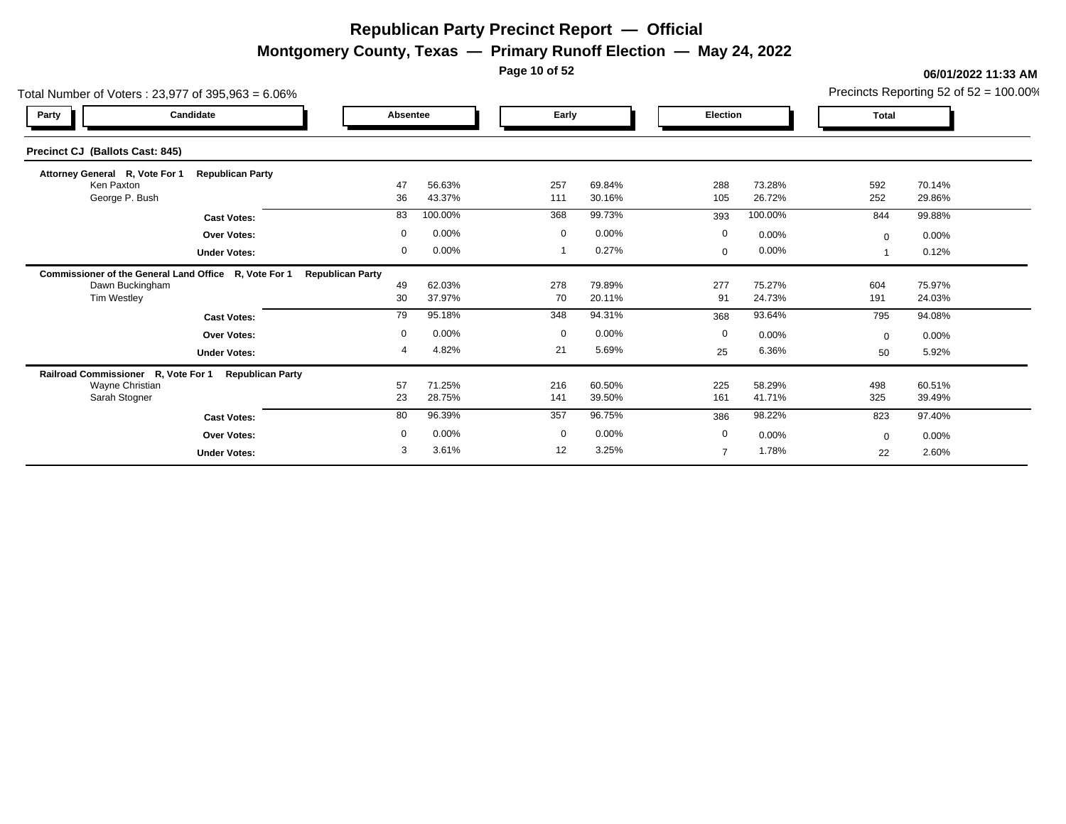**Montgomery County, Texas — Primary Runoff Election — May 24, 2022**

**Page 10 of 52**

| Total Number of Voters: 23,977 of 395,963 = 6.06%     |                         |                         |                  |             |                  |                |                  |              | Precincts Reporting 52 of $52 = 100.00\%$ |
|-------------------------------------------------------|-------------------------|-------------------------|------------------|-------------|------------------|----------------|------------------|--------------|-------------------------------------------|
| Party                                                 | Candidate               | Absentee                |                  | Early       |                  | Election       |                  | <b>Total</b> |                                           |
| Precinct CJ (Ballots Cast: 845)                       |                         |                         |                  |             |                  |                |                  |              |                                           |
| Attorney General R, Vote For 1                        | <b>Republican Party</b> |                         |                  |             |                  |                |                  |              |                                           |
| Ken Paxton<br>George P. Bush                          |                         | 47<br>36                | 56.63%<br>43.37% | 257<br>111  | 69.84%<br>30.16% | 288<br>105     | 73.28%<br>26.72% | 592<br>252   | 70.14%<br>29.86%                          |
|                                                       | <b>Cast Votes:</b>      | 83                      | 100.00%          | 368         | 99.73%           | 393            | 100.00%          | 844          | 99.88%                                    |
|                                                       | <b>Over Votes:</b>      | $\mathbf 0$             | 0.00%            | $\mathbf 0$ | 0.00%            | $\mathbf 0$    | $0.00\%$         | $\mathbf{0}$ | 0.00%                                     |
|                                                       | <b>Under Votes:</b>     | 0                       | 0.00%            |             | 0.27%            | $\mathbf 0$    | $0.00\%$         |              | 0.12%                                     |
| Commissioner of the General Land Office R, Vote For 1 |                         | <b>Republican Party</b> |                  |             |                  |                |                  |              |                                           |
| Dawn Buckingham                                       |                         | 49                      | 62.03%           | 278         | 79.89%           | 277            | 75.27%           | 604          | 75.97%                                    |
| Tim Westley                                           |                         | 30                      | 37.97%           | 70          | 20.11%           | 91             | 24.73%           | 191          | 24.03%                                    |
|                                                       | <b>Cast Votes:</b>      | 79                      | 95.18%           | 348         | 94.31%           | 368            | 93.64%           | 795          | 94.08%                                    |
|                                                       | <b>Over Votes:</b>      | $\mathbf 0$             | 0.00%            | $\mathbf 0$ | 0.00%            | $\mathbf 0$    | 0.00%            | $\Omega$     | 0.00%                                     |
|                                                       | <b>Under Votes:</b>     | 4                       | 4.82%            | 21          | 5.69%            | 25             | 6.36%            | 50           | 5.92%                                     |
| Railroad Commissioner R, Vote For 1                   | <b>Republican Party</b> |                         |                  |             |                  |                |                  |              |                                           |
| Wayne Christian<br>Sarah Stogner                      |                         | 57<br>23                | 71.25%<br>28.75% | 216<br>141  | 60.50%<br>39.50% | 225<br>161     | 58.29%<br>41.71% | 498<br>325   | 60.51%<br>39.49%                          |
|                                                       |                         |                         |                  |             |                  |                |                  |              |                                           |
|                                                       | <b>Cast Votes:</b>      | 80                      | 96.39%           | 357         | 96.75%           | 386            | 98.22%           | 823          | 97.40%                                    |
|                                                       | <b>Over Votes:</b>      | $\mathbf 0$             | 0.00%            | $\mathbf 0$ | 0.00%            | 0              | 0.00%            | $\Omega$     | 0.00%                                     |
|                                                       | <b>Under Votes:</b>     | 3                       | 3.61%            | 12          | 3.25%            | $\overline{7}$ | 1.78%            | 22           | 2.60%                                     |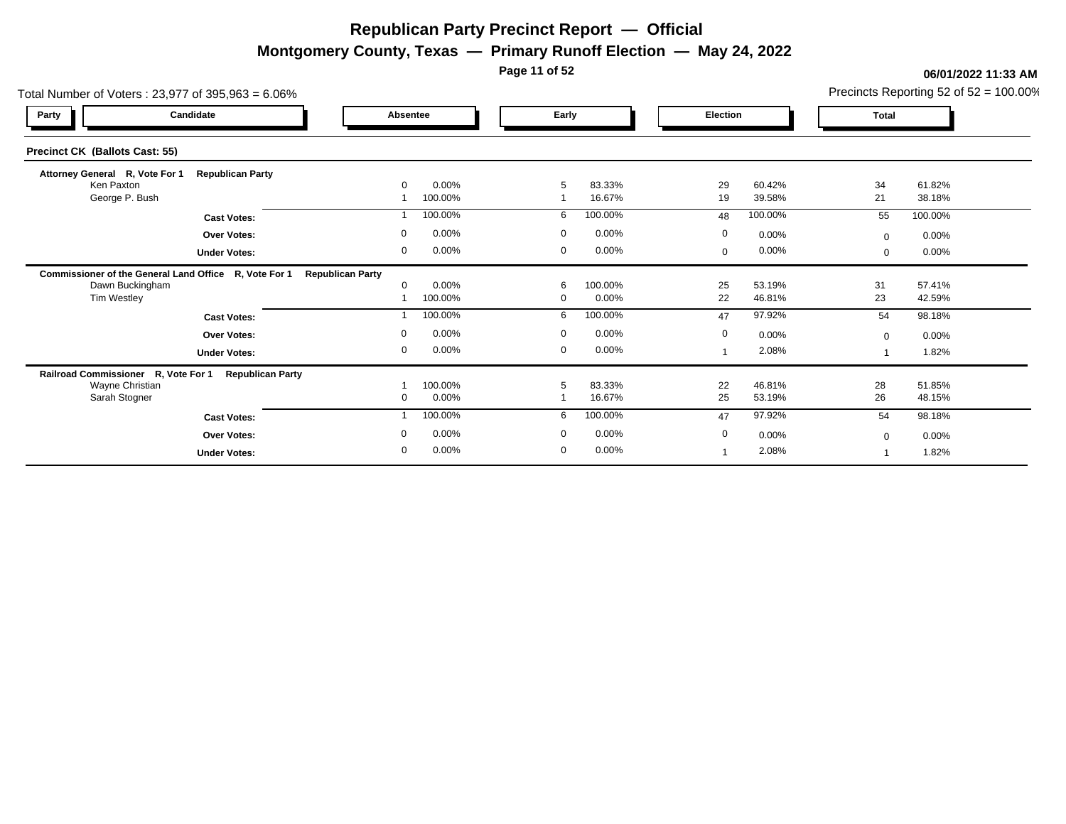**Montgomery County, Texas — Primary Runoff Election — May 24, 2022**

**Page 11 of 52**

| Total Number of Voters: $23,977$ of $395,963 = 6.06\%$ |                         |                         |         |              |          |                |         |              | Precincts Reporting 52 of 52 = 100.00% |  |
|--------------------------------------------------------|-------------------------|-------------------------|---------|--------------|----------|----------------|---------|--------------|----------------------------------------|--|
| Party                                                  | Candidate               | Absentee                |         | Early        |          | Election       |         | <b>Total</b> |                                        |  |
| <b>Precinct CK (Ballots Cast: 55)</b>                  |                         |                         |         |              |          |                |         |              |                                        |  |
| Attorney General R, Vote For 1                         | <b>Republican Party</b> |                         |         |              |          |                |         |              |                                        |  |
| Ken Paxton                                             |                         | $\Omega$                | 0.00%   | 5            | 83.33%   | 29             | 60.42%  | 34           | 61.82%                                 |  |
| George P. Bush                                         |                         |                         | 100.00% |              | 16.67%   | 19             | 39.58%  | 21           | 38.18%                                 |  |
|                                                        | <b>Cast Votes:</b>      |                         | 100.00% | 6            | 100.00%  | 48             | 100.00% | 55           | 100.00%                                |  |
|                                                        | <b>Over Votes:</b>      | $\Omega$                | 0.00%   | $\mathbf 0$  | 0.00%    | $\mathbf 0$    | 0.00%   | $\mathbf 0$  | 0.00%                                  |  |
|                                                        | <b>Under Votes:</b>     | $\Omega$                | 0.00%   | $\mathbf{0}$ | $0.00\%$ | $\Omega$       | 0.00%   | $\Omega$     | 0.00%                                  |  |
| Commissioner of the General Land Office R, Vote For 1  |                         | <b>Republican Party</b> |         |              |          |                |         |              |                                        |  |
| Dawn Buckingham                                        |                         |                         | 0.00%   | 6            | 100.00%  | 25             | 53.19%  | 31           | 57.41%                                 |  |
| Tim Westley                                            |                         |                         | 100.00% | $\Omega$     | 0.00%    | 22             | 46.81%  | 23           | 42.59%                                 |  |
|                                                        | <b>Cast Votes:</b>      |                         | 100.00% | 6            | 100.00%  | 47             | 97.92%  | 54           | 98.18%                                 |  |
|                                                        | <b>Over Votes:</b>      | $\Omega$                | 0.00%   | $\Omega$     | 0.00%    | $\mathbf 0$    | 0.00%   | $\mathbf 0$  | 0.00%                                  |  |
|                                                        | <b>Under Votes:</b>     | $\mathbf 0$             | 0.00%   | $\mathbf 0$  | 0.00%    | $\overline{ }$ | 2.08%   |              | 1.82%                                  |  |
| Railroad Commissioner R, Vote For 1                    | <b>Republican Party</b> |                         |         |              |          |                |         |              |                                        |  |
| Wayne Christian                                        |                         |                         | 100.00% | 5            | 83.33%   | 22             | 46.81%  | 28           | 51.85%                                 |  |
| Sarah Stogner                                          |                         |                         | 0.00%   |              | 16.67%   | 25             | 53.19%  | 26           | 48.15%                                 |  |
|                                                        | <b>Cast Votes:</b>      |                         | 100.00% | 6            | 100.00%  | 47             | 97.92%  | 54           | 98.18%                                 |  |
|                                                        | <b>Over Votes:</b>      |                         | 0.00%   | $\Omega$     | 0.00%    | $\mathbf 0$    | 0.00%   | $\Omega$     | 0.00%                                  |  |
|                                                        | <b>Under Votes:</b>     | $\mathbf{0}$            | 0.00%   | $\mathbf{0}$ | 0.00%    |                | 2.08%   |              | 1.82%                                  |  |
|                                                        |                         |                         |         |              |          |                |         |              |                                        |  |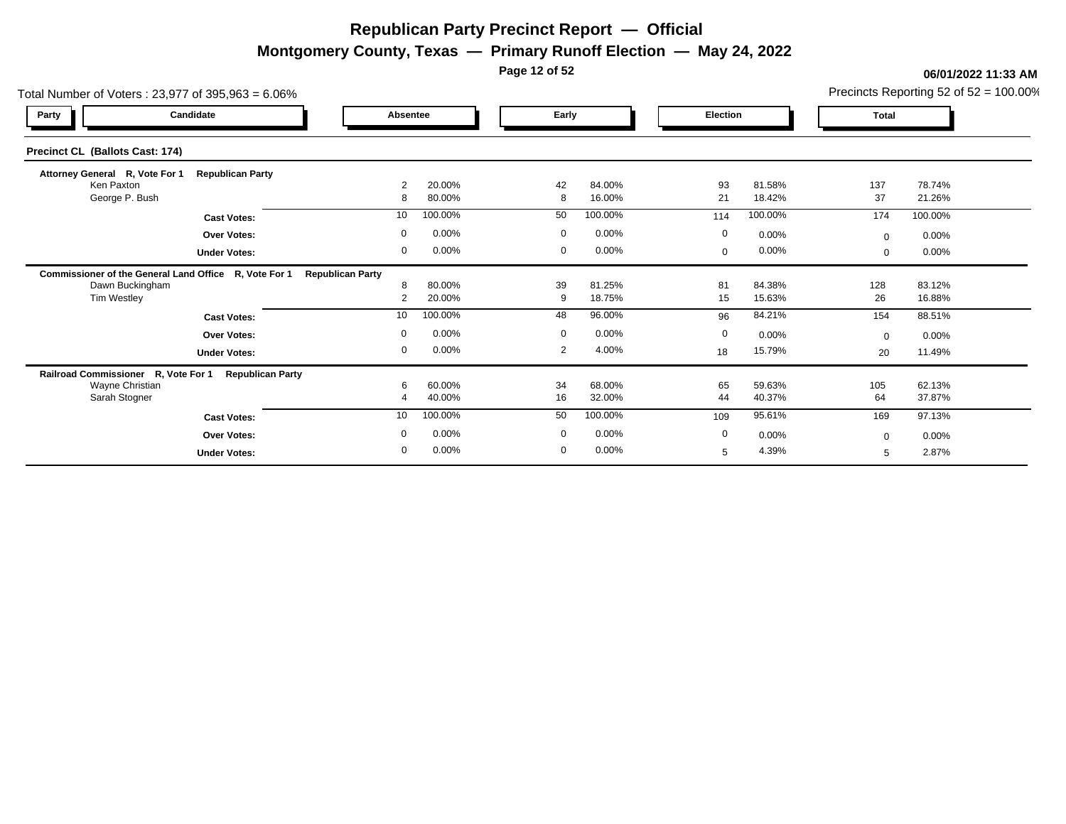**Montgomery County, Texas — Primary Runoff Election — May 24, 2022**

**Page 12 of 52**

| Total Number of Voters: 23,977 of 395,963 = 6.06%     |                         |                         |                  |                |                  |                 |                  |              | Precincts Reporting 52 of $52 = 100.00\%$ |
|-------------------------------------------------------|-------------------------|-------------------------|------------------|----------------|------------------|-----------------|------------------|--------------|-------------------------------------------|
| Party                                                 | Candidate               |                         | Absentee         | Early          |                  | <b>Election</b> |                  | <b>Total</b> |                                           |
| Precinct CL (Ballots Cast: 174)                       |                         |                         |                  |                |                  |                 |                  |              |                                           |
| Attorney General R, Vote For 1                        | <b>Republican Party</b> |                         |                  |                |                  |                 |                  |              |                                           |
| Ken Paxton<br>George P. Bush                          |                         | $\overline{2}$<br>8     | 20.00%<br>80.00% | 42<br>8        | 84.00%<br>16.00% | 93<br>21        | 81.58%<br>18.42% | 137<br>37    | 78.74%<br>21.26%                          |
|                                                       | <b>Cast Votes:</b>      | 10                      | 100.00%          | 50             | 100.00%          | 114             | 100.00%          | 174          | 100.00%                                   |
|                                                       | <b>Over Votes:</b>      | $\mathbf 0$             | 0.00%            | $\mathbf 0$    | 0.00%            | $\mathbf 0$     | 0.00%            | $\Omega$     | 0.00%                                     |
|                                                       | <b>Under Votes:</b>     | 0                       | 0.00%            | 0              | 0.00%            | $\mathbf{0}$    | $0.00\%$         | $\mathbf{0}$ | 0.00%                                     |
| Commissioner of the General Land Office R, Vote For 1 |                         | <b>Republican Party</b> |                  |                |                  |                 |                  |              |                                           |
| Dawn Buckingham                                       |                         | 8                       | 80.00%           | 39             | 81.25%           | 81              | 84.38%           | 128          | 83.12%                                    |
| Tim Westley                                           |                         | $\overline{2}$          | 20.00%           | 9              | 18.75%           | 15              | 15.63%           | 26           | 16.88%                                    |
|                                                       | <b>Cast Votes:</b>      | 10                      | 100.00%          | 48             | 96.00%           | 96              | 84.21%           | 154          | 88.51%                                    |
|                                                       | <b>Over Votes:</b>      | $\mathbf 0$             | 0.00%            | $\overline{0}$ | 0.00%            | $\mathbf 0$     | 0.00%            | $\Omega$     | $0.00\%$                                  |
|                                                       | <b>Under Votes:</b>     | 0                       | 0.00%            | 2              | 4.00%            | 18              | 15.79%           | 20           | 11.49%                                    |
| Railroad Commissioner R, Vote For 1                   | <b>Republican Party</b> |                         |                  |                |                  |                 |                  |              |                                           |
| Wayne Christian<br>Sarah Stogner                      |                         | 6                       | 60.00%<br>40.00% | 34<br>16       | 68.00%<br>32.00% | 65<br>44        | 59.63%<br>40.37% | 105<br>64    | 62.13%<br>37.87%                          |
|                                                       |                         | 10                      | 100.00%          | 50             | 100.00%          | 109             | 95.61%           | 169          | 97.13%                                    |
|                                                       | <b>Cast Votes:</b>      |                         |                  |                |                  |                 |                  |              |                                           |
|                                                       | <b>Over Votes:</b>      | $\mathbf 0$             | 0.00%            | $\mathbf 0$    | 0.00%            | $\mathbf 0$     | 0.00%            | $\Omega$     | 0.00%                                     |
|                                                       | <b>Under Votes:</b>     | $\mathbf 0$             | 0.00%            | $\mathbf 0$    | 0.00%            | 5               | 4.39%            | 5            | 2.87%                                     |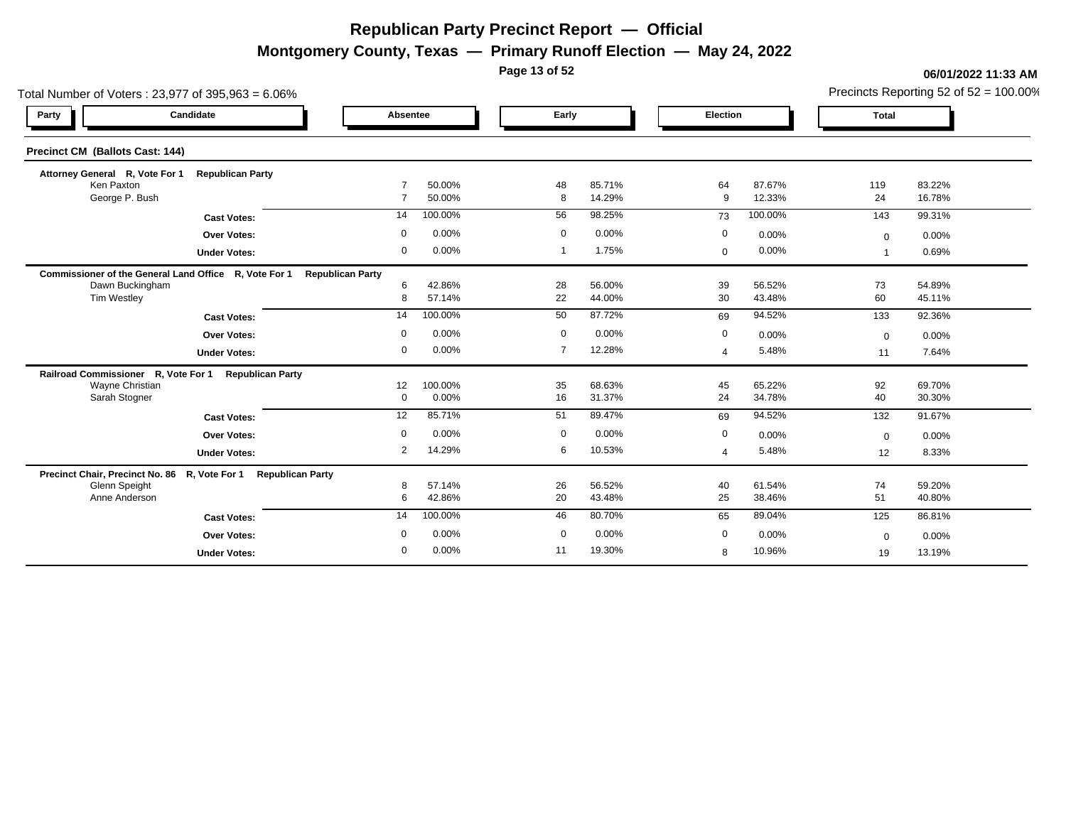**Montgomery County, Texas — Primary Runoff Election — May 24, 2022**

**Page 13 of 52**

| Total Number of Voters: 23,977 of 395,963 = 6.06%              |                         |                         |                  |                |                  |             |                  |              | Precincts Reporting 52 of $52 = 100.00\%$ |
|----------------------------------------------------------------|-------------------------|-------------------------|------------------|----------------|------------------|-------------|------------------|--------------|-------------------------------------------|
| Party                                                          | Candidate               | Absentee                |                  | Early          |                  | Election    |                  | <b>Total</b> |                                           |
| Precinct CM (Ballots Cast: 144)                                |                         |                         |                  |                |                  |             |                  |              |                                           |
| Attorney General R, Vote For 1                                 | <b>Republican Party</b> |                         | 50.00%           |                | 85.71%           |             | 87.67%           |              | 83.22%                                    |
| Ken Paxton<br>George P. Bush                                   |                         | $\overline{7}$          | 50.00%           | 48<br>8        | 14.29%           | 64<br>9     | 12.33%           | 119<br>24    | 16.78%                                    |
|                                                                | <b>Cast Votes:</b>      | 14                      | 100.00%          | 56             | 98.25%           | 73          | 100.00%          | 143          | 99.31%                                    |
|                                                                | <b>Over Votes:</b>      | $\mathbf 0$             | 0.00%            | $\mathbf 0$    | 0.00%            | 0           | 0.00%            | $\Omega$     | 0.00%                                     |
|                                                                | <b>Under Votes:</b>     | $\mathbf 0$             | 0.00%            | -1             | 1.75%            | $\mathbf 0$ | 0.00%            |              | 0.69%                                     |
| Commissioner of the General Land Office R, Vote For 1          |                         | <b>Republican Party</b> |                  |                |                  |             |                  |              |                                           |
| Dawn Buckingham                                                |                         | 6                       | 42.86%           | 28             | 56.00%           | 39          | 56.52%           | 73           | 54.89%                                    |
| Tim Westley                                                    |                         | 8                       | 57.14%           | 22             | 44.00%           | 30          | 43.48%           | 60           | 45.11%                                    |
|                                                                | <b>Cast Votes:</b>      | 14                      | 100.00%          | 50             | 87.72%           | 69          | 94.52%           | 133          | 92.36%                                    |
|                                                                | <b>Over Votes:</b>      | $\mathbf 0$             | 0.00%            | $\overline{0}$ | 0.00%            | $\mathbf 0$ | 0.00%            | $\mathbf 0$  | 0.00%                                     |
|                                                                | <b>Under Votes:</b>     | $\mathbf 0$             | 0.00%            | 7              | 12.28%           | 4           | 5.48%            | 11           | 7.64%                                     |
| Railroad Commissioner R, Vote For 1                            | <b>Republican Party</b> |                         |                  |                |                  |             |                  |              |                                           |
| Wayne Christian<br>Sarah Stogner                               |                         | 12<br>$\overline{0}$    | 100.00%<br>0.00% | 35<br>16       | 68.63%<br>31.37% | 45<br>24    | 65.22%<br>34.78% | 92<br>40     | 69.70%<br>30.30%                          |
|                                                                | <b>Cast Votes:</b>      | 12                      | 85.71%           | 51             | 89.47%           | 69          | 94.52%           | 132          | 91.67%                                    |
|                                                                | <b>Over Votes:</b>      | $\mathbf 0$             | 0.00%            | $\mathbf 0$    | 0.00%            | $\mathbf 0$ | 0.00%            |              |                                           |
|                                                                |                         | 2                       | 14.29%           | 6              | 10.53%           | 4           | 5.48%            | $\mathbf{0}$ | 0.00%                                     |
|                                                                | <b>Under Votes:</b>     |                         |                  |                |                  |             |                  | 12           | 8.33%                                     |
| Precinct Chair, Precinct No. 86 R, Vote For 1<br>Glenn Speight | <b>Republican Party</b> | 8                       | 57.14%           | 26             | 56.52%           | 40          | 61.54%           | 74           | 59.20%                                    |
| Anne Anderson                                                  |                         | 6                       | 42.86%           | 20             | 43.48%           | 25          | 38.46%           | 51           | 40.80%                                    |
|                                                                | <b>Cast Votes:</b>      | 14                      | 100.00%          | 46             | 80.70%           | 65          | 89.04%           | 125          | 86.81%                                    |
|                                                                | <b>Over Votes:</b>      | $\mathbf 0$             | 0.00%            | $\mathbf 0$    | 0.00%            | 0           | 0.00%            | $\mathbf 0$  | 0.00%                                     |
|                                                                | <b>Under Votes:</b>     | $\mathbf 0$             | 0.00%            | 11             | 19.30%           | 8           | 10.96%           | 19           | 13.19%                                    |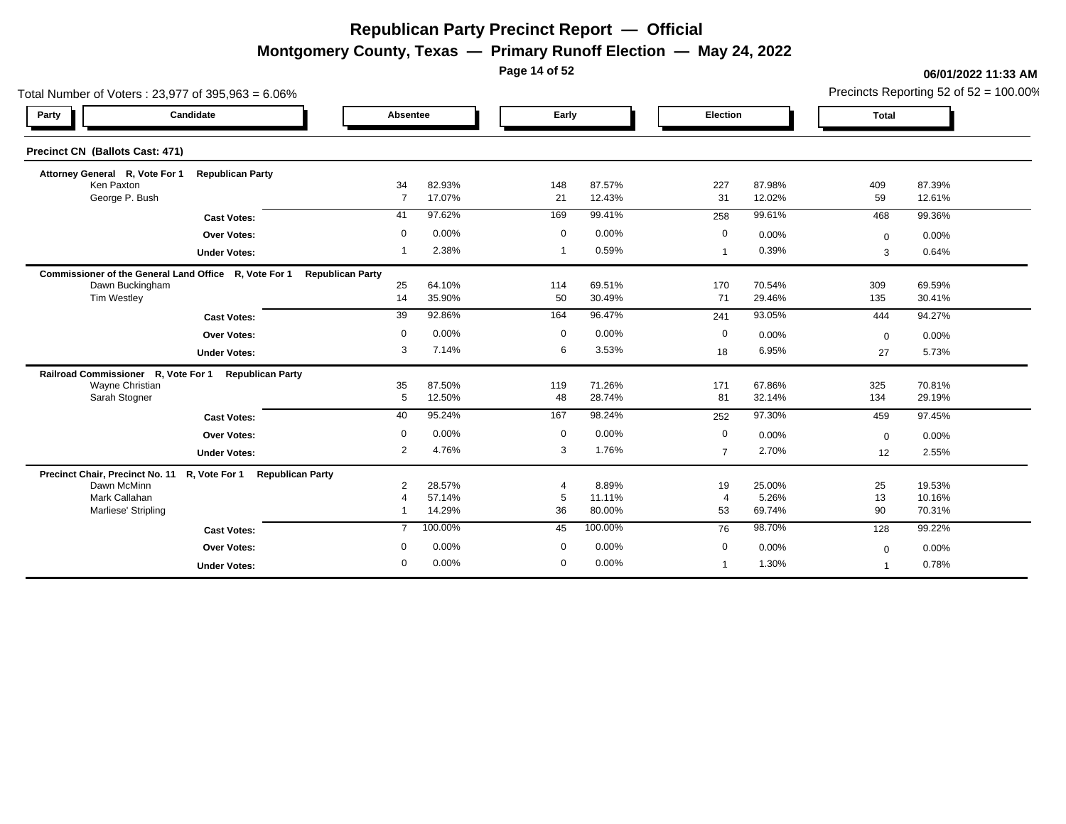**Montgomery County, Texas — Primary Runoff Election — May 24, 2022**

**Page 14 of 52**

|                                              | Total Number of Voters: 23,977 of 395,963 = 6.06%              |                         |                  |             | Precincts Reporting 52 of 52 = 100.00% |                              |                  |              |                  |  |  |
|----------------------------------------------|----------------------------------------------------------------|-------------------------|------------------|-------------|----------------------------------------|------------------------------|------------------|--------------|------------------|--|--|
| Party                                        | Candidate                                                      | Absentee                |                  | Early       |                                        | Election                     |                  | <b>Total</b> |                  |  |  |
| Precinct CN (Ballots Cast: 471)              |                                                                |                         |                  |             |                                        |                              |                  |              |                  |  |  |
| Attorney General R, Vote For 1<br>Ken Paxton | <b>Republican Party</b>                                        | 34                      | 82.93%           | 148         | 87.57%                                 | 227                          | 87.98%           |              | 87.39%           |  |  |
| George P. Bush                               |                                                                | $\overline{7}$          | 17.07%           | 21          | 12.43%                                 | 31                           | 12.02%           | 409<br>59    | 12.61%           |  |  |
|                                              | <b>Cast Votes:</b>                                             | 41                      | 97.62%           | 169         | 99.41%                                 | 258                          | 99.61%           | 468          | 99.36%           |  |  |
|                                              | <b>Over Votes:</b>                                             | $\mathbf 0$             | 0.00%            | $\mathbf 0$ | 0.00%                                  | 0                            | 0.00%            | $\mathbf 0$  | 0.00%            |  |  |
|                                              | <b>Under Votes:</b>                                            |                         | 2.38%            | -1          | 0.59%                                  | -1                           | 0.39%            | 3            | 0.64%            |  |  |
|                                              | Commissioner of the General Land Office R, Vote For 1          | <b>Republican Party</b> |                  |             |                                        |                              |                  |              |                  |  |  |
| Dawn Buckingham<br>Tim Westley               |                                                                | 25<br>14                | 64.10%<br>35.90% | 114<br>50   | 69.51%<br>30.49%                       | 170<br>71                    | 70.54%<br>29.46% | 309<br>135   | 69.59%<br>30.41% |  |  |
|                                              | <b>Cast Votes:</b>                                             | 39                      | 92.86%           | 164         | 96.47%                                 | 241                          | 93.05%           | 444          | 94.27%           |  |  |
|                                              | <b>Over Votes:</b>                                             | $\Omega$                | 0.00%            | $\mathbf 0$ | 0.00%                                  | 0                            | 0.00%            | $\Omega$     | 0.00%            |  |  |
|                                              | <b>Under Votes:</b>                                            | 3                       | 7.14%            | 6           | 3.53%                                  | 18                           | 6.95%            | 27           | 5.73%            |  |  |
| Railroad Commissioner R, Vote For 1          | <b>Republican Party</b>                                        |                         |                  |             |                                        |                              |                  |              |                  |  |  |
| Wayne Christian                              |                                                                | 35                      | 87.50%           | 119         | 71.26%                                 | 171                          | 67.86%           | 325          | 70.81%           |  |  |
| Sarah Stogner                                |                                                                | 5                       | 12.50%           | 48          | 28.74%                                 | 81                           | 32.14%           | 134          | 29.19%           |  |  |
|                                              | <b>Cast Votes:</b>                                             | 40                      | 95.24%           | 167         | 98.24%                                 | 252                          | 97.30%           | 459          | 97.45%           |  |  |
|                                              | <b>Over Votes:</b>                                             | $\mathbf 0$             | 0.00%            | $\mathbf 0$ | 0.00%                                  | $\mathbf{0}$                 | 0.00%            | $\Omega$     | 0.00%            |  |  |
|                                              | <b>Under Votes:</b>                                            | $\overline{2}$          | 4.76%            | 3           | 1.76%                                  | $\overline{7}$               | 2.70%            | 12           | 2.55%            |  |  |
|                                              | Precinct Chair, Precinct No. 11 R, Vote For 1 Republican Party |                         |                  |             |                                        |                              |                  |              |                  |  |  |
| Dawn McMinn<br>Mark Callahan                 |                                                                | $\overline{2}$          | 28.57%<br>57.14% | 5           | 8.89%<br>11.11%                        | 19<br>$\boldsymbol{\Lambda}$ | 25.00%<br>5.26%  | 25<br>13     | 19.53%<br>10.16% |  |  |
| Marliese' Stripling                          |                                                                |                         | 14.29%           | 36          | 80.00%                                 | 53                           | 69.74%           | 90           | 70.31%           |  |  |
|                                              | <b>Cast Votes:</b>                                             | $\overline{7}$          | 100.00%          | 45          | 100.00%                                | 76                           | 98.70%           | 128          | 99.22%           |  |  |
|                                              | <b>Over Votes:</b>                                             | $\mathbf 0$             | 0.00%            | $\mathbf 0$ | 0.00%                                  | 0                            | 0.00%            | $\mathbf 0$  | 0.00%            |  |  |
|                                              | <b>Under Votes:</b>                                            | $\mathbf 0$             | 0.00%            | $\mathbf 0$ | 0.00%                                  |                              | 1.30%            |              | 0.78%            |  |  |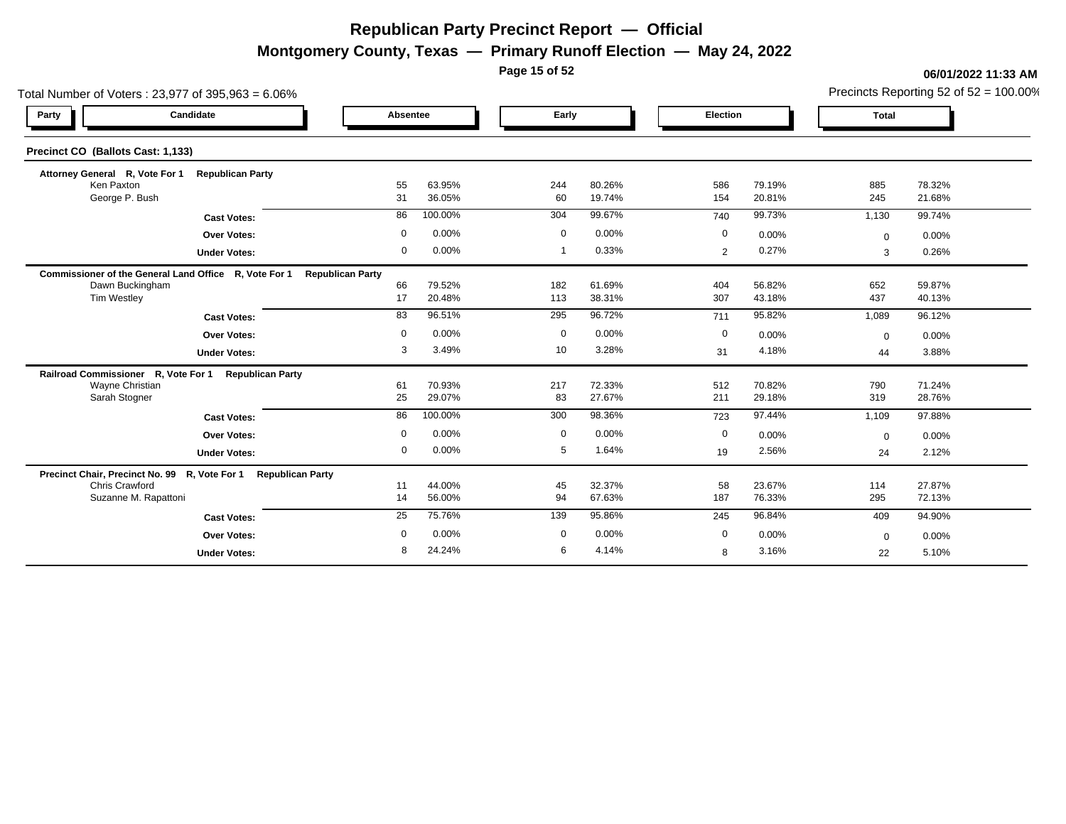**Montgomery County, Texas — Primary Runoff Election — May 24, 2022**

**Page 15 of 52**

#### **06/01/2022 11:33 AM**

Precincts Reporting 52 of 52 = 100.00%

|                                       | Total Number of Voters: 23,977 of 395,963 = 6.06%              |                         |                  |             |                  |                |                  |              | Precincts Reporting 52 of $52 = 100.00\%$ |
|---------------------------------------|----------------------------------------------------------------|-------------------------|------------------|-------------|------------------|----------------|------------------|--------------|-------------------------------------------|
| Party                                 | Candidate                                                      | Absentee                |                  | Early       |                  | Election       |                  | <b>Total</b> |                                           |
| Precinct CO (Ballots Cast: 1,133)     |                                                                |                         |                  |             |                  |                |                  |              |                                           |
| Attorney General R, Vote For 1        | <b>Republican Party</b>                                        |                         |                  |             |                  |                |                  |              |                                           |
| Ken Paxton<br>George P. Bush          |                                                                | 55<br>31                | 63.95%<br>36.05% | 244<br>60   | 80.26%<br>19.74% | 586<br>154     | 79.19%<br>20.81% | 885<br>245   | 78.32%<br>21.68%                          |
|                                       |                                                                | 86                      | 100.00%          | 304         | 99.67%           | 740            | 99.73%           | 1,130        | 99.74%                                    |
|                                       | <b>Cast Votes:</b>                                             |                         | 0.00%            |             | 0.00%            |                |                  |              |                                           |
|                                       | Over Votes:                                                    | $\mathbf 0$             |                  | $\mathbf 0$ |                  | $\mathbf 0$    | 0.00%            | $\mathbf 0$  | 0.00%                                     |
|                                       | <b>Under Votes:</b>                                            | 0                       | 0.00%            | -1          | 0.33%            | $\overline{2}$ | 0.27%            | 3            | 0.26%                                     |
|                                       | Commissioner of the General Land Office R, Vote For 1          | <b>Republican Party</b> |                  |             |                  |                |                  |              |                                           |
| Dawn Buckingham<br><b>Tim Westley</b> |                                                                | 66<br>17                | 79.52%<br>20.48% | 182<br>113  | 61.69%<br>38.31% | 404<br>307     | 56.82%<br>43.18% | 652<br>437   | 59.87%<br>40.13%                          |
|                                       |                                                                |                         | 96.51%           |             | 96.72%           |                | 95.82%           |              |                                           |
|                                       | <b>Cast Votes:</b>                                             | 83                      |                  | 295         |                  | 711            |                  | 1,089        | 96.12%                                    |
|                                       | <b>Over Votes:</b>                                             | 0                       | 0.00%            | 0           | 0.00%            | $\mathbf 0$    | 0.00%            | $\mathbf 0$  | 0.00%                                     |
|                                       | <b>Under Votes:</b>                                            | 3                       | 3.49%            | 10          | 3.28%            | 31             | 4.18%            | 44           | 3.88%                                     |
|                                       | Railroad Commissioner R, Vote For 1 Republican Party           |                         |                  |             |                  |                |                  |              |                                           |
| Wayne Christian                       |                                                                | 61                      | 70.93%           | 217         | 72.33%           | 512            | 70.82%           | 790          | 71.24%                                    |
| Sarah Stogner                         |                                                                | 25                      | 29.07%           | 83          | 27.67%           | 211            | 29.18%           | 319          | 28.76%                                    |
|                                       | <b>Cast Votes:</b>                                             | 86                      | 100.00%          | 300         | 98.36%           | 723            | 97.44%           | 1,109        | 97.88%                                    |
|                                       | <b>Over Votes:</b>                                             | 0                       | 0.00%            | $\mathbf 0$ | 0.00%            | $\mathbf 0$    | 0.00%            | $\mathbf 0$  | 0.00%                                     |
|                                       | <b>Under Votes:</b>                                            | 0                       | 0.00%            | 5           | 1.64%            | 19             | 2.56%            | 24           | 2.12%                                     |
|                                       | Precinct Chair, Precinct No. 99 R, Vote For 1 Republican Party |                         |                  |             |                  |                |                  |              |                                           |
| Chris Crawford                        |                                                                | 11                      | 44.00%           | 45          | 32.37%           | 58             | 23.67%           | 114          | 27.87%                                    |
| Suzanne M. Rapattoni                  |                                                                | 14                      | 56.00%           | 94          | 67.63%           | 187            | 76.33%           | 295          | 72.13%                                    |
|                                       | <b>Cast Votes:</b>                                             | 25                      | 75.76%           | 139         | 95.86%           | 245            | 96.84%           | 409          | 94.90%                                    |
|                                       | Over Votes:                                                    | $\mathbf 0$             | 0.00%            | $\mathbf 0$ | 0.00%            | $\mathbf 0$    | 0.00%            | $\mathbf 0$  | 0.00%                                     |
|                                       | <b>Under Votes:</b>                                            | 8                       | 24.24%           | 6           | 4.14%            | 8              | 3.16%            | 22           | 5.10%                                     |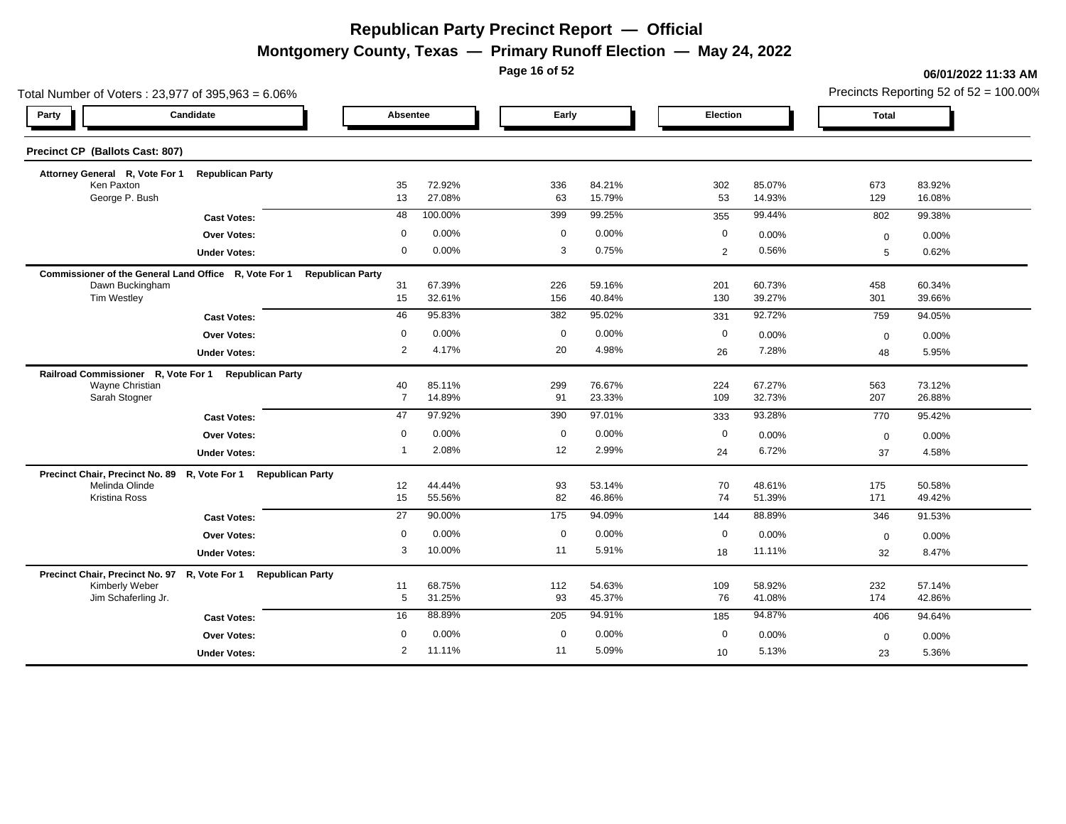**Montgomery County, Texas — Primary Runoff Election — May 24, 2022**

**Page 16 of 52**

|                                       | Total Number of Voters: 23,977 of 395,963 = 6.06%              |                         |                  |                |                  |                 |                  | Precincts Reporting 52 of 52 = 100.00% |                  |  |  |
|---------------------------------------|----------------------------------------------------------------|-------------------------|------------------|----------------|------------------|-----------------|------------------|----------------------------------------|------------------|--|--|
| Party                                 | Candidate                                                      | Absentee                |                  | Early          |                  | <b>Election</b> |                  | Total                                  |                  |  |  |
| Precinct CP (Ballots Cast: 807)       |                                                                |                         |                  |                |                  |                 |                  |                                        |                  |  |  |
| Attorney General R, Vote For 1        | <b>Republican Party</b>                                        |                         |                  |                |                  |                 |                  |                                        |                  |  |  |
| Ken Paxton<br>George P. Bush          |                                                                | 35<br>13                | 72.92%<br>27.08% | 336<br>63      | 84.21%<br>15.79% | 302<br>53       | 85.07%<br>14.93% | 673<br>129                             | 83.92%<br>16.08% |  |  |
|                                       |                                                                |                         |                  |                |                  |                 |                  |                                        |                  |  |  |
|                                       | <b>Cast Votes:</b>                                             | 48                      | 100.00%          | 399            | 99.25%           | 355             | 99.44%           | 802                                    | 99.38%           |  |  |
|                                       | <b>Over Votes:</b>                                             | $\mathbf 0$             | 0.00%            | $\overline{0}$ | 0.00%            | 0               | 0.00%            | $\mathbf 0$                            | 0.00%            |  |  |
|                                       | <b>Under Votes:</b>                                            | $\mathbf 0$             | 0.00%            | 3              | 0.75%            | 2               | 0.56%            | 5                                      | 0.62%            |  |  |
|                                       | Commissioner of the General Land Office R, Vote For 1          | <b>Republican Party</b> |                  |                |                  |                 |                  |                                        |                  |  |  |
| Dawn Buckingham<br>Tim Westley        |                                                                | 31<br>15                | 67.39%<br>32.61% | 226<br>156     | 59.16%<br>40.84% | 201<br>130      | 60.73%<br>39.27% | 458<br>301                             | 60.34%<br>39.66% |  |  |
|                                       |                                                                |                         | 95.83%           |                | 95.02%           |                 | 92.72%           |                                        |                  |  |  |
|                                       | <b>Cast Votes:</b>                                             | 46                      |                  | 382            |                  | 331             |                  | 759                                    | 94.05%           |  |  |
|                                       | <b>Over Votes:</b>                                             | $\mathbf 0$             | 0.00%            | $\mathbf 0$    | 0.00%            | 0               | 0.00%            | $\mathbf 0$                            | 0.00%            |  |  |
|                                       | <b>Under Votes:</b>                                            | $\overline{2}$          | 4.17%            | 20             | 4.98%            | 26              | 7.28%            | 48                                     | 5.95%            |  |  |
| Railroad Commissioner R, Vote For 1   | <b>Republican Party</b>                                        |                         |                  |                |                  |                 |                  |                                        |                  |  |  |
| Wayne Christian<br>Sarah Stogner      |                                                                | 40<br>$\overline{7}$    | 85.11%<br>14.89% | 299<br>91      | 76.67%<br>23.33% | 224<br>109      | 67.27%<br>32.73% | 563<br>207                             | 73.12%<br>26.88% |  |  |
|                                       |                                                                |                         | 97.92%           |                | 97.01%           |                 |                  |                                        |                  |  |  |
|                                       | <b>Cast Votes:</b>                                             | 47                      |                  | 390            |                  | 333             | 93.28%           | 770                                    | 95.42%           |  |  |
|                                       | <b>Over Votes:</b>                                             | $\mathbf 0$             | 0.00%            | $\mathbf 0$    | 0.00%            | 0               | 0.00%            | $\mathbf 0$                            | 0.00%            |  |  |
|                                       | <b>Under Votes:</b>                                            | -1                      | 2.08%            | 12             | 2.99%            | 24              | 6.72%            | 37                                     | 4.58%            |  |  |
| Precinct Chair, Precinct No. 89       | R, Vote For 1<br><b>Republican Party</b>                       |                         |                  |                |                  |                 |                  |                                        |                  |  |  |
| Melinda Olinde<br>Kristina Ross       |                                                                | 12<br>15                | 44.44%<br>55.56% | 93<br>82       | 53.14%<br>46.86% | 70<br>74        | 48.61%<br>51.39% | 175<br>171                             | 50.58%<br>49.42% |  |  |
|                                       |                                                                |                         |                  |                |                  |                 |                  |                                        |                  |  |  |
|                                       | <b>Cast Votes:</b>                                             | 27                      | 90.00%           | 175            | 94.09%           | 144             | 88.89%           | 346                                    | 91.53%           |  |  |
|                                       | <b>Over Votes:</b>                                             | $\mathbf 0$             | 0.00%            | $\mathbf 0$    | 0.00%            | 0               | 0.00%            | $\mathbf 0$                            | 0.00%            |  |  |
|                                       | <b>Under Votes:</b>                                            | 3                       | 10.00%           | 11             | 5.91%            | 18              | 11.11%           | 32                                     | 8.47%            |  |  |
|                                       | Precinct Chair, Precinct No. 97 R, Vote For 1 Republican Party |                         |                  |                |                  |                 |                  |                                        |                  |  |  |
| Kimberly Weber<br>Jim Schaferling Jr. |                                                                | 11<br>5                 | 68.75%<br>31.25% | 112<br>93      | 54.63%<br>45.37% | 109<br>76       | 58.92%<br>41.08% | 232<br>174                             | 57.14%<br>42.86% |  |  |
|                                       |                                                                |                         |                  |                |                  |                 |                  |                                        |                  |  |  |
|                                       | <b>Cast Votes:</b>                                             | 16                      | 88.89%           | 205            | 94.91%           | 185             | 94.87%           | 406                                    | 94.64%           |  |  |
|                                       | Over Votes:                                                    | $\Omega$                | 0.00%            | $\mathbf 0$    | 0.00%            | $\mathbf 0$     | 0.00%            | $\mathbf 0$                            | 0.00%            |  |  |
|                                       | <b>Under Votes:</b>                                            | $\overline{2}$          | 11.11%           | 11             | 5.09%            | 10              | 5.13%            | 23                                     | 5.36%            |  |  |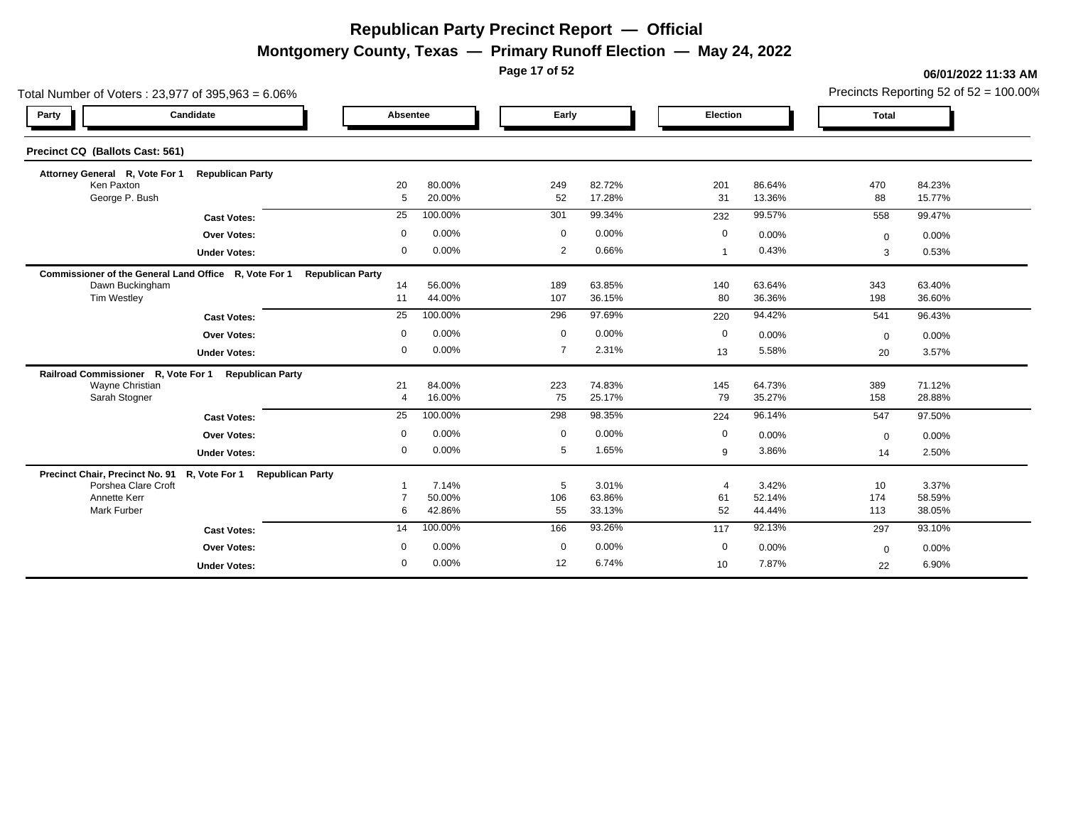**Montgomery County, Texas — Primary Runoff Election — May 24, 2022**

**Page 17 of 52**

| Total Number of Voters: 23,977 of 395,963 = 6.06%     |                                          |                         |         |                | Precincts Reporting 52 of 52 = 100.00% |              |        |              |                  |  |
|-------------------------------------------------------|------------------------------------------|-------------------------|---------|----------------|----------------------------------------|--------------|--------|--------------|------------------|--|
| Party                                                 | Candidate                                | Absentee                |         | Early          |                                        | Election     |        | <b>Total</b> |                  |  |
| Precinct CQ (Ballots Cast: 561)                       |                                          |                         |         |                |                                        |              |        |              |                  |  |
| Attorney General R, Vote For 1                        | <b>Republican Party</b>                  |                         |         |                |                                        |              |        |              |                  |  |
| Ken Paxton                                            |                                          | 20<br>5                 | 80.00%  | 249            | 82.72%<br>17.28%                       | 201          | 86.64% | 470          | 84.23%<br>15.77% |  |
| George P. Bush                                        |                                          |                         | 20.00%  | 52             |                                        | 31           | 13.36% | 88           |                  |  |
|                                                       | <b>Cast Votes:</b>                       | 25                      | 100.00% | 301            | 99.34%                                 | 232          | 99.57% | 558          | 99.47%           |  |
|                                                       | <b>Over Votes:</b>                       | $\mathbf 0$             | 0.00%   | $\overline{0}$ | 0.00%                                  | 0            | 0.00%  | $\mathbf{0}$ | 0.00%            |  |
|                                                       | <b>Under Votes:</b>                      | $\Omega$                | 0.00%   | $\overline{2}$ | 0.66%                                  | $\mathbf{1}$ | 0.43%  | 3            | 0.53%            |  |
| Commissioner of the General Land Office R, Vote For 1 |                                          | <b>Republican Party</b> |         |                |                                        |              |        |              |                  |  |
| Dawn Buckingham                                       |                                          | 14                      | 56.00%  | 189            | 63.85%                                 | 140          | 63.64% | 343          | 63.40%           |  |
| <b>Tim Westley</b>                                    |                                          | 11                      | 44.00%  | 107            | 36.15%                                 | 80           | 36.36% | 198          | 36.60%           |  |
|                                                       | <b>Cast Votes:</b>                       | 25                      | 100.00% | 296            | 97.69%                                 | 220          | 94.42% | 541          | 96.43%           |  |
|                                                       | <b>Over Votes:</b>                       | $\mathbf 0$             | 0.00%   | $\mathbf 0$    | 0.00%                                  | 0            | 0.00%  | $\mathbf 0$  | 0.00%            |  |
|                                                       | <b>Under Votes:</b>                      | 0                       | 0.00%   | $\overline{7}$ | 2.31%                                  | 13           | 5.58%  | 20           | 3.57%            |  |
| Railroad Commissioner R, Vote For 1                   | <b>Republican Party</b>                  |                         |         |                |                                        |              |        |              |                  |  |
| Wayne Christian                                       |                                          | 21                      | 84.00%  | 223            | 74.83%                                 | 145          | 64.73% | 389          | 71.12%           |  |
| Sarah Stogner                                         |                                          | $\overline{4}$          | 16.00%  | 75             | 25.17%                                 | 79           | 35.27% | 158          | 28.88%           |  |
|                                                       | <b>Cast Votes:</b>                       | $\overline{25}$         | 100.00% | 298            | 98.35%                                 | 224          | 96.14% | 547          | 97.50%           |  |
|                                                       | <b>Over Votes:</b>                       | $\mathbf 0$             | 0.00%   | $\mathbf 0$    | 0.00%                                  | $\mathbf{0}$ | 0.00%  | $\Omega$     | 0.00%            |  |
|                                                       | <b>Under Votes:</b>                      | $\mathbf 0$             | 0.00%   | 5              | 1.65%                                  | 9            | 3.86%  | 14           | 2.50%            |  |
| Precinct Chair, Precinct No. 91                       | R, Vote For 1<br><b>Republican Party</b> |                         |         |                |                                        |              |        |              |                  |  |
| Porshea Clare Croft                                   |                                          |                         | 7.14%   | 5              | 3.01%                                  |              | 3.42%  | 10           | 3.37%            |  |
| Annette Kerr                                          |                                          |                         | 50.00%  | 106            | 63.86%                                 | 61           | 52.14% | 174          | 58.59%           |  |
| Mark Furber                                           |                                          | 6                       | 42.86%  | 55             | 33.13%                                 | 52           | 44.44% | 113          | 38.05%           |  |
|                                                       | <b>Cast Votes:</b>                       | 14                      | 100.00% | 166            | 93.26%                                 | 117          | 92.13% | 297          | 93.10%           |  |
|                                                       | <b>Over Votes:</b>                       | $\Omega$                | 0.00%   | $\overline{0}$ | 0.00%                                  | 0            | 0.00%  | $\mathbf 0$  | 0.00%            |  |
|                                                       | <b>Under Votes:</b>                      | $\mathbf 0$             | 0.00%   | 12             | 6.74%                                  | 10           | 7.87%  | 22           | 6.90%            |  |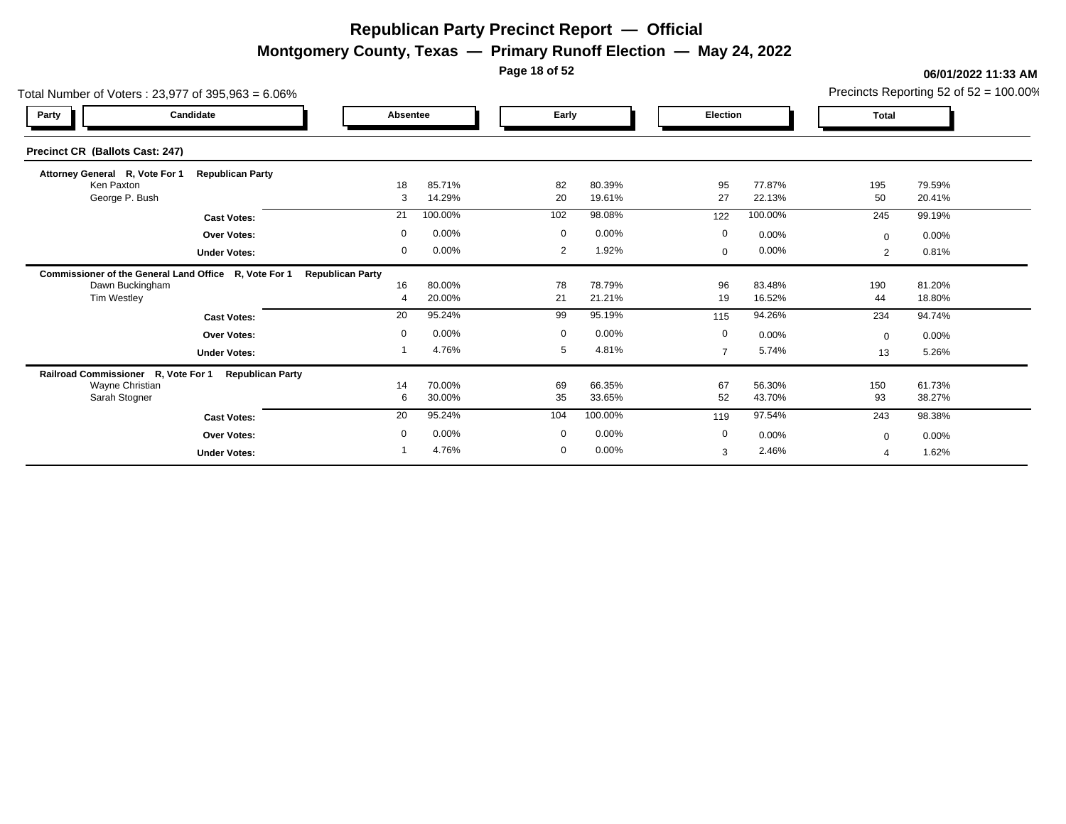**Montgomery County, Texas — Primary Runoff Election — May 24, 2022**

**Page 18 of 52**

| Total Number of Voters: 23,977 of 395,963 = 6.06%     |                         |                         |                  |             |                  |                |                  |              | Precincts Reporting 52 of $52 = 100.00\%$ |
|-------------------------------------------------------|-------------------------|-------------------------|------------------|-------------|------------------|----------------|------------------|--------------|-------------------------------------------|
| Party                                                 | Candidate               | Absentee                |                  | Early       |                  | Election       |                  | <b>Total</b> |                                           |
| Precinct CR (Ballots Cast: 247)                       |                         |                         |                  |             |                  |                |                  |              |                                           |
| Attorney General R, Vote For 1                        | <b>Republican Party</b> |                         |                  |             |                  |                |                  |              |                                           |
| Ken Paxton<br>George P. Bush                          |                         | 18<br>3                 | 85.71%<br>14.29% | 82<br>20    | 80.39%<br>19.61% | 95<br>27       | 77.87%<br>22.13% | 195<br>50    | 79.59%<br>20.41%                          |
|                                                       | <b>Cast Votes:</b>      | 21                      | 100.00%          | 102         | 98.08%           | 122            | 100.00%          | 245          | 99.19%                                    |
|                                                       | <b>Over Votes:</b>      | $\mathbf 0$             | 0.00%            | $\mathbf 0$ | 0.00%            | $\mathbf 0$    | 0.00%            | $\mathbf{0}$ | 0.00%                                     |
|                                                       | <b>Under Votes:</b>     | $\mathbf 0$             | 0.00%            | 2           | 1.92%            | 0              | 0.00%            | 2            | 0.81%                                     |
| Commissioner of the General Land Office R, Vote For 1 |                         | <b>Republican Party</b> |                  |             |                  |                |                  |              |                                           |
| Dawn Buckingham                                       |                         | 16                      | 80.00%           | 78          | 78.79%           | 96             | 83.48%           | 190          | 81.20%                                    |
| Tim Westley                                           |                         | 4                       | 20.00%           | 21          | 21.21%           | 19             | 16.52%           | 44           | 18.80%                                    |
|                                                       | <b>Cast Votes:</b>      | 20                      | 95.24%           | 99          | 95.19%           | 115            | 94.26%           | 234          | 94.74%                                    |
|                                                       | <b>Over Votes:</b>      | $\mathbf 0$             | 0.00%            | $\mathbf 0$ | 0.00%            | $\mathbf 0$    | 0.00%            | $\Omega$     | 0.00%                                     |
|                                                       | <b>Under Votes:</b>     |                         | 4.76%            | 5           | 4.81%            | $\overline{7}$ | 5.74%            | 13           | 5.26%                                     |
| Railroad Commissioner R, Vote For 1                   | <b>Republican Party</b> |                         |                  |             |                  |                |                  |              |                                           |
| Wayne Christian<br>Sarah Stogner                      |                         | 14<br>6                 | 70.00%<br>30.00% | 69<br>35    | 66.35%<br>33.65% | 67<br>52       | 56.30%<br>43.70% | 150<br>93    | 61.73%<br>38.27%                          |
|                                                       |                         |                         |                  |             |                  |                |                  |              |                                           |
|                                                       | <b>Cast Votes:</b>      | 20                      | 95.24%           | 104         | 100.00%          | 119            | 97.54%           | 243          | 98.38%                                    |
|                                                       | <b>Over Votes:</b>      | $\mathbf 0$             | 0.00%            | $\mathbf 0$ | 0.00%            | $\mathbf 0$    | 0.00%            | $\Omega$     | 0.00%                                     |
|                                                       | <b>Under Votes:</b>     |                         | 4.76%            | $\mathbf 0$ | 0.00%            | 3              | 2.46%            |              | 1.62%                                     |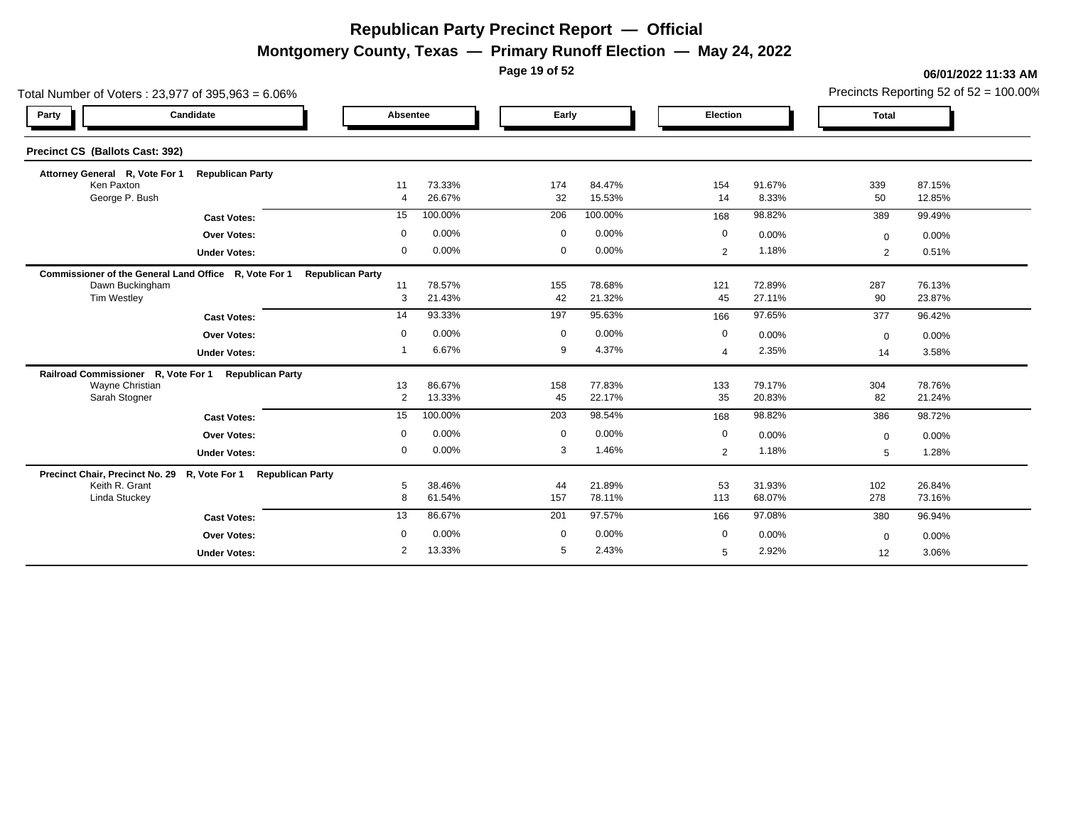**Montgomery County, Texas — Primary Runoff Election — May 24, 2022**

**Page 19 of 52**

#### **06/01/2022 11:33 AM**

Precincts Reporting 52 of 52 = 100.00%

| Total Number of Voters: 23,977 of 395,963 = 6.06%     |                         |                         |                  |             |                  |                |                  |              | Precincts Reporting 52 of $52 = 100.00\%$ |
|-------------------------------------------------------|-------------------------|-------------------------|------------------|-------------|------------------|----------------|------------------|--------------|-------------------------------------------|
| Party                                                 | Candidate               | Absentee                |                  | Early       |                  | Election       |                  | <b>Total</b> |                                           |
| Precinct CS (Ballots Cast: 392)                       |                         |                         |                  |             |                  |                |                  |              |                                           |
| Attorney General R, Vote For 1                        | <b>Republican Party</b> |                         |                  |             |                  |                |                  |              |                                           |
| Ken Paxton<br>George P. Bush                          |                         | 11<br>$\overline{4}$    | 73.33%<br>26.67% | 174<br>32   | 84.47%<br>15.53% | 154<br>14      | 91.67%<br>8.33%  | 339<br>50    | 87.15%<br>12.85%                          |
|                                                       | <b>Cast Votes:</b>      | 15                      | 100.00%          | 206         | 100.00%          | 168            | 98.82%           | 389          | 99.49%                                    |
|                                                       |                         | $\Omega$                | 0.00%            | $\mathbf 0$ | 0.00%            | $\mathbf 0$    |                  |              |                                           |
|                                                       | <b>Over Votes:</b>      | 0                       | 0.00%            | $\mathbf 0$ | 0.00%            |                | 0.00%<br>1.18%   | $\mathbf 0$  | 0.00%                                     |
|                                                       | <b>Under Votes:</b>     |                         |                  |             |                  | 2              |                  | 2            | 0.51%                                     |
| Commissioner of the General Land Office R, Vote For 1 |                         | <b>Republican Party</b> |                  |             |                  |                |                  |              |                                           |
| Dawn Buckingham<br><b>Tim Westley</b>                 |                         | 11<br>3                 | 78.57%<br>21.43% | 155<br>42   | 78.68%<br>21.32% | 121<br>45      | 72.89%<br>27.11% | 287<br>90    | 76.13%<br>23.87%                          |
|                                                       |                         | 14                      | 93.33%           | 197         | 95.63%           | 166            | 97.65%           | 377          | 96.42%                                    |
|                                                       | <b>Cast Votes:</b>      |                         |                  |             |                  |                |                  |              |                                           |
|                                                       | <b>Over Votes:</b>      | 0                       | 0.00%            | $\mathbf 0$ | 0.00%            | $\mathbf 0$    | 0.00%            | $\mathbf 0$  | 0.00%                                     |
|                                                       | <b>Under Votes:</b>     |                         | 6.67%            | 9           | 4.37%            | $\overline{4}$ | 2.35%            | 14           | 3.58%                                     |
| Railroad Commissioner R, Vote For 1                   | <b>Republican Party</b> |                         |                  |             |                  |                |                  |              |                                           |
| Wayne Christian<br>Sarah Stogner                      |                         | 13<br>$\overline{2}$    | 86.67%<br>13.33% | 158<br>45   | 77.83%<br>22.17% | 133<br>35      | 79.17%<br>20.83% | 304<br>82    | 78.76%<br>21.24%                          |
|                                                       |                         | 15                      | 100.00%          | 203         | 98.54%           | 168            | 98.82%           | 386          | 98.72%                                    |
|                                                       | <b>Cast Votes:</b>      |                         |                  |             |                  |                |                  |              |                                           |
|                                                       | Over Votes:             | 0                       | 0.00%            | $\mathbf 0$ | 0.00%            | 0              | 0.00%            | $\mathbf 0$  | 0.00%                                     |
|                                                       | <b>Under Votes:</b>     | 0                       | 0.00%            | 3           | 1.46%            | $\overline{2}$ | 1.18%            | 5            | 1.28%                                     |
| Precinct Chair, Precinct No. 29 R, Vote For 1         | <b>Republican Party</b> |                         |                  |             |                  |                |                  |              |                                           |
| Keith R. Grant                                        |                         | 5                       | 38.46%           | 44          | 21.89%           | 53             | 31.93%           | 102          | 26.84%                                    |
| Linda Stuckey                                         |                         | 8                       | 61.54%           | 157         | 78.11%           | 113            | 68.07%           | 278          | 73.16%                                    |
|                                                       | <b>Cast Votes:</b>      | 13                      | 86.67%           | 201         | 97.57%           | 166            | 97.08%           | 380          | 96.94%                                    |
|                                                       | Over Votes:             | 0                       | 0.00%            | $\mathbf 0$ | 0.00%            | $\mathbf 0$    | 0.00%            | $\mathbf 0$  | 0.00%                                     |
|                                                       | <b>Under Votes:</b>     | 2                       | 13.33%           | 5           | 2.43%            | 5              | 2.92%            | 12           | 3.06%                                     |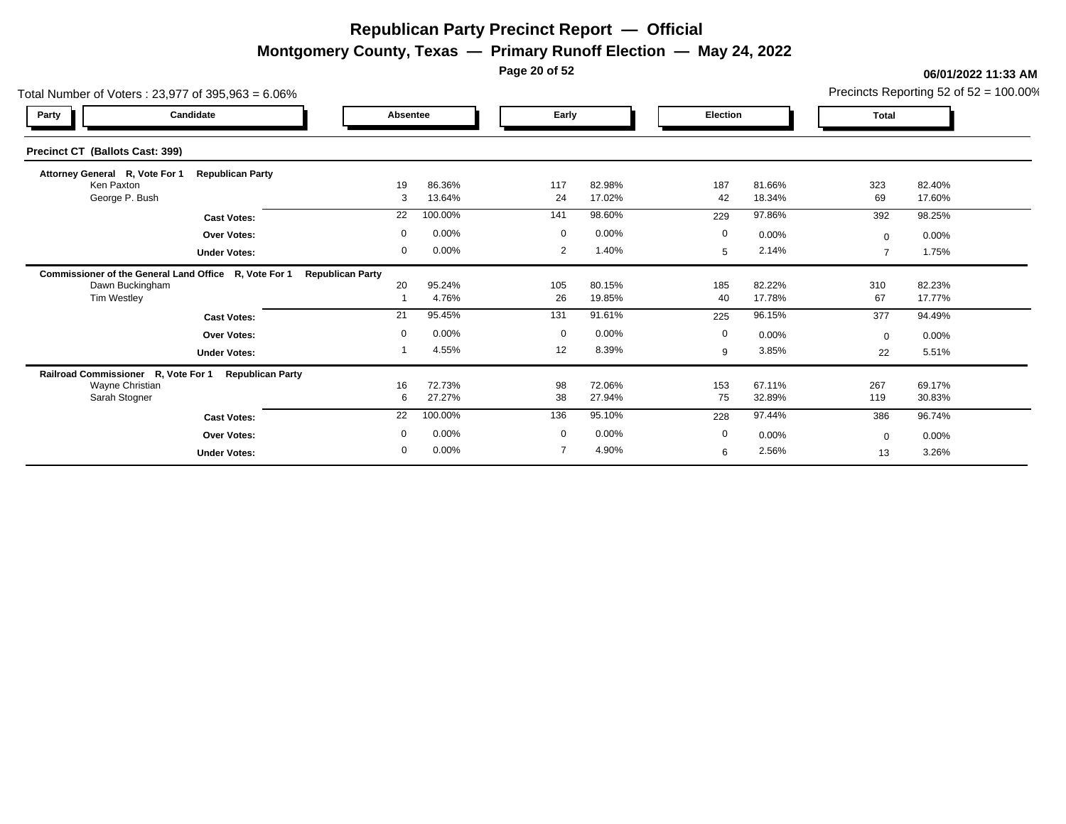**Montgomery County, Texas — Primary Runoff Election — May 24, 2022**

**Page 20 of 52**

| Total Number of Voters: 23,977 of 395,963 = 6.06%     |                         |             |                  |             |                  |             |                  |                          | Precincts Reporting 52 of $52 = 100.00\%$ |
|-------------------------------------------------------|-------------------------|-------------|------------------|-------------|------------------|-------------|------------------|--------------------------|-------------------------------------------|
| Candidate<br>Party                                    |                         | Absentee    |                  | Early       |                  | Election    |                  | <b>Total</b>             |                                           |
| Precinct CT (Ballots Cast: 399)                       |                         |             |                  |             |                  |             |                  |                          |                                           |
| Attorney General R, Vote For 1                        | <b>Republican Party</b> |             |                  |             |                  |             |                  |                          |                                           |
| Ken Paxton<br>George P. Bush                          |                         | 19<br>3     | 86.36%<br>13.64% | 117<br>24   | 82.98%<br>17.02% | 187<br>42   | 81.66%<br>18.34% | 323<br>69                | 82.40%<br>17.60%                          |
|                                                       | <b>Cast Votes:</b>      | 22          | 100.00%          | 141         | 98.60%           | 229         | 97.86%           | 392                      | 98.25%                                    |
|                                                       | <b>Over Votes:</b>      | $\mathbf 0$ | 0.00%            | $\mathbf 0$ | 0.00%            | $\mathbf 0$ | 0.00%            | $\Omega$                 | 0.00%                                     |
|                                                       | <b>Under Votes:</b>     | 0           | 0.00%            | 2           | 1.40%            | 5           | 2.14%            | $\overline{\phantom{a}}$ | 1.75%                                     |
| Commissioner of the General Land Office R, Vote For 1 | <b>Republican Party</b> |             |                  |             |                  |             |                  |                          |                                           |
| Dawn Buckingham                                       |                         | 20          | 95.24%           | 105         | 80.15%           | 185         | 82.22%           | 310                      | 82.23%                                    |
| Tim Westley                                           |                         |             | 4.76%            | 26          | 19.85%           | 40          | 17.78%           | 67                       | 17.77%                                    |
|                                                       | <b>Cast Votes:</b>      | 21          | 95.45%           | 131         | 91.61%           | 225         | 96.15%           | 377                      | 94.49%                                    |
|                                                       | <b>Over Votes:</b>      | $\mathbf 0$ | 0.00%            | $\mathbf 0$ | 0.00%            | $\mathbf 0$ | 0.00%            | $\Omega$                 | $0.00\%$                                  |
|                                                       | <b>Under Votes:</b>     |             | 4.55%            | 12          | 8.39%            | 9           | 3.85%            | 22                       | 5.51%                                     |
| Railroad Commissioner R, Vote For 1                   | <b>Republican Party</b> |             |                  |             |                  |             |                  |                          |                                           |
| Wayne Christian<br>Sarah Stogner                      |                         | 16<br>6     | 72.73%<br>27.27% | 98<br>38    | 72.06%<br>27.94% | 153<br>75   | 67.11%<br>32.89% | 267<br>119               | 69.17%<br>30.83%                          |
|                                                       |                         | 22          | 100.00%          | 136         | 95.10%           |             | 97.44%           |                          | 96.74%                                    |
|                                                       | <b>Cast Votes:</b>      |             |                  |             |                  | 228         |                  | 386                      |                                           |
|                                                       | <b>Over Votes:</b>      | $\mathbf 0$ | 0.00%            | $\mathbf 0$ | 0.00%            | $\mathbf 0$ | 0.00%            | $\Omega$                 | 0.00%                                     |
|                                                       | <b>Under Votes:</b>     | $\mathbf 0$ | 0.00%            | 7           | 4.90%            | 6           | 2.56%            | 13                       | 3.26%                                     |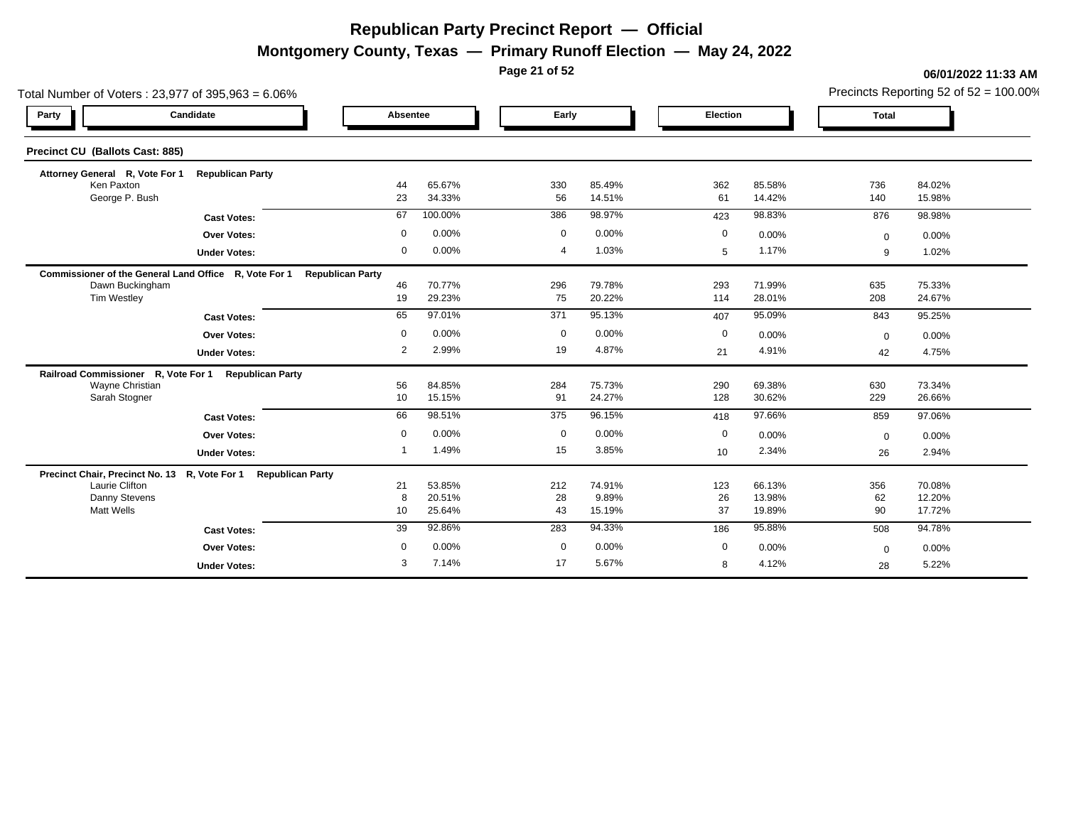**Montgomery County, Texas — Primary Runoff Election — May 24, 2022**

**Page 21 of 52**

|                                     | Total Number of Voters: 23,977 of 395,963 = 6.06%              |                         |                  |                | Precincts Reporting 52 of $52 = 100.00\%$ |             |                  |              |                  |
|-------------------------------------|----------------------------------------------------------------|-------------------------|------------------|----------------|-------------------------------------------|-------------|------------------|--------------|------------------|
| Party                               | Candidate                                                      | Absentee                |                  | Early          |                                           | Election    |                  | <b>Total</b> |                  |
| Precinct CU (Ballots Cast: 885)     |                                                                |                         |                  |                |                                           |             |                  |              |                  |
| Attorney General R, Vote For 1      | <b>Republican Party</b>                                        |                         |                  |                |                                           |             |                  |              |                  |
| Ken Paxton<br>George P. Bush        |                                                                | 44<br>23                | 65.67%<br>34.33% | 330<br>56      | 85.49%<br>14.51%                          | 362<br>61   | 85.58%<br>14.42% | 736          | 84.02%<br>15.98% |
|                                     |                                                                |                         |                  |                |                                           |             |                  | 140          |                  |
|                                     | <b>Cast Votes:</b>                                             | 67                      | 100.00%          | 386            | 98.97%                                    | 423         | 98.83%           | 876          | 98.98%           |
|                                     | <b>Over Votes:</b>                                             | $\mathbf 0$             | 0.00%            | $\mathbf 0$    | 0.00%                                     | 0           | 0.00%            | $\mathbf{0}$ | 0.00%            |
|                                     | <b>Under Votes:</b>                                            | $\mathbf 0$             | 0.00%            | $\overline{4}$ | 1.03%                                     | 5           | 1.17%            | 9            | 1.02%            |
|                                     | Commissioner of the General Land Office R, Vote For 1          | <b>Republican Party</b> |                  |                |                                           |             |                  |              |                  |
| Dawn Buckingham<br>Tim Westley      |                                                                | 46                      | 70.77%           | 296            | 79.78%<br>20.22%                          | 293<br>114  | 71.99%<br>28.01% | 635          | 75.33%<br>24.67% |
|                                     |                                                                | 19                      | 29.23%           | 75             |                                           |             |                  | 208          |                  |
|                                     | <b>Cast Votes:</b>                                             | 65                      | 97.01%           | 371            | 95.13%                                    | 407         | 95.09%           | 843          | 95.25%           |
|                                     | <b>Over Votes:</b>                                             | $\Omega$                | 0.00%            | $\mathbf 0$    | 0.00%                                     | 0           | 0.00%            | $\mathbf{0}$ | 0.00%            |
|                                     | <b>Under Votes:</b>                                            | $\overline{2}$          | 2.99%            | 19             | 4.87%                                     | 21          | 4.91%            | 42           | 4.75%            |
| Railroad Commissioner R, Vote For 1 | <b>Republican Party</b>                                        |                         |                  |                |                                           |             |                  |              |                  |
| Wayne Christian                     |                                                                | 56                      | 84.85%           | 284            | 75.73%                                    | 290         | 69.38%           | 630          | 73.34%           |
| Sarah Stogner                       |                                                                | 10                      | 15.15%           | 91             | 24.27%                                    | 128         | 30.62%           | 229          | 26.66%           |
|                                     | <b>Cast Votes:</b>                                             | 66                      | 98.51%           | 375            | 96.15%                                    | 418         | 97.66%           | 859          | 97.06%           |
|                                     | <b>Over Votes:</b>                                             | $\mathbf 0$             | 0.00%            | $\mathbf 0$    | 0.00%                                     | $\mathbf 0$ | 0.00%            | $\Omega$     | 0.00%            |
|                                     | <b>Under Votes:</b>                                            |                         | 1.49%            | 15             | 3.85%                                     | 10          | 2.34%            | 26           | 2.94%            |
|                                     | Precinct Chair, Precinct No. 13 R, Vote For 1 Republican Party |                         |                  |                |                                           |             |                  |              |                  |
| Laurie Clifton                      |                                                                | 21                      | 53.85%           | 212            | 74.91%                                    | 123         | 66.13%           | 356          | 70.08%           |
| Danny Stevens                       |                                                                | 8                       | 20.51%           | 28             | 9.89%                                     | 26          | 13.98%           | 62           | 12.20%           |
| <b>Matt Wells</b>                   |                                                                | 10                      | 25.64%           | 43             | 15.19%                                    | 37          | 19.89%           | 90           | 17.72%           |
|                                     | <b>Cast Votes:</b>                                             | 39                      | 92.86%           | 283            | 94.33%                                    | 186         | 95.88%           | 508          | 94.78%           |
|                                     | <b>Over Votes:</b>                                             | $\Omega$                | 0.00%            | $\mathbf 0$    | 0.00%                                     | $\mathbf 0$ | 0.00%            | $\mathbf 0$  | 0.00%            |
|                                     | <b>Under Votes:</b>                                            | 3                       | 7.14%            | 17             | 5.67%                                     | 8           | 4.12%            | 28           | 5.22%            |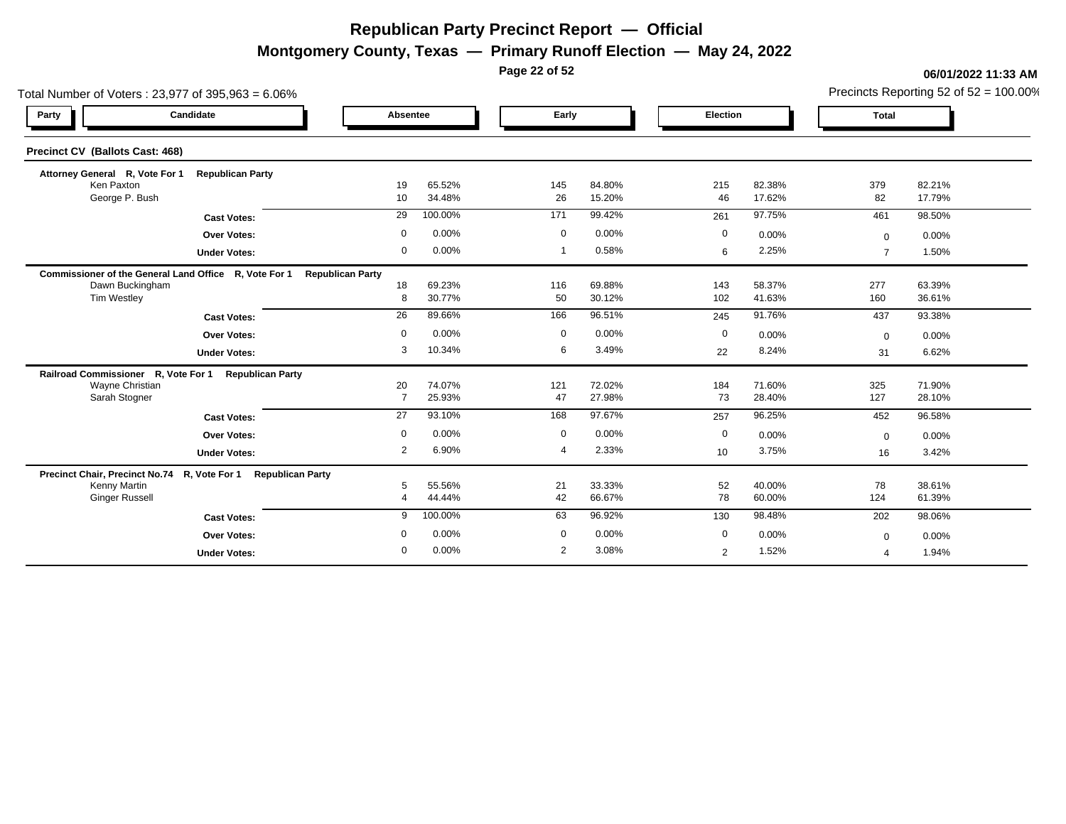**Montgomery County, Texas — Primary Runoff Election — May 24, 2022**

**Page 22 of 52**

| Total Number of Voters: 23,977 of 395,963 = 6.06%             |                         |                         |                  | Precincts Reporting 52 of 52 = 100.00% |                         |                 |                  |                |                  |
|---------------------------------------------------------------|-------------------------|-------------------------|------------------|----------------------------------------|-------------------------|-----------------|------------------|----------------|------------------|
| Party                                                         | Candidate               | Absentee                |                  |                                        | Early                   | Election        |                  | <b>Total</b>   |                  |
| Precinct CV (Ballots Cast: 468)                               |                         |                         |                  |                                        |                         |                 |                  |                |                  |
| Attorney General R, Vote For 1                                | <b>Republican Party</b> |                         |                  |                                        |                         |                 |                  |                |                  |
| Ken Paxton<br>George P. Bush                                  |                         | 19<br>10 <sup>°</sup>   | 65.52%<br>34.48% | 145<br>26                              | 84.80%<br>15.20%        | 215<br>46       | 82.38%<br>17.62% | 379<br>82      | 82.21%<br>17.79% |
|                                                               | <b>Cast Votes:</b>      | 29                      | 100.00%          | 171                                    | 99.42%                  | 261             | 97.75%           | 461            | 98.50%           |
|                                                               | <b>Over Votes:</b>      | $\mathbf 0$             | 0.00%            | $\mathbf 0$                            | 0.00%                   | $\mathbf 0$     | 0.00%            | $\Omega$       | 0.00%            |
|                                                               | <b>Under Votes:</b>     | $\mathbf 0$             | 0.00%            | -1                                     | 0.58%                   | 6               | 2.25%            | $\overline{7}$ | 1.50%            |
| Commissioner of the General Land Office R, Vote For 1         |                         | <b>Republican Party</b> |                  |                                        |                         |                 |                  |                |                  |
| Dawn Buckingham<br>Tim Westley                                |                         | 18<br>8                 | 69.23%<br>30.77% | 116<br>50                              | 69.88%<br>30.12%        | 143<br>102      | 58.37%<br>41.63% | 277<br>160     | 63.39%<br>36.61% |
|                                                               | <b>Cast Votes:</b>      | $\overline{26}$         | 89.66%           | 166                                    | 96.51%                  | 245             | 91.76%           | 437            | 93.38%           |
|                                                               | <b>Over Votes:</b>      | $\mathbf 0$             | 0.00%            | $\mathbf 0$                            | 0.00%                   | 0               | 0.00%            | $\mathbf 0$    | 0.00%            |
|                                                               | <b>Under Votes:</b>     | 3                       | 10.34%           |                                        | 3.49%<br>6              | 22              | 8.24%            | 31             | 6.62%            |
| Railroad Commissioner R, Vote For 1                           | <b>Republican Party</b> |                         |                  |                                        |                         |                 |                  |                |                  |
| Wayne Christian<br>Sarah Stogner                              |                         | 20<br>$\overline{7}$    | 74.07%<br>25.93% | 121<br>47                              | 72.02%<br>27.98%        | 184<br>73       | 71.60%<br>28.40% | 325<br>127     | 71.90%<br>28.10% |
|                                                               | <b>Cast Votes:</b>      | 27                      | 93.10%           | 168                                    | 97.67%                  | 257             | 96.25%           | 452            | 96.58%           |
|                                                               | <b>Over Votes:</b>      | $\mathbf 0$             | 0.00%            | $\mathbf 0$                            | 0.00%                   | $\mathbf 0$     | 0.00%            | $\mathbf{0}$   | 0.00%            |
|                                                               | <b>Under Votes:</b>     | 2                       | 6.90%            | $\overline{\mathcal{A}}$               | 2.33%                   | 10 <sup>°</sup> | 3.75%            | 16             | 3.42%            |
| Precinct Chair, Precinct No.74 R, Vote For 1 Republican Party |                         |                         |                  |                                        |                         |                 |                  |                |                  |
| Kenny Martin<br><b>Ginger Russell</b>                         |                         | 5<br>4                  | 55.56%<br>44.44% | 21<br>42                               | 33.33%<br>66.67%        | 52<br>78        | 40.00%<br>60.00% | 78<br>124      | 38.61%<br>61.39% |
|                                                               | <b>Cast Votes:</b>      | 9                       | 100.00%          | 63                                     | 96.92%                  | 130             | 98.48%           | 202            | 98.06%           |
|                                                               | <b>Over Votes:</b>      | $\mathbf 0$             | 0.00%            | $\mathbf 0$                            | 0.00%                   | $\mathbf{0}$    | 0.00%            | $\mathbf 0$    | 0.00%            |
|                                                               | <b>Under Votes:</b>     | $\mathbf{0}$            | 0.00%            |                                        | $\overline{2}$<br>3.08% | 2               | 1.52%            | $\mathbf 4$    | 1.94%            |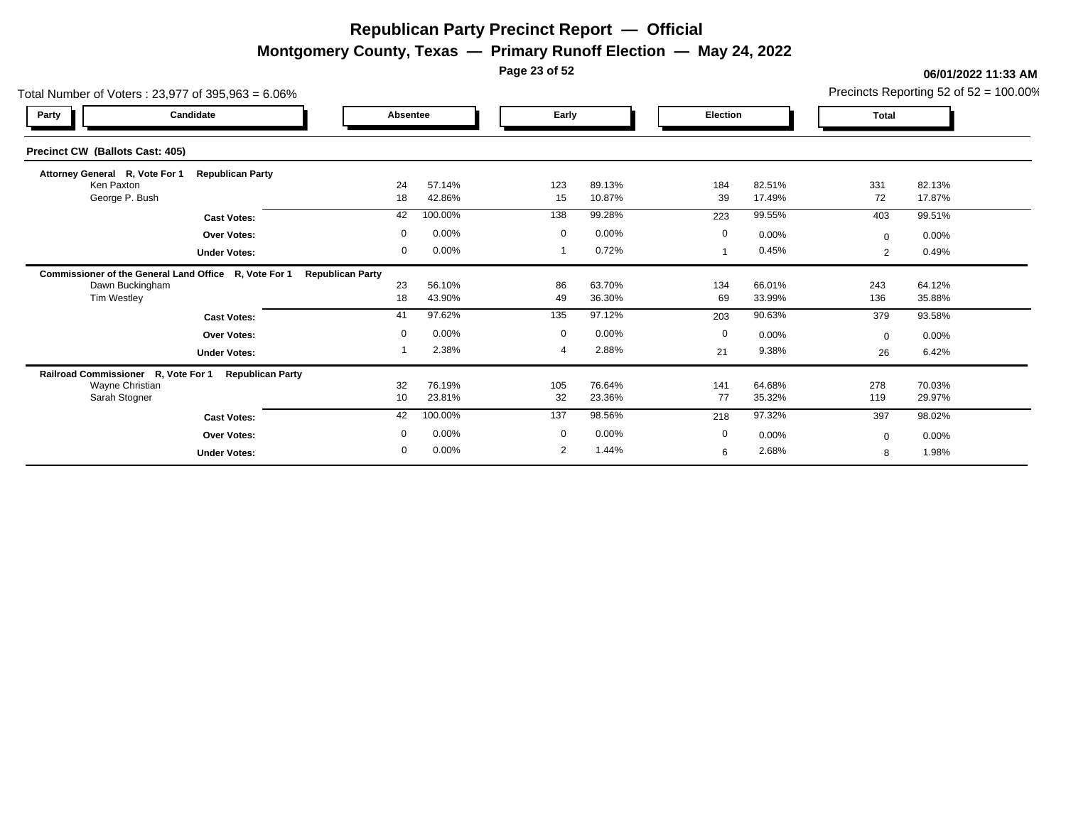**Montgomery County, Texas — Primary Runoff Election — May 24, 2022**

**Page 23 of 52**

| Total Number of Voters: 23,977 of 395,963 = 6.06%     |                         |             |                  |             |                  |                 |                  |                | Precincts Reporting 52 of $52 = 100.00\%$ |
|-------------------------------------------------------|-------------------------|-------------|------------------|-------------|------------------|-----------------|------------------|----------------|-------------------------------------------|
| Candidate<br>Party                                    |                         | Absentee    |                  | Early       |                  | <b>Election</b> |                  | <b>Total</b>   |                                           |
| Precinct CW (Ballots Cast: 405)                       |                         |             |                  |             |                  |                 |                  |                |                                           |
| Attorney General R, Vote For 1                        | <b>Republican Party</b> |             |                  |             |                  |                 |                  |                |                                           |
| Ken Paxton<br>George P. Bush                          |                         | 24<br>18    | 57.14%<br>42.86% | 123<br>15   | 89.13%<br>10.87% | 184<br>39       | 82.51%<br>17.49% | 331<br>72      | 82.13%<br>17.87%                          |
|                                                       | <b>Cast Votes:</b>      | 42          | 100.00%          | 138         | 99.28%           | 223             | 99.55%           | 403            | 99.51%                                    |
|                                                       | <b>Over Votes:</b>      | $\mathbf 0$ | 0.00%            | $\mathbf 0$ | 0.00%            | $\mathbf 0$     | 0.00%            | $\Omega$       | 0.00%                                     |
|                                                       | <b>Under Votes:</b>     | 0           | 0.00%            |             | 0.72%            |                 | 0.45%            | $\overline{2}$ | 0.49%                                     |
| Commissioner of the General Land Office R, Vote For 1 | <b>Republican Party</b> |             |                  |             |                  |                 |                  |                |                                           |
| Dawn Buckingham                                       |                         | 23          | 56.10%           | 86          | 63.70%           | 134             | 66.01%           | 243            | 64.12%                                    |
| Tim Westley                                           |                         | 18          | 43.90%           | 49          | 36.30%           | 69              | 33.99%           | 136            | 35.88%                                    |
|                                                       | <b>Cast Votes:</b>      | 41          | 97.62%           | 135         | 97.12%           | 203             | 90.63%           | 379            | 93.58%                                    |
|                                                       | <b>Over Votes:</b>      | $\mathbf 0$ | 0.00%            | $\mathbf 0$ | 0.00%            | $\mathbf 0$     | 0.00%            | $\Omega$       | 0.00%                                     |
|                                                       | <b>Under Votes:</b>     |             | 2.38%            |             | 2.88%            | 21              | 9.38%            | 26             | 6.42%                                     |
| Railroad Commissioner R, Vote For 1                   | <b>Republican Party</b> |             |                  |             |                  |                 |                  |                |                                           |
| Wayne Christian<br>Sarah Stogner                      |                         | 32<br>10    | 76.19%<br>23.81% | 105<br>32   | 76.64%<br>23.36% | 141<br>77       | 64.68%<br>35.32% | 278<br>119     | 70.03%<br>29.97%                          |
|                                                       |                         | 42          | 100.00%          | 137         | 98.56%           |                 | 97.32%           |                | 98.02%                                    |
|                                                       | <b>Cast Votes:</b>      |             |                  |             |                  | 218             |                  | 397            |                                           |
|                                                       | <b>Over Votes:</b>      | $\mathbf 0$ | 0.00%            | $\mathbf 0$ | 0.00%            | $\mathbf 0$     | 0.00%            | $\Omega$       | $0.00\%$                                  |
|                                                       | <b>Under Votes:</b>     | $\mathbf 0$ | 0.00%            | 2           | 1.44%            | 6               | 2.68%            | 8              | 1.98%                                     |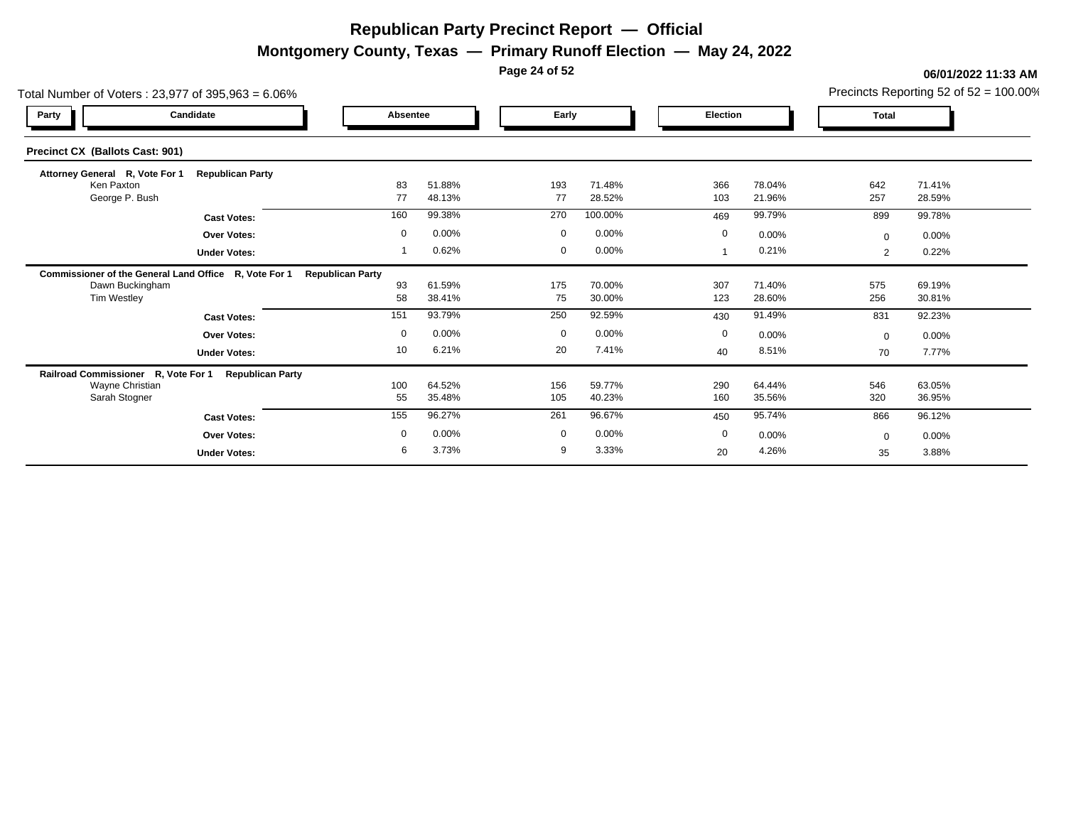**Montgomery County, Texas — Primary Runoff Election — May 24, 2022**

**Page 24 of 52**

| Total Number of Voters: 23,977 of 395,963 = 6.06%     |                         |                         |                  |             |                  |                 |                  |                | Precincts Reporting 52 of $52 = 100.00\%$ |
|-------------------------------------------------------|-------------------------|-------------------------|------------------|-------------|------------------|-----------------|------------------|----------------|-------------------------------------------|
| Party                                                 | Candidate               | Absentee                |                  | Early       |                  | <b>Election</b> |                  | <b>Total</b>   |                                           |
| Precinct CX (Ballots Cast: 901)                       |                         |                         |                  |             |                  |                 |                  |                |                                           |
| Attorney General R, Vote For 1                        | <b>Republican Party</b> |                         |                  |             |                  |                 |                  |                |                                           |
| Ken Paxton<br>George P. Bush                          |                         | 83<br>77                | 51.88%<br>48.13% | 193<br>77   | 71.48%<br>28.52% | 366<br>103      | 78.04%<br>21.96% | 642<br>257     | 71.41%<br>28.59%                          |
|                                                       | <b>Cast Votes:</b>      | 160                     | 99.38%           | 270         | 100.00%          | 469             | 99.79%           | 899            | 99.78%                                    |
|                                                       | <b>Over Votes:</b>      | $\mathbf 0$             | 0.00%            | $\mathbf 0$ | 0.00%            | $\mathbf 0$     | 0.00%            | $\Omega$       | $0.00\%$                                  |
|                                                       | <b>Under Votes:</b>     |                         | 0.62%            | $\mathbf 0$ | 0.00%            |                 | 0.21%            | $\overline{2}$ | 0.22%                                     |
| Commissioner of the General Land Office R, Vote For 1 |                         | <b>Republican Party</b> |                  |             |                  |                 |                  |                |                                           |
| Dawn Buckingham<br>Tim Westley                        |                         | 93<br>58                | 61.59%<br>38.41% | 175<br>75   | 70.00%<br>30.00% | 307<br>123      | 71.40%<br>28.60% | 575<br>256     | 69.19%<br>30.81%                          |
|                                                       | <b>Cast Votes:</b>      | 151                     | 93.79%           | 250         | 92.59%           | 430             | 91.49%           | 831            | 92.23%                                    |
|                                                       | <b>Over Votes:</b>      | $\mathbf 0$             | 0.00%            | $\mathbf 0$ | 0.00%            | $\mathbf 0$     | 0.00%            | $\Omega$       | 0.00%                                     |
|                                                       | <b>Under Votes:</b>     | 10                      | 6.21%            | 20          | 7.41%            | 40              | 8.51%            | 70             | 7.77%                                     |
| Railroad Commissioner R, Vote For 1                   | <b>Republican Party</b> |                         |                  |             |                  |                 |                  |                |                                           |
| Wayne Christian<br>Sarah Stogner                      |                         | 100<br>55               | 64.52%<br>35.48% | 156<br>105  | 59.77%<br>40.23% | 290<br>160      | 64.44%<br>35.56% | 546<br>320     | 63.05%<br>36.95%                          |
|                                                       | <b>Cast Votes:</b>      | 155                     | 96.27%           | 261         | 96.67%           | 450             | 95.74%           | 866            | 96.12%                                    |
|                                                       | <b>Over Votes:</b>      | $\mathbf 0$             | 0.00%            | $\mathbf 0$ | 0.00%            | $\mathbf 0$     | 0.00%            | $\Omega$       | $0.00\%$                                  |
|                                                       | <b>Under Votes:</b>     | 6                       | 3.73%            | 9           | 3.33%            | 20              | 4.26%            | 35             | 3.88%                                     |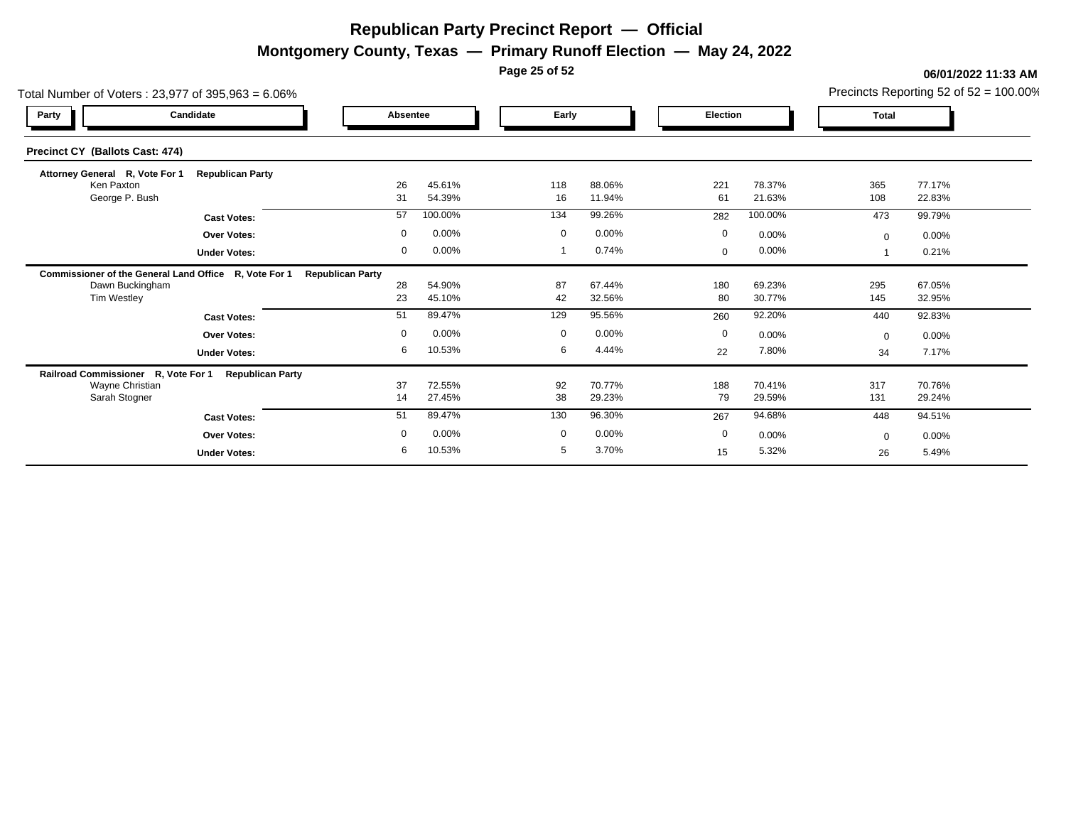**Montgomery County, Texas — Primary Runoff Election — May 24, 2022**

**Page 25 of 52**

| Total Number of Voters: 23,977 of 395,963 = 6.06%     |                         |                         |                  |             |                  |                 |                  |              | Precincts Reporting 52 of $52 = 100.00\%$ |
|-------------------------------------------------------|-------------------------|-------------------------|------------------|-------------|------------------|-----------------|------------------|--------------|-------------------------------------------|
| Party                                                 | Candidate               | Absentee                |                  | Early       |                  | <b>Election</b> |                  | <b>Total</b> |                                           |
| Precinct CY (Ballots Cast: 474)                       |                         |                         |                  |             |                  |                 |                  |              |                                           |
| Attorney General R, Vote For 1                        | <b>Republican Party</b> |                         |                  |             |                  |                 |                  |              |                                           |
| Ken Paxton<br>George P. Bush                          |                         | 26<br>31                | 45.61%<br>54.39% | 118<br>16   | 88.06%<br>11.94% | 221<br>61       | 78.37%<br>21.63% | 365<br>108   | 77.17%<br>22.83%                          |
|                                                       | <b>Cast Votes:</b>      | 57                      | 100.00%          | 134         | 99.26%           | 282             | 100.00%          | 473          | 99.79%                                    |
|                                                       | <b>Over Votes:</b>      | $\mathbf 0$             | 0.00%            | $\mathbf 0$ | 0.00%            | $\mathbf 0$     | 0.00%            | $\mathbf{0}$ | $0.00\%$                                  |
|                                                       | <b>Under Votes:</b>     | 0                       | 0.00%            |             | 0.74%            | $\mathbf{0}$    | 0.00%            |              | 0.21%                                     |
| Commissioner of the General Land Office R, Vote For 1 |                         | <b>Republican Party</b> |                  |             |                  |                 |                  |              |                                           |
| Dawn Buckingham                                       |                         | 28                      | 54.90%           | 87          | 67.44%           | 180             | 69.23%           | 295          | 67.05%                                    |
| Tim Westley                                           |                         | 23                      | 45.10%           | 42          | 32.56%           | 80              | 30.77%           | 145          | 32.95%                                    |
|                                                       | <b>Cast Votes:</b>      | 51                      | 89.47%           | 129         | 95.56%           | 260             | 92.20%           | 440          | 92.83%                                    |
|                                                       | <b>Over Votes:</b>      | $\mathbf 0$             | 0.00%            | $\mathbf 0$ | 0.00%            | $\mathbf 0$     | 0.00%            | $\Omega$     | 0.00%                                     |
|                                                       | <b>Under Votes:</b>     | 6                       | 10.53%           | 6           | 4.44%            | 22              | 7.80%            | 34           | 7.17%                                     |
| Railroad Commissioner R, Vote For 1                   | <b>Republican Party</b> |                         |                  |             |                  |                 |                  |              |                                           |
| Wayne Christian<br>Sarah Stogner                      |                         | 37<br>14                | 72.55%<br>27.45% | 92<br>38    | 70.77%<br>29.23% | 188<br>79       | 70.41%<br>29.59% | 317<br>131   | 70.76%<br>29.24%                          |
|                                                       |                         |                         |                  |             |                  |                 |                  |              |                                           |
|                                                       | <b>Cast Votes:</b>      | 51                      | 89.47%           | 130         | 96.30%           | 267             | 94.68%           | 448          | 94.51%                                    |
|                                                       | Over Votes:             | $\mathbf 0$             | 0.00%            | $\mathbf 0$ | 0.00%            | 0               | 0.00%            | $\Omega$     | $0.00\%$                                  |
|                                                       | <b>Under Votes:</b>     | 6                       | 10.53%           | 5           | 3.70%            | 15              | 5.32%            | 26           | 5.49%                                     |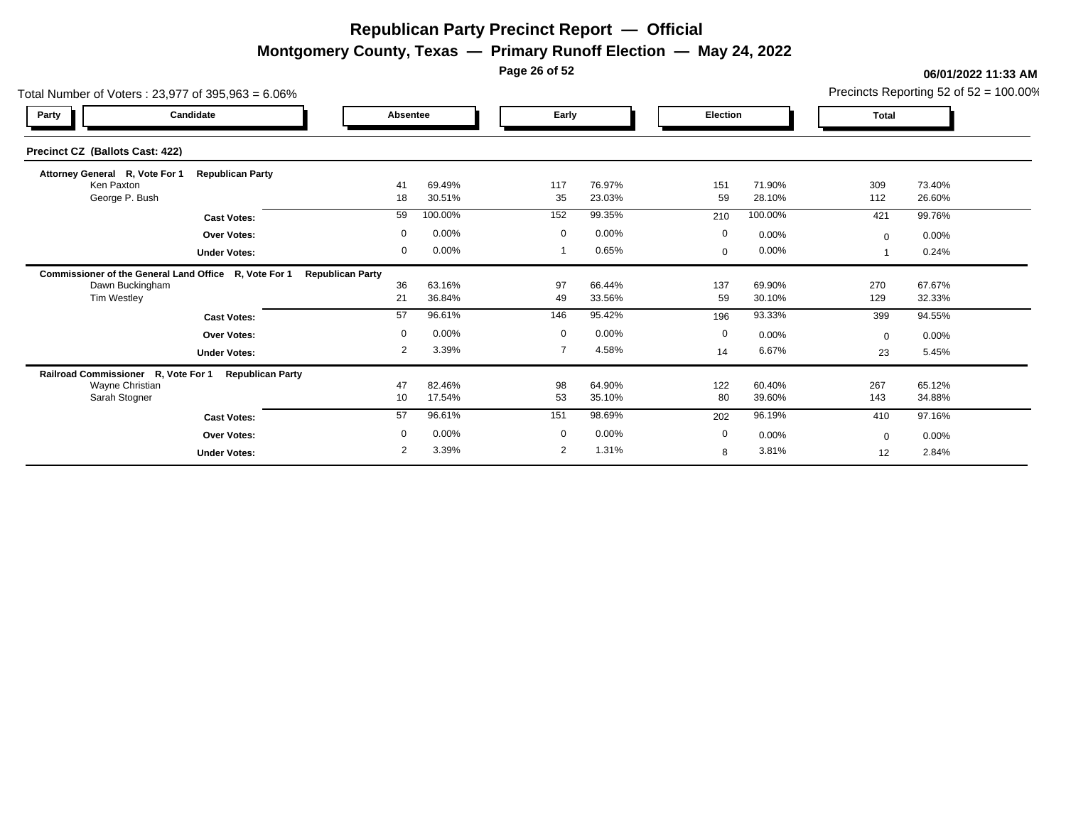**Montgomery County, Texas — Primary Runoff Election — May 24, 2022**

**Page 26 of 52**

| Total Number of Voters: 23,977 of 395,963 = 6.06%     |                         |                         |                  |             |                  |             |                  |              | Precincts Reporting 52 of $52 = 100.00\%$ |
|-------------------------------------------------------|-------------------------|-------------------------|------------------|-------------|------------------|-------------|------------------|--------------|-------------------------------------------|
| Party                                                 | Candidate               | Absentee                |                  | Early       |                  | Election    |                  | <b>Total</b> |                                           |
| Precinct CZ (Ballots Cast: 422)                       |                         |                         |                  |             |                  |             |                  |              |                                           |
| Attorney General R, Vote For 1                        | <b>Republican Party</b> |                         |                  |             |                  |             |                  |              |                                           |
| Ken Paxton<br>George P. Bush                          |                         | 41<br>18                | 69.49%<br>30.51% | 117<br>35   | 76.97%<br>23.03% | 151<br>59   | 71.90%<br>28.10% | 309<br>112   | 73.40%<br>26.60%                          |
|                                                       | <b>Cast Votes:</b>      | 59                      | 100.00%          | 152         | 99.35%           | 210         | 100.00%          | 421          | 99.76%                                    |
|                                                       | <b>Over Votes:</b>      | $\mathbf 0$             | 0.00%            | $\mathbf 0$ | 0.00%            | $\mathbf 0$ | 0.00%            | $\mathbf{0}$ | 0.00%                                     |
|                                                       | <b>Under Votes:</b>     | $\mathbf{0}$            | 0.00%            |             | 0.65%            | 0           | 0.00%            |              | 0.24%                                     |
| Commissioner of the General Land Office R, Vote For 1 |                         | <b>Republican Party</b> |                  |             |                  |             |                  |              |                                           |
| Dawn Buckingham                                       |                         | 36                      | 63.16%           | 97          | 66.44%           | 137         | 69.90%           | 270          | 67.67%                                    |
| Tim Westley                                           |                         | 21                      | 36.84%           | 49          | 33.56%           | 59          | 30.10%           | 129          | 32.33%                                    |
|                                                       | <b>Cast Votes:</b>      | 57                      | 96.61%           | 146         | 95.42%           | 196         | 93.33%           | 399          | 94.55%                                    |
|                                                       | <b>Over Votes:</b>      | $\mathbf 0$             | 0.00%            | $\mathbf 0$ | 0.00%            | $\mathbf 0$ | 0.00%            | $\Omega$     | $0.00\%$                                  |
|                                                       | <b>Under Votes:</b>     | $\overline{2}$          | 3.39%            |             | 4.58%            | 14          | 6.67%            | 23           | 5.45%                                     |
| Railroad Commissioner R, Vote For 1                   | <b>Republican Party</b> |                         |                  |             |                  |             |                  |              |                                           |
| Wayne Christian                                       |                         | 47                      | 82.46%           | 98          | 64.90%           | 122         | 60.40%           | 267          | 65.12%                                    |
| Sarah Stogner                                         |                         | 10                      | 17.54%           | 53          | 35.10%           | 80          | 39.60%           | 143          | 34.88%                                    |
|                                                       | <b>Cast Votes:</b>      | 57                      | 96.61%           | 151         | 98.69%           | 202         | 96.19%           | 410          | 97.16%                                    |
|                                                       | <b>Over Votes:</b>      | $\mathbf 0$             | 0.00%            | $\mathbf 0$ | 0.00%            | $\mathbf 0$ | 0.00%            | $\Omega$     | $0.00\%$                                  |
|                                                       | <b>Under Votes:</b>     | 2                       | 3.39%            | 2           | 1.31%            | 8           | 3.81%            | 12           | 2.84%                                     |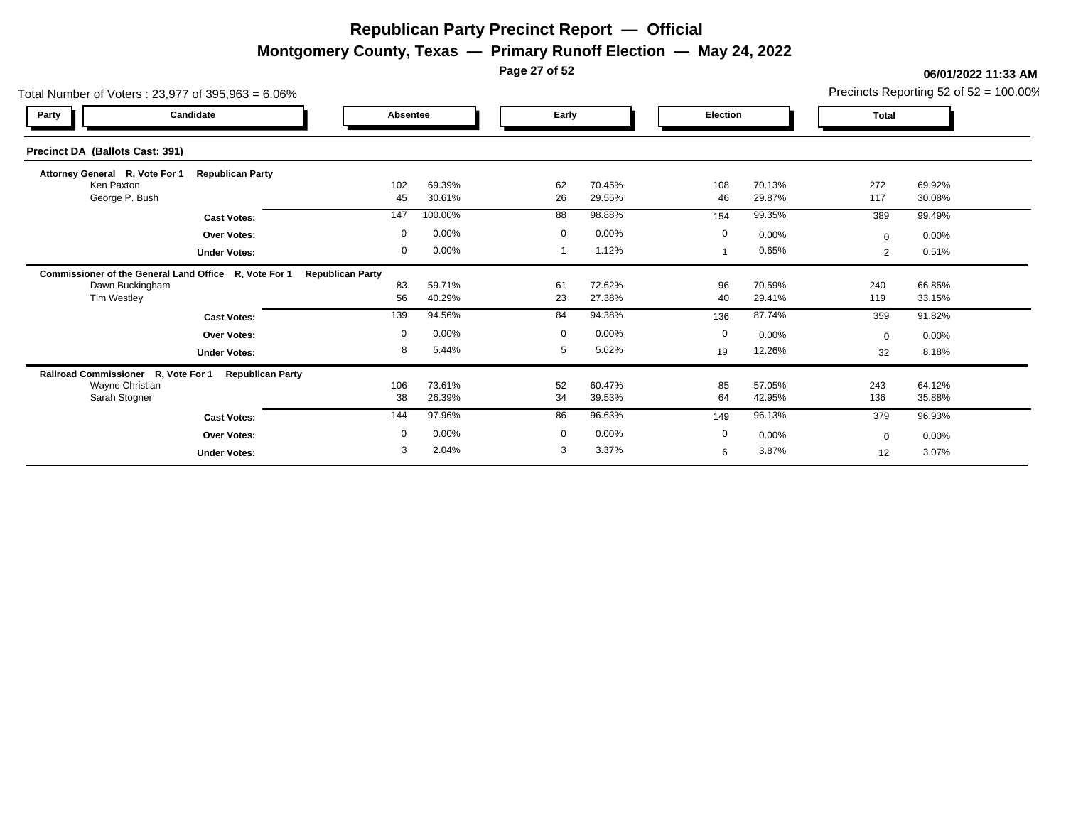**Montgomery County, Texas — Primary Runoff Election — May 24, 2022**

**Page 27 of 52**

| Total Number of Voters: 23,977 of 395,963 = 6.06%     |                         |                         |                  |                |                  |                 |                  |                | Precincts Reporting 52 of $52 = 100.00\%$ |
|-------------------------------------------------------|-------------------------|-------------------------|------------------|----------------|------------------|-----------------|------------------|----------------|-------------------------------------------|
| Party                                                 | Candidate               | Absentee                |                  | Early          |                  | <b>Election</b> |                  | <b>Total</b>   |                                           |
| Precinct DA (Ballots Cast: 391)                       |                         |                         |                  |                |                  |                 |                  |                |                                           |
| Attorney General R, Vote For 1                        | <b>Republican Party</b> |                         |                  |                |                  |                 |                  |                |                                           |
| Ken Paxton<br>George P. Bush                          |                         | 102<br>45               | 69.39%<br>30.61% | 62<br>26       | 70.45%<br>29.55% | 108<br>46       | 70.13%<br>29.87% | 272<br>117     | 69.92%<br>30.08%                          |
|                                                       | <b>Cast Votes:</b>      | 147                     | 100.00%          | 88             | 98.88%           | 154             | 99.35%           | 389            | 99.49%                                    |
|                                                       | <b>Over Votes:</b>      | $\mathbf 0$             | 0.00%            | $\mathbf 0$    | 0.00%            | $\mathbf 0$     | 0.00%            | $\Omega$       | $0.00\%$                                  |
|                                                       | <b>Under Votes:</b>     | 0                       | 0.00%            |                | 1.12%            |                 | 0.65%            | $\overline{2}$ | 0.51%                                     |
| Commissioner of the General Land Office R, Vote For 1 |                         | <b>Republican Party</b> |                  |                |                  |                 |                  |                |                                           |
| Dawn Buckingham                                       |                         | 83                      | 59.71%           | 61             | 72.62%           | 96              | 70.59%           | 240            | 66.85%                                    |
| Tim Westley                                           |                         | 56                      | 40.29%           | 23             | 27.38%           | 40              | 29.41%           | 119            | 33.15%                                    |
|                                                       | <b>Cast Votes:</b>      | 139                     | 94.56%           | 84             | 94.38%           | 136             | 87.74%           | 359            | 91.82%                                    |
|                                                       | <b>Over Votes:</b>      | $\mathbf 0$             | 0.00%            | $\overline{0}$ | 0.00%            | $\mathbf 0$     | 0.00%            | $\Omega$       | $0.00\%$                                  |
|                                                       | <b>Under Votes:</b>     | 8                       | 5.44%            | 5              | 5.62%            | 19              | 12.26%           | 32             | 8.18%                                     |
| Railroad Commissioner R, Vote For 1                   | <b>Republican Party</b> |                         |                  |                |                  |                 |                  |                |                                           |
| Wayne Christian<br>Sarah Stogner                      |                         | 106<br>38               | 73.61%<br>26.39% | 52<br>34       | 60.47%<br>39.53% | 85<br>64        | 57.05%<br>42.95% | 243<br>136     | 64.12%<br>35.88%                          |
|                                                       |                         | 144                     | 97.96%           | 86             | 96.63%           |                 | 96.13%           |                |                                           |
|                                                       | <b>Cast Votes:</b>      |                         |                  |                |                  | 149             |                  | 379            | 96.93%                                    |
|                                                       | <b>Over Votes:</b>      | $\mathbf 0$             | 0.00%            | $\mathbf 0$    | 0.00%            | $\mathbf 0$     | 0.00%            | $\Omega$       | 0.00%                                     |
|                                                       | <b>Under Votes:</b>     | 3                       | 2.04%            | 3              | 3.37%            | 6               | 3.87%            | 12             | 3.07%                                     |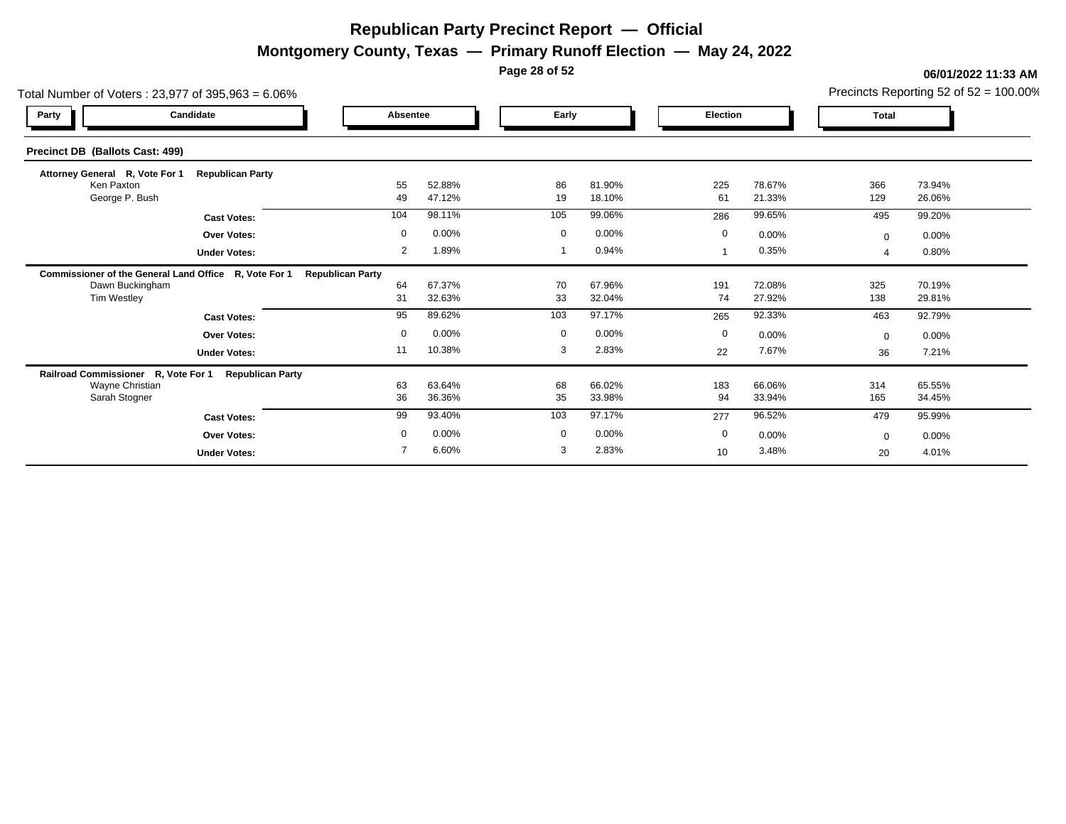**Montgomery County, Texas — Primary Runoff Election — May 24, 2022**

**Page 28 of 52**

| Total Number of Voters: 23,977 of 395,963 = 6.06%     |                         |                         |                  |             |                  |                 |                  |              | Precincts Reporting 52 of $52 = 100.00\%$ |
|-------------------------------------------------------|-------------------------|-------------------------|------------------|-------------|------------------|-----------------|------------------|--------------|-------------------------------------------|
| Party                                                 | Candidate               | Absentee                |                  | Early       |                  | <b>Election</b> |                  | <b>Total</b> |                                           |
| <b>Precinct DB (Ballots Cast: 499)</b>                |                         |                         |                  |             |                  |                 |                  |              |                                           |
| Attorney General R, Vote For 1                        | <b>Republican Party</b> |                         |                  |             |                  |                 |                  |              |                                           |
| Ken Paxton<br>George P. Bush                          |                         | 55<br>49                | 52.88%<br>47.12% | 86<br>19    | 81.90%<br>18.10% | 225<br>61       | 78.67%<br>21.33% | 366<br>129   | 73.94%<br>26.06%                          |
|                                                       | <b>Cast Votes:</b>      | 104                     | 98.11%           | 105         | 99.06%           | 286             | 99.65%           | 495          | 99.20%                                    |
|                                                       | <b>Over Votes:</b>      | $\mathbf 0$             | 0.00%            | $\mathbf 0$ | 0.00%            | $\mathbf 0$     | 0.00%            | $\mathbf{0}$ | 0.00%                                     |
|                                                       | <b>Under Votes:</b>     | 2                       | 1.89%            |             | 0.94%            |                 | 0.35%            |              | 0.80%                                     |
| Commissioner of the General Land Office R, Vote For 1 |                         | <b>Republican Party</b> |                  |             |                  |                 |                  |              |                                           |
| Dawn Buckingham                                       |                         | 64                      | 67.37%           | 70          | 67.96%           | 191             | 72.08%           | 325          | 70.19%                                    |
| Tim Westley                                           |                         | 31                      | 32.63%           | 33          | 32.04%           | 74              | 27.92%           | 138          | 29.81%                                    |
|                                                       | <b>Cast Votes:</b>      | 95                      | 89.62%           | 103         | 97.17%           | 265             | 92.33%           | 463          | 92.79%                                    |
|                                                       | <b>Over Votes:</b>      | $\mathbf 0$             | 0.00%            | $\mathbf 0$ | 0.00%            | $\mathbf 0$     | 0.00%            | $\Omega$     | $0.00\%$                                  |
|                                                       | <b>Under Votes:</b>     | 11                      | 10.38%           | 3           | 2.83%            | 22              | 7.67%            | 36           | 7.21%                                     |
| Railroad Commissioner R, Vote For 1                   | <b>Republican Party</b> |                         |                  |             |                  |                 |                  |              |                                           |
| Wayne Christian<br>Sarah Stogner                      |                         | 63<br>36                | 63.64%<br>36.36% | 68<br>35    | 66.02%<br>33.98% | 183<br>94       | 66.06%<br>33.94% | 314<br>165   | 65.55%<br>34.45%                          |
|                                                       |                         | 99                      | 93.40%           | 103         | 97.17%           | 277             | 96.52%           | 479          | 95.99%                                    |
|                                                       | <b>Cast Votes:</b>      |                         |                  |             |                  |                 |                  |              |                                           |
|                                                       | <b>Over Votes:</b>      | $\mathbf 0$             | 0.00%            | $\mathbf 0$ | 0.00%            | $\mathbf 0$     | 0.00%            | $\Omega$     | 0.00%                                     |
|                                                       | <b>Under Votes:</b>     |                         | 6.60%            | 3           | 2.83%            | 10 <sup>°</sup> | 3.48%            | 20           | 4.01%                                     |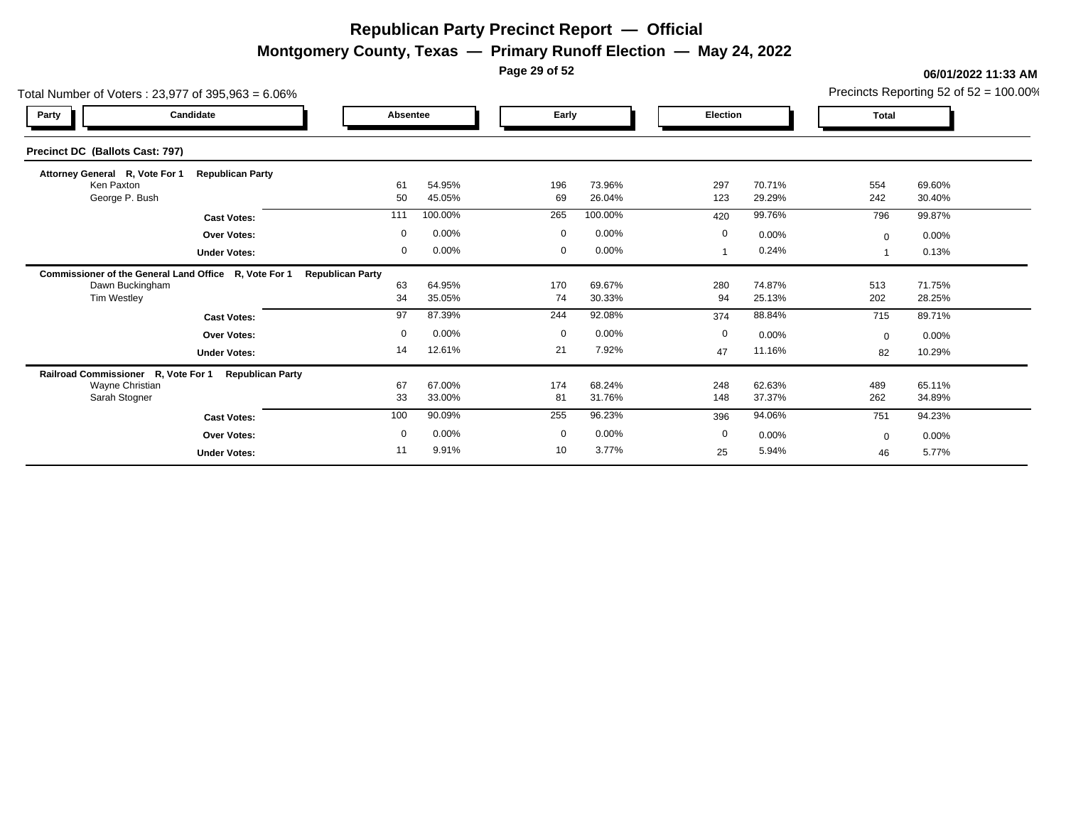**Montgomery County, Texas — Primary Runoff Election — May 24, 2022**

**Page 29 of 52**

| Total Number of Voters: 23,977 of 395,963 = 6.06%     |                         |                         |                  |             |                  |                 |                  |              | Precincts Reporting 52 of $52 = 100.00\%$ |
|-------------------------------------------------------|-------------------------|-------------------------|------------------|-------------|------------------|-----------------|------------------|--------------|-------------------------------------------|
| Party                                                 | Candidate               | Absentee                |                  | Early       |                  | <b>Election</b> |                  | <b>Total</b> |                                           |
| Precinct DC (Ballots Cast: 797)                       |                         |                         |                  |             |                  |                 |                  |              |                                           |
| Attorney General R, Vote For 1                        | <b>Republican Party</b> |                         |                  |             |                  |                 |                  |              |                                           |
| Ken Paxton<br>George P. Bush                          |                         | 61<br>50                | 54.95%<br>45.05% | 196<br>69   | 73.96%<br>26.04% | 297<br>123      | 70.71%<br>29.29% | 554<br>242   | 69.60%<br>30.40%                          |
|                                                       | <b>Cast Votes:</b>      | 111                     | 100.00%          | 265         | 100.00%          | 420             | 99.76%           | 796          | 99.87%                                    |
|                                                       | <b>Over Votes:</b>      | $\mathbf 0$             | 0.00%            | $\mathbf 0$ | 0.00%            | $\mathbf 0$     | 0.00%            | $\mathbf{0}$ | 0.00%                                     |
|                                                       | <b>Under Votes:</b>     | 0                       | 0.00%            | $\mathbf 0$ | 0.00%            |                 | 0.24%            |              | 0.13%                                     |
| Commissioner of the General Land Office R, Vote For 1 |                         | <b>Republican Party</b> |                  |             |                  |                 |                  |              |                                           |
| Dawn Buckingham                                       |                         | 63<br>34                | 64.95%<br>35.05% | 170<br>74   | 69.67%<br>30.33% | 280<br>94       | 74.87%<br>25.13% | 513<br>202   | 71.75%<br>28.25%                          |
| Tim Westley                                           |                         |                         |                  |             |                  |                 |                  |              |                                           |
|                                                       | <b>Cast Votes:</b>      | 97                      | 87.39%           | 244         | 92.08%           | 374             | 88.84%           | 715          | 89.71%                                    |
|                                                       | <b>Over Votes:</b>      | $\mathbf 0$             | 0.00%            | $\mathbf 0$ | 0.00%            | 0               | 0.00%            | $\Omega$     | 0.00%                                     |
|                                                       | <b>Under Votes:</b>     | 14                      | 12.61%           | 21          | 7.92%            | 47              | 11.16%           | 82           | 10.29%                                    |
| Railroad Commissioner R, Vote For 1                   | <b>Republican Party</b> |                         |                  |             |                  |                 |                  |              |                                           |
| Wayne Christian<br>Sarah Stogner                      |                         | 67<br>33                | 67.00%<br>33.00% | 174<br>81   | 68.24%<br>31.76% | 248<br>148      | 62.63%<br>37.37% | 489<br>262   | 65.11%<br>34.89%                          |
|                                                       |                         |                         |                  |             |                  |                 |                  |              |                                           |
|                                                       | <b>Cast Votes:</b>      | 100                     | 90.09%           | 255         | 96.23%           | 396             | 94.06%           | 751          | 94.23%                                    |
|                                                       | <b>Over Votes:</b>      | $\mathbf 0$             | 0.00%            | $\mathbf 0$ | 0.00%            | 0               | 0.00%            | $\Omega$     | 0.00%                                     |
|                                                       | <b>Under Votes:</b>     | 11                      | 9.91%            | 10          | 3.77%            | 25              | 5.94%            | 46           | 5.77%                                     |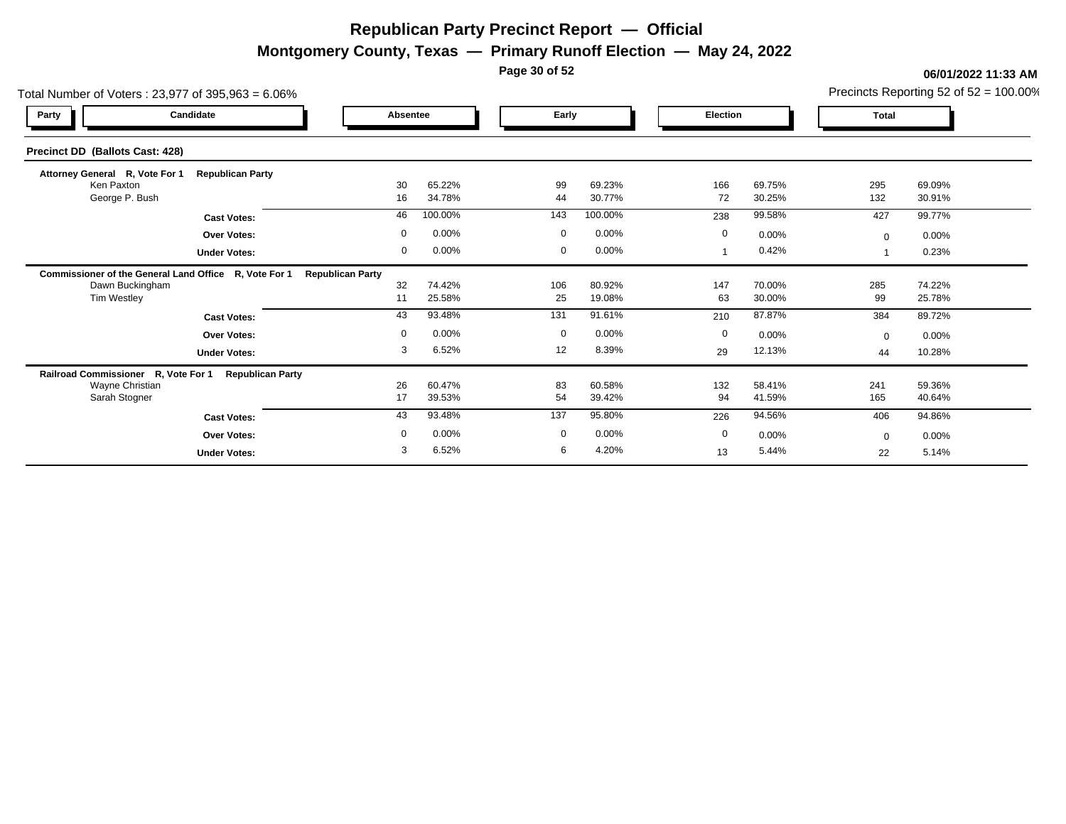**Montgomery County, Texas — Primary Runoff Election — May 24, 2022**

**Page 30 of 52**

| Total Number of Voters: 23,977 of 395,963 = 6.06%     |                         |                         |                  |             |                  |             |                  |              | Precincts Reporting 52 of $52 = 100.00\%$ |
|-------------------------------------------------------|-------------------------|-------------------------|------------------|-------------|------------------|-------------|------------------|--------------|-------------------------------------------|
| Party                                                 | Candidate               | Absentee                |                  | Early       |                  | Election    |                  | <b>Total</b> |                                           |
| Precinct DD (Ballots Cast: 428)                       |                         |                         |                  |             |                  |             |                  |              |                                           |
| Attorney General R, Vote For 1                        | <b>Republican Party</b> |                         |                  |             |                  |             |                  |              |                                           |
| Ken Paxton<br>George P. Bush                          |                         | 30<br>16                | 65.22%<br>34.78% | 99<br>44    | 69.23%<br>30.77% | 166<br>72   | 69.75%<br>30.25% | 295<br>132   | 69.09%<br>30.91%                          |
|                                                       | <b>Cast Votes:</b>      | 46                      | 100.00%          | 143         | 100.00%          | 238         | 99.58%           | 427          | 99.77%                                    |
|                                                       | <b>Over Votes:</b>      | $\mathbf 0$             | 0.00%            | $\mathbf 0$ | 0.00%            | $\mathbf 0$ | 0.00%            | $\Omega$     | 0.00%                                     |
|                                                       | <b>Under Votes:</b>     | $\mathbf 0$             | 0.00%            | $\mathbf 0$ | 0.00%            |             | 0.42%            |              | 0.23%                                     |
| Commissioner of the General Land Office R, Vote For 1 |                         | <b>Republican Party</b> |                  |             |                  |             |                  |              |                                           |
| Dawn Buckingham                                       |                         | 32                      | 74.42%           | 106         | 80.92%           | 147         | 70.00%           | 285          | 74.22%                                    |
| Tim Westley                                           |                         | 11                      | 25.58%           | 25          | 19.08%           | 63          | 30.00%           | 99           | 25.78%                                    |
|                                                       | <b>Cast Votes:</b>      | 43                      | 93.48%           | 131         | 91.61%           | 210         | 87.87%           | 384          | 89.72%                                    |
|                                                       | <b>Over Votes:</b>      | $\mathbf 0$             | 0.00%            | $\mathbf 0$ | 0.00%            | $\mathbf 0$ | 0.00%            | $\Omega$     | 0.00%                                     |
|                                                       | <b>Under Votes:</b>     | 3                       | 6.52%            | 12          | 8.39%            | 29          | 12.13%           | 44           | 10.28%                                    |
| Railroad Commissioner R, Vote For 1                   | <b>Republican Party</b> |                         |                  |             |                  |             |                  |              |                                           |
| <b>Wayne Christian</b><br>Sarah Stogner               |                         | 26<br>17                | 60.47%<br>39.53% | 83<br>54    | 60.58%<br>39.42% | 132<br>94   | 58.41%<br>41.59% | 241<br>165   | 59.36%<br>40.64%                          |
|                                                       |                         |                         |                  | 137         | 95.80%           |             |                  |              |                                           |
|                                                       | <b>Cast Votes:</b>      | 43                      | 93.48%           |             |                  | 226         | 94.56%           | 406          | 94.86%                                    |
|                                                       | <b>Over Votes:</b>      | $\mathbf 0$             | 0.00%            | $\mathbf 0$ | 0.00%            | $\mathbf 0$ | 0.00%            | $\Omega$     | 0.00%                                     |
|                                                       | <b>Under Votes:</b>     | 3                       | 6.52%            | 6           | 4.20%            | 13          | 5.44%            | 22           | 5.14%                                     |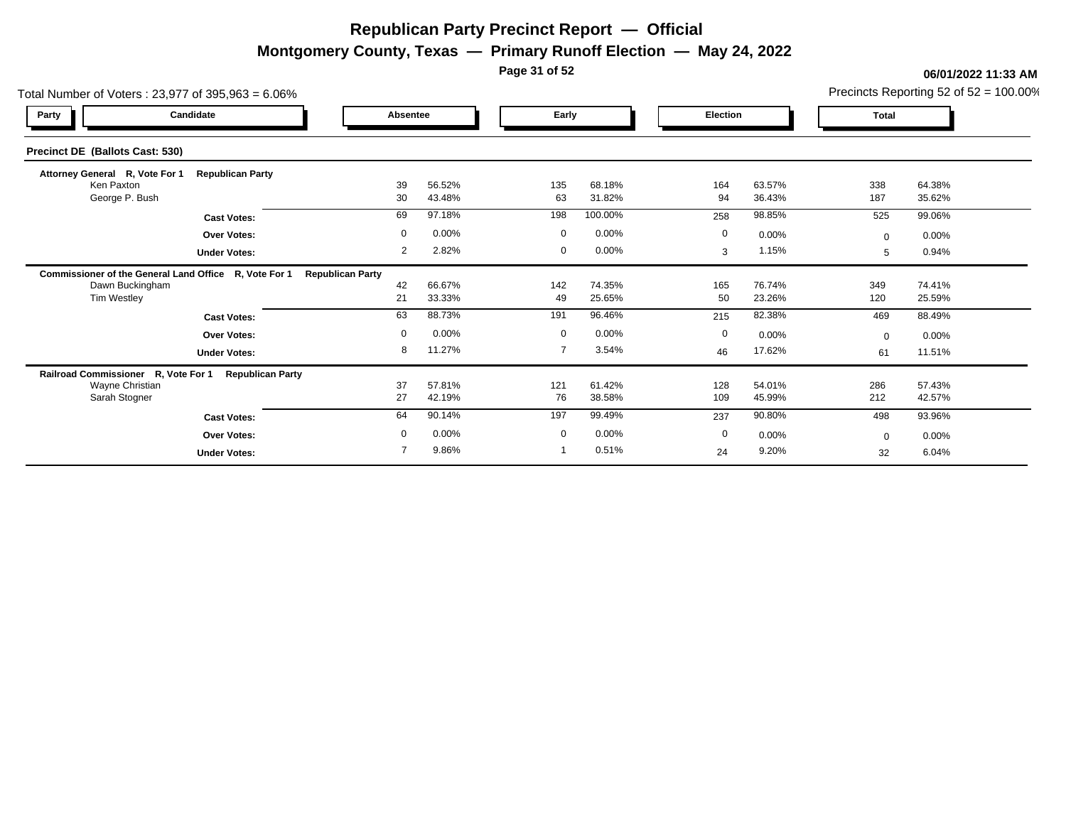**Montgomery County, Texas — Primary Runoff Election — May 24, 2022**

**Page 31 of 52**

| Total Number of Voters: 23,977 of 395,963 = 6.06%     |                         |                         |                  |                |                  |                 |                  |              | Precincts Reporting 52 of $52 = 100.00\%$ |
|-------------------------------------------------------|-------------------------|-------------------------|------------------|----------------|------------------|-----------------|------------------|--------------|-------------------------------------------|
| Party                                                 | Candidate               | Absentee                |                  | Early          |                  | <b>Election</b> |                  | <b>Total</b> |                                           |
| Precinct DE (Ballots Cast: 530)                       |                         |                         |                  |                |                  |                 |                  |              |                                           |
| Attorney General R, Vote For 1                        | <b>Republican Party</b> |                         |                  |                |                  |                 |                  |              |                                           |
| Ken Paxton<br>George P. Bush                          |                         | 39<br>30                | 56.52%<br>43.48% | 135<br>63      | 68.18%<br>31.82% | 164<br>94       | 63.57%<br>36.43% | 338<br>187   | 64.38%<br>35.62%                          |
|                                                       | <b>Cast Votes:</b>      | 69                      | 97.18%           | 198            | 100.00%          | 258             | 98.85%           | 525          | 99.06%                                    |
|                                                       | <b>Over Votes:</b>      | $\mathbf 0$             | 0.00%            | $\mathbf 0$    | 0.00%            | $\mathbf 0$     | 0.00%            | $\Omega$     | 0.00%                                     |
|                                                       | <b>Under Votes:</b>     | $\overline{2}$          | 2.82%            | $\mathbf 0$    | 0.00%            | 3               | 1.15%            | 5            | 0.94%                                     |
| Commissioner of the General Land Office R, Vote For 1 |                         | <b>Republican Party</b> |                  |                |                  |                 |                  |              |                                           |
| Dawn Buckingham                                       |                         | 42                      | 66.67%           | 142            | 74.35%           | 165             | 76.74%           | 349          | 74.41%                                    |
| Tim Westley                                           |                         | 21                      | 33.33%           | 49             | 25.65%           | 50              | 23.26%           | 120          | 25.59%                                    |
|                                                       | <b>Cast Votes:</b>      | 63                      | 88.73%           | 191            | 96.46%           | 215             | 82.38%           | 469          | 88.49%                                    |
|                                                       | <b>Over Votes:</b>      | $\mathbf 0$             | 0.00%            | $\mathbf 0$    | 0.00%            | $\mathbf 0$     | 0.00%            | $\Omega$     | 0.00%                                     |
|                                                       | <b>Under Votes:</b>     | 8                       | 11.27%           | $\overline{7}$ | 3.54%            | 46              | 17.62%           | 61           | 11.51%                                    |
| Railroad Commissioner R, Vote For 1                   | <b>Republican Party</b> |                         |                  |                |                  |                 |                  |              |                                           |
| Wayne Christian<br>Sarah Stogner                      |                         | 37<br>27                | 57.81%<br>42.19% | 121<br>76      | 61.42%<br>38.58% | 128<br>109      | 54.01%<br>45.99% | 286<br>212   | 57.43%<br>42.57%                          |
|                                                       |                         |                         |                  |                |                  |                 |                  |              |                                           |
|                                                       | <b>Cast Votes:</b>      | 64                      | 90.14%           | 197            | 99.49%           | 237             | 90.80%           | 498          | 93.96%                                    |
|                                                       | <b>Over Votes:</b>      | $\Omega$                | 0.00%            | $\mathbf 0$    | 0.00%            | $\mathbf 0$     | 0.00%            | $\Omega$     | 0.00%                                     |
|                                                       | <b>Under Votes:</b>     |                         | 9.86%            |                | 0.51%            | 24              | 9.20%            | 32           | 6.04%                                     |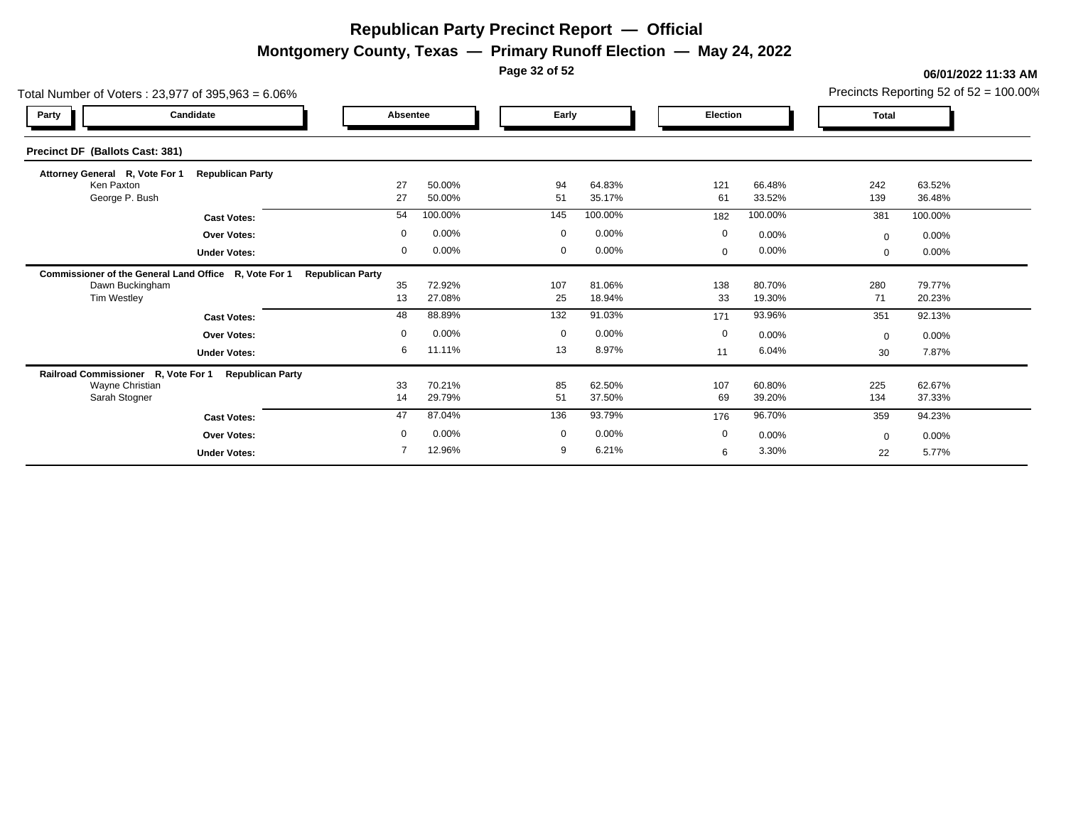**Montgomery County, Texas — Primary Runoff Election — May 24, 2022**

**Page 32 of 52**

| Total Number of Voters: 23,977 of 395,963 = 6.06%     |                         |                         |                  |             |                  |                 |                  |              | Precincts Reporting 52 of $52 = 100.00\%$ |
|-------------------------------------------------------|-------------------------|-------------------------|------------------|-------------|------------------|-----------------|------------------|--------------|-------------------------------------------|
| Party                                                 | Candidate               | Absentee                |                  | Early       |                  | <b>Election</b> |                  | <b>Total</b> |                                           |
| Precinct DF (Ballots Cast: 381)                       |                         |                         |                  |             |                  |                 |                  |              |                                           |
| Attorney General R, Vote For 1                        | <b>Republican Party</b> |                         |                  |             |                  |                 |                  |              |                                           |
| Ken Paxton<br>George P. Bush                          |                         | 27<br>27                | 50.00%<br>50.00% | 94<br>51    | 64.83%<br>35.17% | 121<br>61       | 66.48%<br>33.52% | 242<br>139   | 63.52%<br>36.48%                          |
|                                                       | <b>Cast Votes:</b>      | 54                      | 100.00%          | 145         | 100.00%          | 182             | 100.00%          | 381          | 100.00%                                   |
|                                                       | <b>Over Votes:</b>      | $\mathbf 0$             | 0.00%            | $\mathbf 0$ | 0.00%            | $\mathbf 0$     | 0.00%            | $\Omega$     | 0.00%                                     |
|                                                       | <b>Under Votes:</b>     | 0                       | 0.00%            | 0           | 0.00%            | $\mathbf{0}$    | 0.00%            | $\mathbf{0}$ | 0.00%                                     |
| Commissioner of the General Land Office R, Vote For 1 |                         | <b>Republican Party</b> |                  |             |                  |                 |                  |              |                                           |
| Dawn Buckingham                                       |                         | 35                      | 72.92%           | 107         | 81.06%           | 138             | 80.70%           | 280          | 79.77%                                    |
| Tim Westley                                           |                         | 13                      | 27.08%           | 25          | 18.94%           | 33              | 19.30%           | 71           | 20.23%                                    |
|                                                       | <b>Cast Votes:</b>      | 48                      | 88.89%           | 132         | 91.03%           | 171             | 93.96%           | 351          | 92.13%                                    |
|                                                       | <b>Over Votes:</b>      | $\mathbf 0$             | 0.00%            | $\mathbf 0$ | 0.00%            | 0               | 0.00%            | $\Omega$     | 0.00%                                     |
|                                                       | <b>Under Votes:</b>     | 6                       | 11.11%           | 13          | 8.97%            | 11              | 6.04%            | 30           | 7.87%                                     |
| Railroad Commissioner R, Vote For 1                   | <b>Republican Party</b> |                         |                  |             |                  |                 |                  |              |                                           |
| Wayne Christian<br>Sarah Stogner                      |                         | 33<br>14                | 70.21%<br>29.79% | 85<br>51    | 62.50%<br>37.50% | 107<br>69       | 60.80%<br>39.20% | 225<br>134   | 62.67%<br>37.33%                          |
|                                                       |                         |                         |                  |             |                  |                 |                  |              |                                           |
|                                                       | <b>Cast Votes:</b>      | 47                      | 87.04%           | 136         | 93.79%           | 176             | 96.70%           | 359          | 94.23%                                    |
|                                                       | <b>Over Votes:</b>      | $\Omega$                | 0.00%            | $\mathbf 0$ | 0.00%            | $\mathbf 0$     | 0.00%            | $\Omega$     | 0.00%                                     |
|                                                       | <b>Under Votes:</b>     |                         | 12.96%           | 9           | 6.21%            | 6               | 3.30%            | 22           | 5.77%                                     |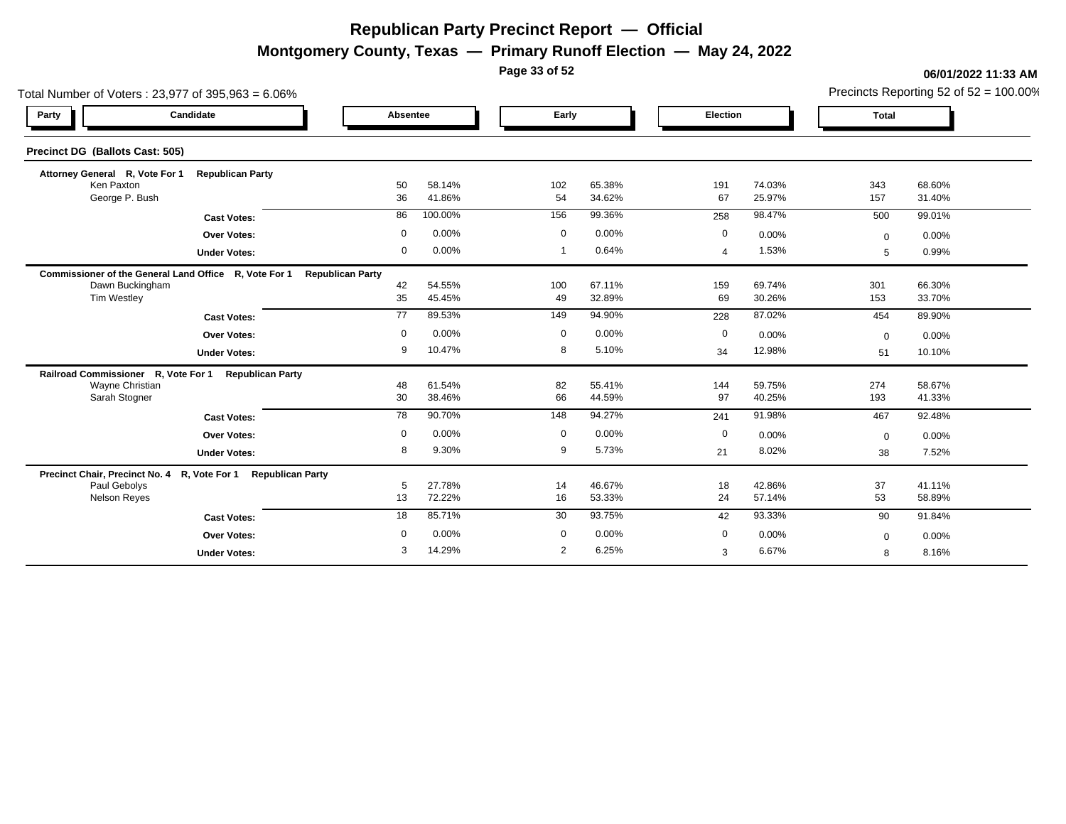**Montgomery County, Texas — Primary Runoff Election — May 24, 2022**

**Page 33 of 52**

| Total Number of Voters: 23,977 of 395,963 = 6.06%     |                                                               |                         |                  |                |                  |                |                  |              | Precincts Reporting 52 of 52 = 100.00% |
|-------------------------------------------------------|---------------------------------------------------------------|-------------------------|------------------|----------------|------------------|----------------|------------------|--------------|----------------------------------------|
| Party                                                 | Candidate                                                     | Absentee                |                  |                | Early            | Election       |                  | <b>Total</b> |                                        |
| Precinct DG (Ballots Cast: 505)                       |                                                               |                         |                  |                |                  |                |                  |              |                                        |
| Attorney General R, Vote For 1 Republican Party       |                                                               |                         |                  |                |                  |                |                  |              |                                        |
| Ken Paxton<br>George P. Bush                          |                                                               | 50<br>36                | 58.14%<br>41.86% | 102<br>54      | 65.38%<br>34.62% | 191<br>67      | 74.03%<br>25.97% | 343<br>157   | 68.60%<br>31.40%                       |
|                                                       | <b>Cast Votes:</b>                                            | 86                      | 100.00%          | 156            | 99.36%           | 258            | 98.47%           | 500          | 99.01%                                 |
|                                                       | <b>Over Votes:</b>                                            | $\mathbf 0$             | 0.00%            | $\overline{0}$ | 0.00%            | 0              | 0.00%            | $\Omega$     | 0.00%                                  |
|                                                       | <b>Under Votes:</b>                                           | $\mathbf 0$             | 0.00%            | $\mathbf 1$    | 0.64%            | $\overline{a}$ | 1.53%            | 5            | 0.99%                                  |
| Commissioner of the General Land Office R, Vote For 1 |                                                               | <b>Republican Party</b> |                  |                |                  |                |                  |              |                                        |
| Dawn Buckingham<br>Tim Westley                        |                                                               | 42<br>35                | 54.55%<br>45.45% | 100<br>49      | 67.11%<br>32.89% | 159<br>69      | 69.74%<br>30.26% | 301<br>153   | 66.30%<br>33.70%                       |
|                                                       | <b>Cast Votes:</b>                                            | $\overline{77}$         | 89.53%           | 149            | 94.90%           | 228            | 87.02%           | 454          | 89.90%                                 |
|                                                       | <b>Over Votes:</b>                                            | $\mathbf 0$             | 0.00%            | $\mathbf 0$    | 0.00%            | 0              | 0.00%            | $\mathbf 0$  | 0.00%                                  |
|                                                       | <b>Under Votes:</b>                                           | 9                       | 10.47%           | 8              | 5.10%            | 34             | 12.98%           | 51           | 10.10%                                 |
| Railroad Commissioner R, Vote For 1                   | <b>Republican Party</b>                                       |                         |                  |                |                  |                |                  |              |                                        |
| Wayne Christian<br>Sarah Stogner                      |                                                               | 48<br>30                | 61.54%<br>38.46% | 82<br>66       | 55.41%<br>44.59% | 144<br>97      | 59.75%<br>40.25% | 274<br>193   | 58.67%<br>41.33%                       |
|                                                       | <b>Cast Votes:</b>                                            | 78                      | 90.70%           | 148            | 94.27%           | 241            | 91.98%           | 467          | 92.48%                                 |
|                                                       | <b>Over Votes:</b>                                            | $\mathbf 0$             | 0.00%            | $\mathbf 0$    | 0.00%            | $\mathbf 0$    | 0.00%            | $\Omega$     | 0.00%                                  |
|                                                       | <b>Under Votes:</b>                                           | 8                       | 9.30%            | 9              | 5.73%            | 21             | 8.02%            | 38           | 7.52%                                  |
|                                                       | Precinct Chair, Precinct No. 4 R, Vote For 1 Republican Party |                         |                  |                |                  |                |                  |              |                                        |
| Paul Gebolys<br><b>Nelson Reyes</b>                   |                                                               | 5<br>13                 | 27.78%<br>72.22% | 14<br>16       | 46.67%<br>53.33% | 18<br>24       | 42.86%<br>57.14% | 37<br>53     | 41.11%<br>58.89%                       |
|                                                       | <b>Cast Votes:</b>                                            | 18                      | 85.71%           | 30             | 93.75%           | 42             | 93.33%           | 90           | 91.84%                                 |
|                                                       | Over Votes:                                                   | $\mathbf 0$             | 0.00%            | $\mathbf 0$    | 0.00%            | 0              | 0.00%            | $\mathbf{0}$ | 0.00%                                  |
|                                                       | <b>Under Votes:</b>                                           | 3                       | 14.29%           | 2              | 6.25%            | 3              | 6.67%            | 8            | 8.16%                                  |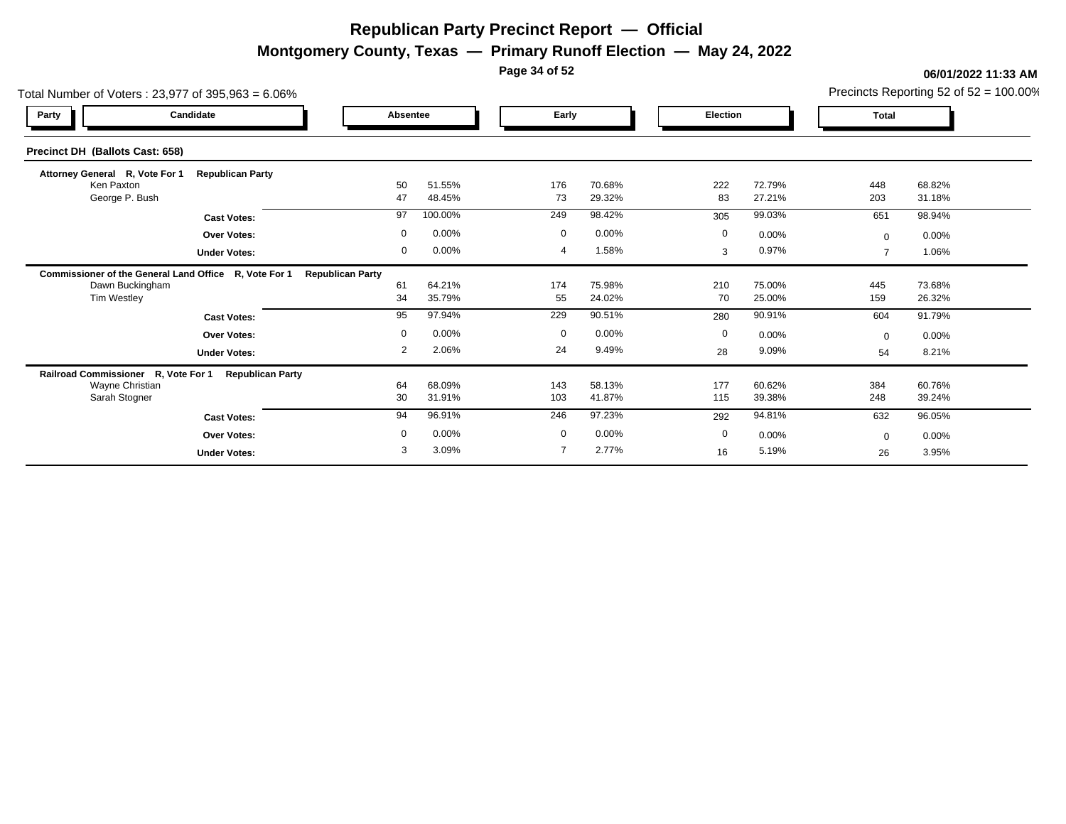**Montgomery County, Texas — Primary Runoff Election — May 24, 2022**

**Page 34 of 52**

| Total Number of Voters: 23,977 of 395,963 = 6.06%     |                         |                         |                  |                |                  |             |                  |              | Precincts Reporting 52 of $52 = 100.00\%$ |
|-------------------------------------------------------|-------------------------|-------------------------|------------------|----------------|------------------|-------------|------------------|--------------|-------------------------------------------|
| Party                                                 | Candidate               | Absentee                |                  | Early          |                  | Election    |                  | <b>Total</b> |                                           |
| Precinct DH (Ballots Cast: 658)                       |                         |                         |                  |                |                  |             |                  |              |                                           |
| Attorney General R, Vote For 1                        | <b>Republican Party</b> |                         |                  |                |                  |             |                  |              |                                           |
| Ken Paxton<br>George P. Bush                          |                         | 50<br>47                | 51.55%<br>48.45% | 176<br>73      | 70.68%<br>29.32% | 222<br>83   | 72.79%<br>27.21% | 448<br>203   | 68.82%<br>31.18%                          |
|                                                       | <b>Cast Votes:</b>      | 97                      | 100.00%          | 249            | 98.42%           | 305         | 99.03%           | 651          | 98.94%                                    |
|                                                       | <b>Over Votes:</b>      | $\mathbf 0$             | 0.00%            | $\mathbf 0$    | 0.00%            | $\mathbf 0$ | 0.00%            | $\mathbf{0}$ | 0.00%                                     |
|                                                       | <b>Under Votes:</b>     | 0                       | 0.00%            | $\overline{4}$ | 1.58%            | 3           | 0.97%            |              | 1.06%                                     |
| Commissioner of the General Land Office R, Vote For 1 |                         | <b>Republican Party</b> |                  |                |                  |             |                  |              |                                           |
| Dawn Buckingham                                       |                         | 61                      | 64.21%           | 174            | 75.98%           | 210         | 75.00%           | 445          | 73.68%                                    |
| Tim Westley                                           |                         | 34                      | 35.79%           | 55             | 24.02%           | 70          | 25.00%           | 159          | 26.32%                                    |
|                                                       | <b>Cast Votes:</b>      | 95                      | 97.94%           | 229            | 90.51%           | 280         | 90.91%           | 604          | 91.79%                                    |
|                                                       | <b>Over Votes:</b>      | $\mathbf 0$             | 0.00%            | $\mathbf 0$    | 0.00%            | $\mathbf 0$ | 0.00%            | $\Omega$     | 0.00%                                     |
|                                                       | <b>Under Votes:</b>     | 2                       | 2.06%            | 24             | 9.49%            | 28          | 9.09%            | 54           | 8.21%                                     |
| Railroad Commissioner R, Vote For 1                   | <b>Republican Party</b> |                         |                  |                |                  |             |                  |              |                                           |
| Wayne Christian<br>Sarah Stogner                      |                         | 64<br>30                | 68.09%<br>31.91% | 143<br>103     | 58.13%<br>41.87% | 177<br>115  | 60.62%<br>39.38% | 384<br>248   | 60.76%<br>39.24%                          |
|                                                       |                         |                         |                  |                |                  |             |                  |              |                                           |
|                                                       | <b>Cast Votes:</b>      | 94                      | 96.91%           | 246            | 97.23%           | 292         | 94.81%           | 632          | 96.05%                                    |
|                                                       | <b>Over Votes:</b>      | $\mathbf 0$             | 0.00%            | $\mathbf 0$    | 0.00%            | $\mathbf 0$ | 0.00%            | $\Omega$     | 0.00%                                     |
|                                                       | <b>Under Votes:</b>     | 3                       | 3.09%            | $\overline{7}$ | 2.77%            | 16          | 5.19%            | 26           | 3.95%                                     |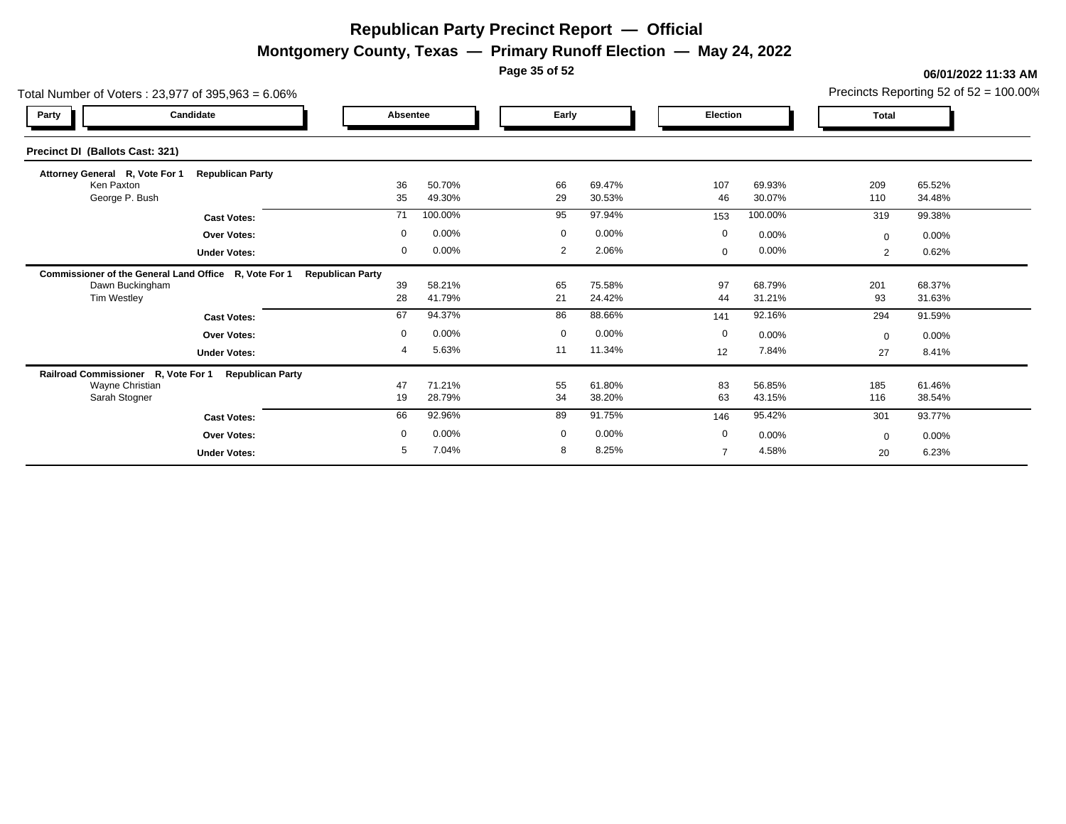**Montgomery County, Texas — Primary Runoff Election — May 24, 2022**

**Page 35 of 52**

| Total Number of Voters: 23,977 of 395,963 = 6.06% |                                                       |                         |                  |             |                  |                |                  |              | Precincts Reporting 52 of 52 = 100.00% |
|---------------------------------------------------|-------------------------------------------------------|-------------------------|------------------|-------------|------------------|----------------|------------------|--------------|----------------------------------------|
| Party                                             | Candidate                                             | Absentee                |                  | Early       |                  | Election       |                  | Total        |                                        |
| Precinct DI (Ballots Cast: 321)                   |                                                       |                         |                  |             |                  |                |                  |              |                                        |
| Attorney General R, Vote For 1                    | <b>Republican Party</b>                               |                         |                  |             |                  |                |                  |              |                                        |
| Ken Paxton<br>George P. Bush                      |                                                       | 36<br>35                | 50.70%<br>49.30% | 66<br>29    | 69.47%<br>30.53% | 107<br>46      | 69.93%<br>30.07% | 209<br>110   | 65.52%<br>34.48%                       |
|                                                   |                                                       |                         |                  |             |                  |                |                  |              |                                        |
|                                                   | <b>Cast Votes:</b>                                    | 71                      | 100.00%          | 95          | 97.94%           | 153            | 100.00%          | 319          | 99.38%                                 |
|                                                   | <b>Over Votes:</b>                                    | $\mathbf 0$             | 0.00%            | $\mathbf 0$ | 0.00%            | $\mathbf 0$    | 0.00%            | $\mathbf{0}$ | 0.00%                                  |
|                                                   | <b>Under Votes:</b>                                   | $\mathbf 0$             | 0.00%            | 2           | 2.06%            | $\mathbf 0$    | 0.00%            | 2            | 0.62%                                  |
|                                                   | Commissioner of the General Land Office R, Vote For 1 | <b>Republican Party</b> |                  |             |                  |                |                  |              |                                        |
| Dawn Buckingham                                   |                                                       | 39                      | 58.21%           | 65          | 75.58%           | 97             | 68.79%           | 201          | 68.37%                                 |
| Tim Westley                                       |                                                       | 28                      | 41.79%           | 21          | 24.42%           | 44             | 31.21%           | 93           | 31.63%                                 |
|                                                   | <b>Cast Votes:</b>                                    | 67                      | 94.37%           | 86          | 88.66%           | 141            | 92.16%           | 294          | 91.59%                                 |
|                                                   | <b>Over Votes:</b>                                    | $\mathbf 0$             | 0.00%            | $\mathbf 0$ | 0.00%            | $\mathbf 0$    | 0.00%            | $\mathbf{0}$ | 0.00%                                  |
|                                                   | <b>Under Votes:</b>                                   | 4                       | 5.63%            | 11          | 11.34%           | 12             | 7.84%            | 27           | 8.41%                                  |
| Railroad Commissioner R, Vote For 1               | <b>Republican Party</b>                               |                         |                  |             |                  |                |                  |              |                                        |
| Wayne Christian                                   |                                                       | 47                      | 71.21%           | 55          | 61.80%           | 83             | 56.85%           | 185          | 61.46%                                 |
| Sarah Stogner                                     |                                                       | 19                      | 28.79%           | 34          | 38.20%           | 63             | 43.15%           | 116          | 38.54%                                 |
|                                                   | <b>Cast Votes:</b>                                    | 66                      | 92.96%           | 89          | 91.75%           | 146            | 95.42%           | 301          | 93.77%                                 |
|                                                   | <b>Over Votes:</b>                                    | $\mathbf 0$             | 0.00%            | $\mathbf 0$ | 0.00%            | $\mathbf 0$    | 0.00%            | $\Omega$     | $0.00\%$                               |
|                                                   | <b>Under Votes:</b>                                   | 5                       | 7.04%            | 8           | 8.25%            | $\overline{7}$ | 4.58%            | 20           | 6.23%                                  |
|                                                   |                                                       |                         |                  |             |                  |                |                  |              |                                        |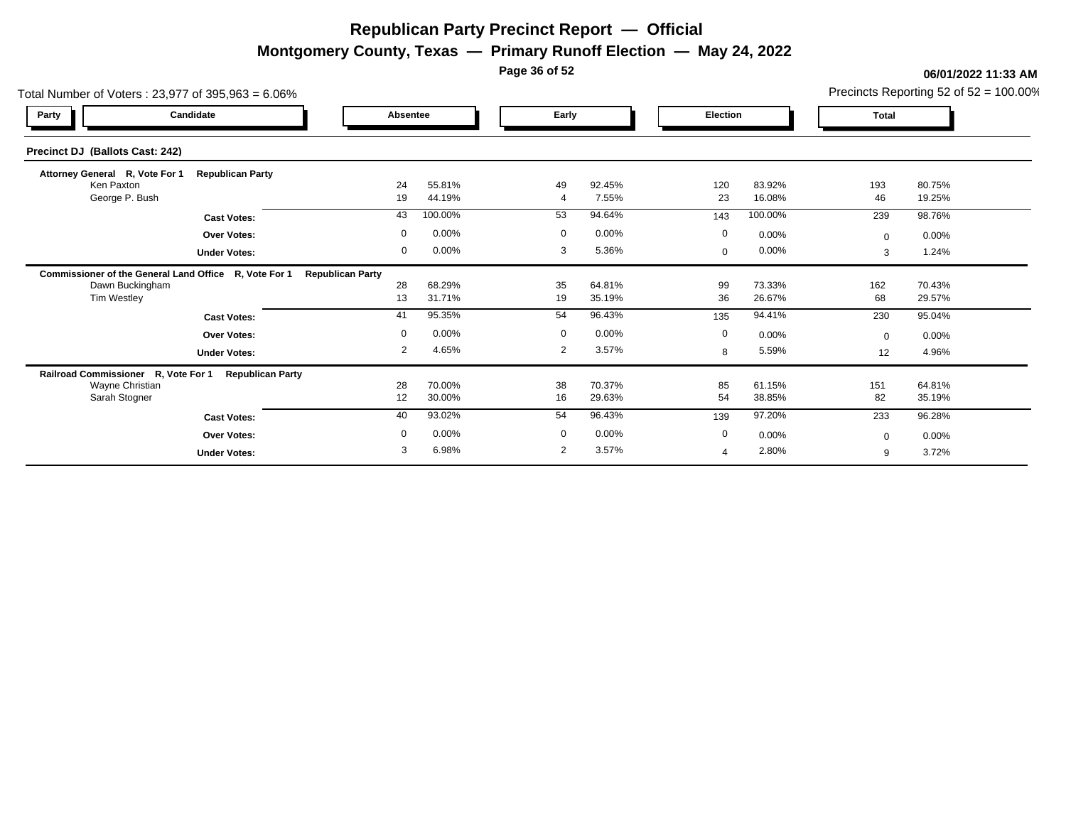**Montgomery County, Texas — Primary Runoff Election — May 24, 2022**

**Page 36 of 52**

| Total Number of Voters: 23,977 of 395,963 = 6.06%     |                         |                         |                  |                |                  |              |                  |              | Precincts Reporting 52 of $52 = 100.00\%$ |
|-------------------------------------------------------|-------------------------|-------------------------|------------------|----------------|------------------|--------------|------------------|--------------|-------------------------------------------|
| Party                                                 | Candidate               | Absentee                |                  | Early          |                  | Election     |                  | <b>Total</b> |                                           |
| Precinct DJ (Ballots Cast: 242)                       |                         |                         |                  |                |                  |              |                  |              |                                           |
| Attorney General R, Vote For 1                        | <b>Republican Party</b> |                         |                  |                |                  |              |                  |              |                                           |
| Ken Paxton<br>George P. Bush                          |                         | 24<br>19                | 55.81%<br>44.19% | 49             | 92.45%<br>7.55%  | 120<br>23    | 83.92%<br>16.08% | 193<br>46    | 80.75%<br>19.25%                          |
|                                                       | <b>Cast Votes:</b>      | 43                      | 100.00%          | 53             | 94.64%           | 143          | 100.00%          | 239          | 98.76%                                    |
|                                                       | <b>Over Votes:</b>      | $\mathbf 0$             | 0.00%            | $\mathbf 0$    | 0.00%            | $\mathbf 0$  | 0.00%            | $\mathbf{0}$ | $0.00\%$                                  |
|                                                       | <b>Under Votes:</b>     | 0                       | 0.00%            | 3              | 5.36%            | $\mathbf{0}$ | 0.00%            | 3            | 1.24%                                     |
| Commissioner of the General Land Office R, Vote For 1 |                         | <b>Republican Party</b> |                  |                |                  |              |                  |              |                                           |
| Dawn Buckingham                                       |                         | 28                      | 68.29%           | 35             | 64.81%           | 99           | 73.33%           | 162          | 70.43%                                    |
| Tim Westley                                           |                         | 13                      | 31.71%           | 19             | 35.19%           | 36           | 26.67%           | 68           | 29.57%                                    |
|                                                       | <b>Cast Votes:</b>      | 41                      | 95.35%           | 54             | 96.43%           | 135          | 94.41%           | 230          | 95.04%                                    |
|                                                       | <b>Over Votes:</b>      | $\mathbf 0$             | 0.00%            | $\mathbf 0$    | 0.00%            | $\mathbf 0$  | 0.00%            | $\Omega$     | $0.00\%$                                  |
|                                                       | <b>Under Votes:</b>     | $\overline{2}$          | 4.65%            | $\overline{2}$ | 3.57%            | 8            | 5.59%            | 12           | 4.96%                                     |
| Railroad Commissioner R, Vote For 1                   | <b>Republican Party</b> |                         |                  |                |                  |              |                  |              |                                           |
| Wayne Christian<br>Sarah Stogner                      |                         | 28<br>12                | 70.00%<br>30.00% | 38<br>16       | 70.37%<br>29.63% | 85<br>54     | 61.15%<br>38.85% | 151<br>82    | 64.81%<br>35.19%                          |
|                                                       |                         |                         |                  |                |                  |              |                  |              |                                           |
|                                                       | <b>Cast Votes:</b>      | 40                      | 93.02%           | 54             | 96.43%           | 139          | 97.20%           | 233          | 96.28%                                    |
|                                                       | Over Votes:             | $\mathbf 0$             | 0.00%            | $\mathbf 0$    | 0.00%            | $\mathbf 0$  | 0.00%            | $\Omega$     | $0.00\%$                                  |
|                                                       | <b>Under Votes:</b>     | 3                       | 6.98%            | 2              | 3.57%            | 4            | 2.80%            | 9            | 3.72%                                     |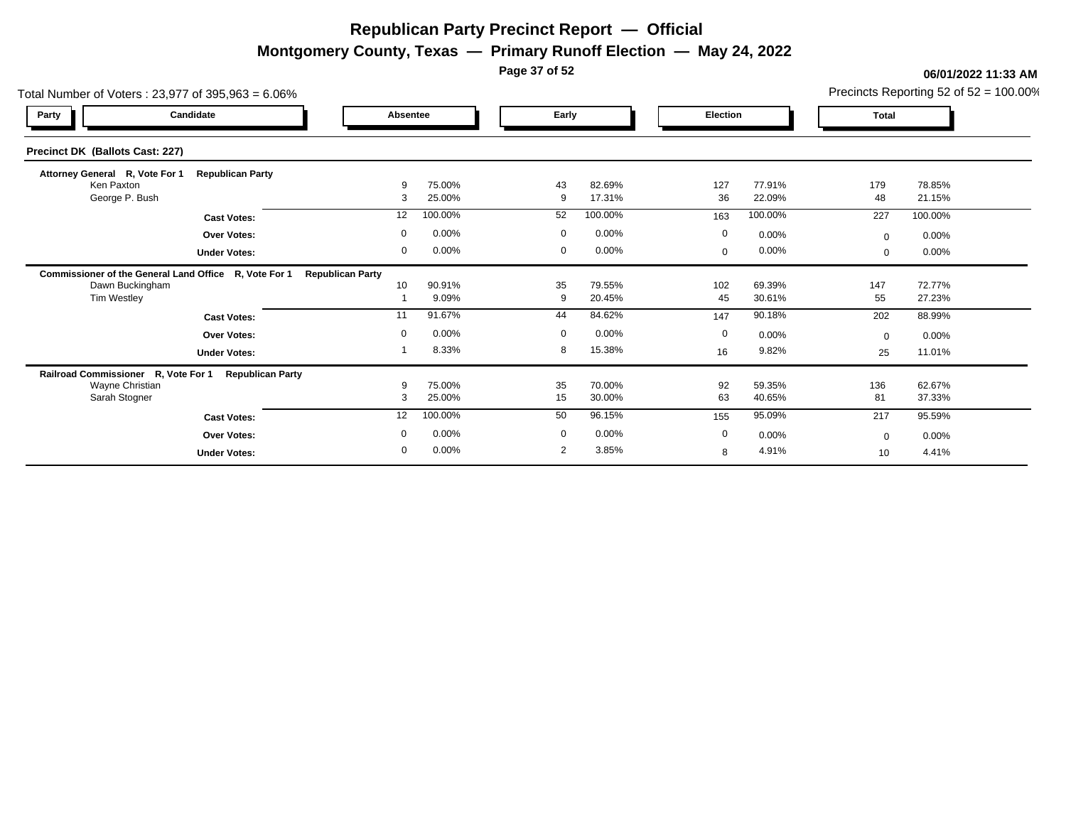**Montgomery County, Texas — Primary Runoff Election — May 24, 2022**

**Page 37 of 52**

| Total Number of Voters: 23,977 of 395,963 = 6.06%     |                         |                         |                  | Precincts Reporting 52 of $52 = 100.00\%$ |                  |  |              |                  |              |                  |  |
|-------------------------------------------------------|-------------------------|-------------------------|------------------|-------------------------------------------|------------------|--|--------------|------------------|--------------|------------------|--|
| Party                                                 | Candidate               | Absentee                |                  |                                           | Early            |  | Election     |                  | <b>Total</b> |                  |  |
| Precinct DK (Ballots Cast: 227)                       |                         |                         |                  |                                           |                  |  |              |                  |              |                  |  |
| Attorney General R, Vote For 1                        | <b>Republican Party</b> |                         |                  |                                           |                  |  |              |                  |              |                  |  |
| Ken Paxton<br>George P. Bush                          |                         | 9<br>3                  | 75.00%<br>25.00% | 43<br>9                                   | 82.69%<br>17.31% |  | 127<br>36    | 77.91%<br>22.09% | 179<br>48    | 78.85%<br>21.15% |  |
|                                                       | <b>Cast Votes:</b>      | 12                      | 100.00%          | 52                                        | 100.00%          |  | 163          | 100.00%          | 227          | 100.00%          |  |
|                                                       | <b>Over Votes:</b>      | $\mathbf 0$             | 0.00%            | $\mathbf 0$                               | 0.00%            |  | $\mathbf 0$  | 0.00%            | $\Omega$     | 0.00%            |  |
|                                                       | <b>Under Votes:</b>     | 0                       | 0.00%            | 0                                         | 0.00%            |  | $\mathbf{0}$ | 0.00%            | $\mathbf{0}$ | 0.00%            |  |
| Commissioner of the General Land Office R, Vote For 1 |                         | <b>Republican Party</b> |                  |                                           |                  |  |              |                  |              |                  |  |
| Dawn Buckingham                                       |                         | 10                      | 90.91%<br>9.09%  | 35<br>9                                   | 79.55%<br>20.45% |  | 102<br>45    | 69.39%<br>30.61% | 147          | 72.77%<br>27.23% |  |
| Tim Westley                                           |                         |                         |                  |                                           |                  |  |              |                  | 55           |                  |  |
|                                                       | <b>Cast Votes:</b>      | 11                      | 91.67%           | 44                                        | 84.62%           |  | 147          | 90.18%           | 202          | 88.99%           |  |
|                                                       | <b>Over Votes:</b>      | $\mathbf 0$             | 0.00%            | $\overline{0}$                            | 0.00%            |  | $\mathbf 0$  | 0.00%            | $\Omega$     | $0.00\%$         |  |
|                                                       | <b>Under Votes:</b>     |                         | 8.33%            | 8                                         | 15.38%           |  | 16           | 9.82%            | 25           | 11.01%           |  |
| Railroad Commissioner R, Vote For 1                   | <b>Republican Party</b> |                         |                  |                                           |                  |  |              |                  |              |                  |  |
| Wayne Christian<br>Sarah Stogner                      |                         | 9<br>3                  | 75.00%<br>25.00% | 35<br>15                                  | 70.00%<br>30.00% |  | 92<br>63     | 59.35%<br>40.65% | 136<br>81    | 62.67%<br>37.33% |  |
|                                                       |                         |                         |                  |                                           |                  |  |              |                  |              |                  |  |
|                                                       | <b>Cast Votes:</b>      | 12                      | 100.00%          | 50                                        | 96.15%           |  | 155          | 95.09%           | 217          | 95.59%           |  |
|                                                       | <b>Over Votes:</b>      | $\mathbf 0$             | 0.00%            | $\mathbf 0$                               | 0.00%            |  | $\mathbf 0$  | 0.00%            | $\Omega$     | $0.00\%$         |  |
|                                                       | <b>Under Votes:</b>     | $\mathbf 0$             | 0.00%            | $\overline{2}$                            | 3.85%            |  | 8            | 4.91%            | 10           | 4.41%            |  |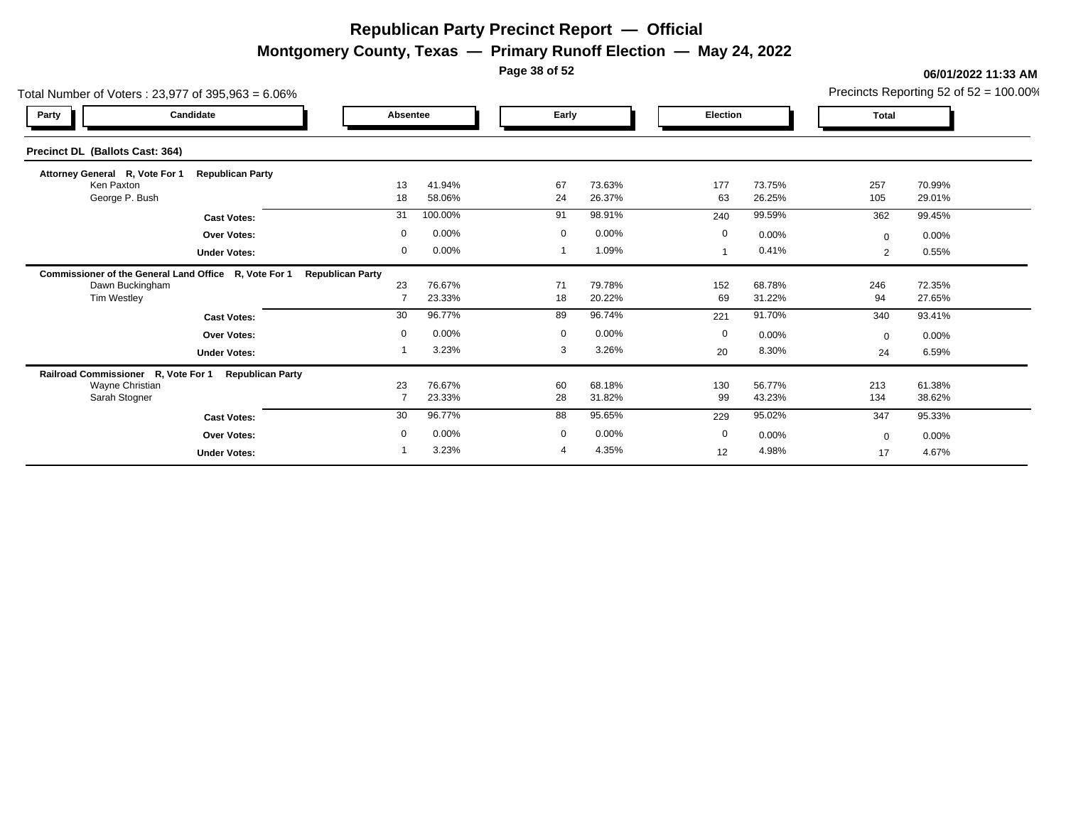**Montgomery County, Texas — Primary Runoff Election — May 24, 2022**

**Page 38 of 52**

|                                                       | Total Number of Voters: 23,977 of 395,963 = 6.06% |                         |                  |                |                  |             |                  |                |                  |  |  |  |  |
|-------------------------------------------------------|---------------------------------------------------|-------------------------|------------------|----------------|------------------|-------------|------------------|----------------|------------------|--|--|--|--|
| Candidate<br>Party                                    |                                                   | Absentee                |                  |                | Early            |             | Election         |                | <b>Total</b>     |  |  |  |  |
| Precinct DL (Ballots Cast: 364)                       |                                                   |                         |                  |                |                  |             |                  |                |                  |  |  |  |  |
| Attorney General R, Vote For 1                        | <b>Republican Party</b>                           |                         |                  |                |                  |             |                  |                |                  |  |  |  |  |
| Ken Paxton<br>George P. Bush                          |                                                   | 13<br>18                | 41.94%<br>58.06% | 67<br>24       | 73.63%<br>26.37% | 177<br>63   | 73.75%<br>26.25% | 257<br>105     | 70.99%<br>29.01% |  |  |  |  |
|                                                       | <b>Cast Votes:</b>                                | 31                      | 100.00%          | 91             | 98.91%           | 240         | 99.59%           | 362            | 99.45%           |  |  |  |  |
|                                                       | <b>Over Votes:</b>                                | $\mathbf 0$             | 0.00%            | $\mathbf 0$    | 0.00%            | $\mathbf 0$ | 0.00%            | $\Omega$       | 0.00%            |  |  |  |  |
|                                                       | <b>Under Votes:</b>                               | 0                       | 0.00%            |                | 1.09%            |             | 0.41%            | $\overline{2}$ | 0.55%            |  |  |  |  |
| Commissioner of the General Land Office R, Vote For 1 |                                                   | <b>Republican Party</b> |                  |                |                  |             |                  |                |                  |  |  |  |  |
| Dawn Buckingham                                       |                                                   | 23                      | 76.67%           | 71             | 79.78%           | 152         | 68.78%           | 246            | 72.35%           |  |  |  |  |
| Tim Westley                                           |                                                   |                         | 23.33%           | 18             | 20.22%           | 69          | 31.22%           | 94             | 27.65%           |  |  |  |  |
|                                                       | <b>Cast Votes:</b>                                | 30                      | 96.77%           | 89             | 96.74%           | 221         | 91.70%           | 340            | 93.41%           |  |  |  |  |
|                                                       | <b>Over Votes:</b>                                | $\mathbf 0$             | 0.00%            | $\mathbf 0$    | 0.00%            | $\mathbf 0$ | 0.00%            | $\Omega$       | 0.00%            |  |  |  |  |
|                                                       | <b>Under Votes:</b>                               |                         | 3.23%            | 3              | 3.26%            | 20          | 8.30%            | 24             | 6.59%            |  |  |  |  |
| Railroad Commissioner R, Vote For 1                   | <b>Republican Party</b>                           |                         |                  |                |                  |             |                  |                |                  |  |  |  |  |
| Wayne Christian<br>Sarah Stogner                      |                                                   | 23<br>$\overline{7}$    | 76.67%<br>23.33% | 60<br>28       | 68.18%<br>31.82% | 130<br>99   | 56.77%<br>43.23% | 213<br>134     | 61.38%<br>38.62% |  |  |  |  |
|                                                       |                                                   | 30                      | 96.77%           | 88             | 95.65%           |             | 95.02%           |                |                  |  |  |  |  |
|                                                       | <b>Cast Votes:</b>                                |                         |                  |                |                  | 229         |                  | 347            | 95.33%           |  |  |  |  |
|                                                       | <b>Over Votes:</b>                                | $\mathbf 0$             | 0.00%            | $\mathbf 0$    | 0.00%            | $\mathbf 0$ | 0.00%            | $\Omega$       | $0.00\%$         |  |  |  |  |
|                                                       | <b>Under Votes:</b>                               |                         | 3.23%            | $\overline{4}$ | 4.35%            | 12          | 4.98%            | 17             | 4.67%            |  |  |  |  |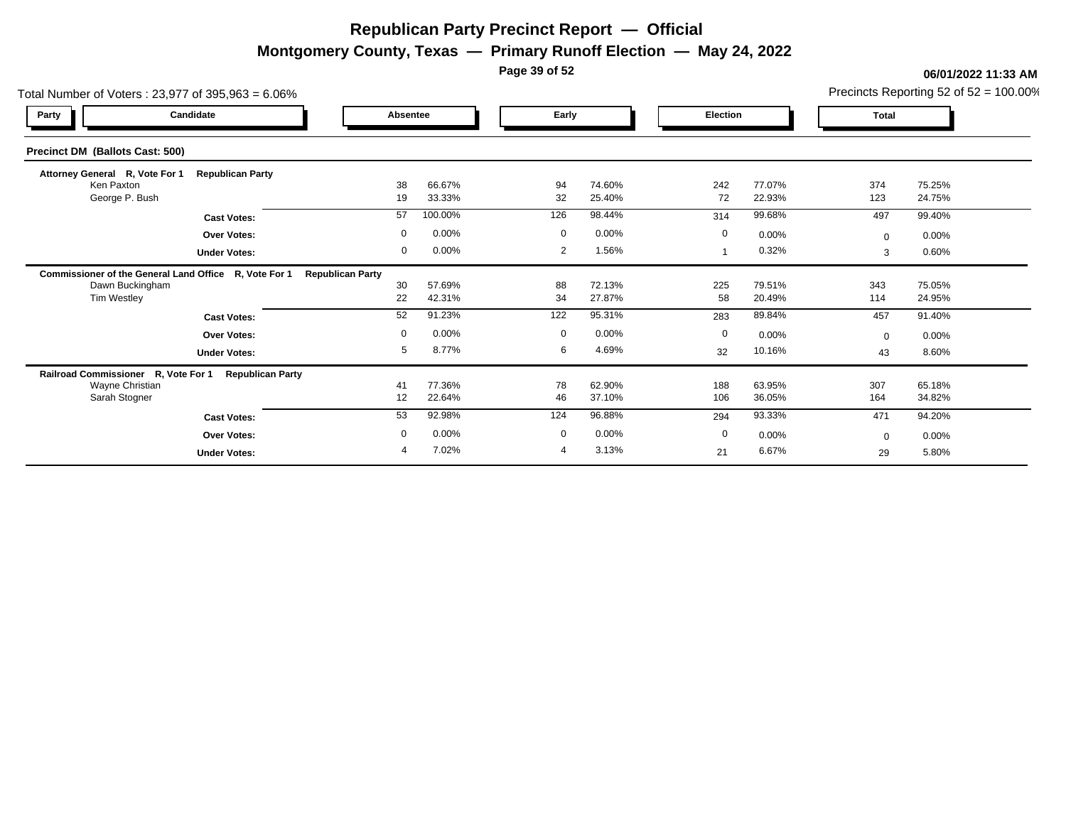**Montgomery County, Texas — Primary Runoff Election — May 24, 2022**

**Page 39 of 52**

| Total Number of Voters: 23,977 of 395,963 = 6.06%     |                         |                         | Precincts Reporting 52 of $52 = 100.00\%$ |                |                  |             |                  |              |                  |
|-------------------------------------------------------|-------------------------|-------------------------|-------------------------------------------|----------------|------------------|-------------|------------------|--------------|------------------|
| Party                                                 | Candidate               | Absentee                |                                           | Early          |                  | Election    |                  | <b>Total</b> |                  |
| Precinct DM (Ballots Cast: 500)                       |                         |                         |                                           |                |                  |             |                  |              |                  |
| Attorney General R, Vote For 1                        | <b>Republican Party</b> |                         |                                           |                |                  |             |                  |              |                  |
| Ken Paxton<br>George P. Bush                          |                         | 38<br>19                | 66.67%<br>33.33%                          | 94<br>32       | 74.60%<br>25.40% | 242<br>72   | 77.07%<br>22.93% | 374<br>123   | 75.25%<br>24.75% |
|                                                       | <b>Cast Votes:</b>      | 57                      | 100.00%                                   | 126            | 98.44%           | 314         | 99.68%           | 497          | 99.40%           |
|                                                       | <b>Over Votes:</b>      | $\mathbf 0$             | 0.00%                                     | $\mathbf 0$    | 0.00%            | $\mathbf 0$ | 0.00%            | $\mathbf{0}$ | $0.00\%$         |
|                                                       | <b>Under Votes:</b>     | 0                       | 0.00%                                     | 2              | 1.56%            |             | 0.32%            | 3            | 0.60%            |
| Commissioner of the General Land Office R, Vote For 1 |                         | <b>Republican Party</b> |                                           |                |                  |             |                  |              |                  |
| Dawn Buckingham                                       |                         | 30                      | 57.69%                                    | 88             | 72.13%           | 225         | 79.51%           | 343          | 75.05%           |
| Tim Westley                                           |                         | 22                      | 42.31%                                    | 34             | 27.87%           | 58          | 20.49%           | 114          | 24.95%           |
|                                                       | <b>Cast Votes:</b>      | 52                      | 91.23%                                    | 122            | 95.31%           | 283         | 89.84%           | 457          | 91.40%           |
|                                                       | <b>Over Votes:</b>      | $\mathbf 0$             | 0.00%                                     | $\mathbf 0$    | 0.00%            | 0           | 0.00%            | $\Omega$     | $0.00\%$         |
|                                                       | <b>Under Votes:</b>     | 5                       | 8.77%                                     | 6              | 4.69%            | 32          | 10.16%           | 43           | 8.60%            |
| Railroad Commissioner R, Vote For 1                   | <b>Republican Party</b> |                         |                                           |                |                  |             |                  |              |                  |
| Wayne Christian<br>Sarah Stogner                      |                         | 41<br>12                | 77.36%<br>22.64%                          | 78<br>46       | 62.90%<br>37.10% | 188<br>106  | 63.95%<br>36.05% | 307<br>164   | 65.18%<br>34.82% |
|                                                       |                         |                         |                                           |                |                  |             |                  |              |                  |
|                                                       | <b>Cast Votes:</b>      | 53                      | 92.98%                                    | 124            | 96.88%           | 294         | 93.33%           | 471          | 94.20%           |
|                                                       | Over Votes:             | $\mathbf 0$             | 0.00%                                     | $\mathbf 0$    | 0.00%            | 0           | 0.00%            | $\Omega$     | 0.00%            |
|                                                       | <b>Under Votes:</b>     | 4                       | 7.02%                                     | $\overline{4}$ | 3.13%            | 21          | 6.67%            | 29           | 5.80%            |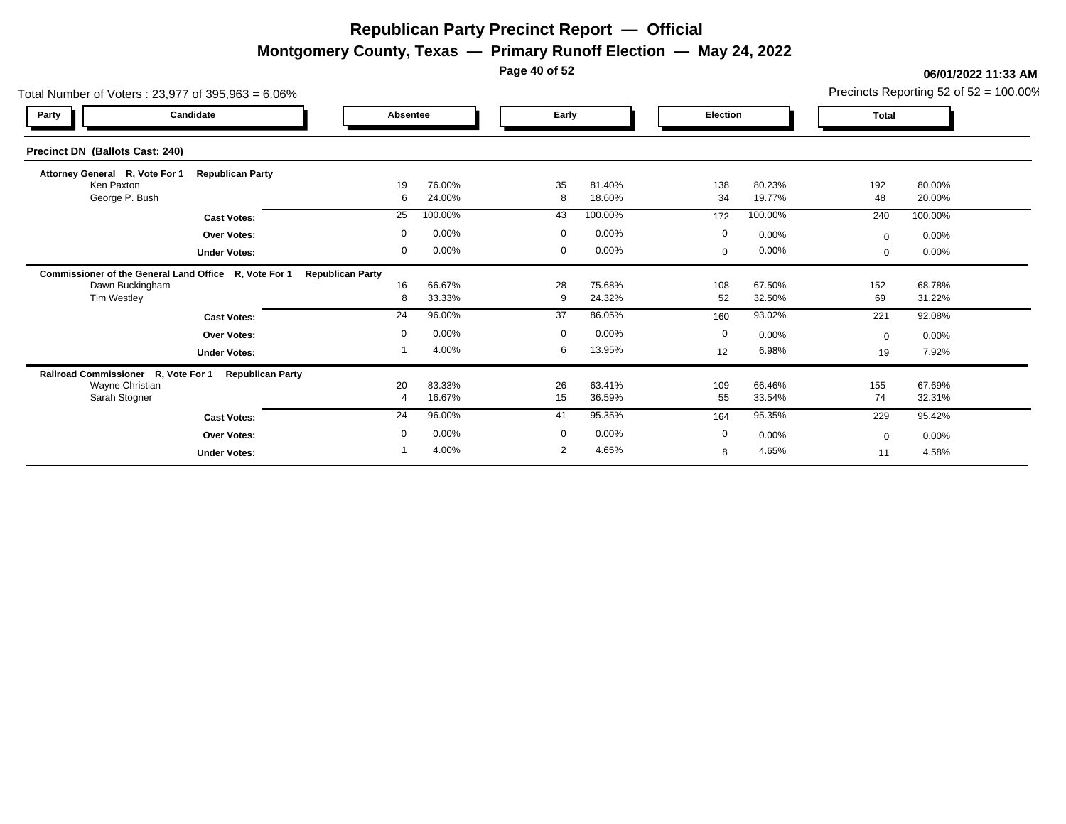**Montgomery County, Texas — Primary Runoff Election — May 24, 2022**

**Page 40 of 52**

#### **06/01/2022 11:33 AM**

Precincts Reporting 52 of 52 = 100.00%

| Total Number of Voters: 23,977 of 395,963 = 6.06%     |                         |                         |                  |             |                  |             |                  |              | Precincts Reporting 52 of 52 = 100.00% |
|-------------------------------------------------------|-------------------------|-------------------------|------------------|-------------|------------------|-------------|------------------|--------------|----------------------------------------|
| Party                                                 | Candidate               |                         | <b>Absentee</b>  | Early       |                  | Election    |                  | <b>Total</b> |                                        |
| <b>Precinct DN (Ballots Cast: 240)</b>                |                         |                         |                  |             |                  |             |                  |              |                                        |
| Attorney General R, Vote For 1                        | <b>Republican Party</b> |                         |                  |             |                  |             |                  |              |                                        |
| Ken Paxton<br>George P. Bush                          |                         | 19<br>6                 | 76.00%<br>24.00% | 35<br>8     | 81.40%<br>18.60% | 138<br>34   | 80.23%<br>19.77% | 192<br>48    | 80.00%<br>20.00%                       |
|                                                       | <b>Cast Votes:</b>      | 25                      | 100.00%          | 43          | 100.00%          | 172         | 100.00%          | 240          | 100.00%                                |
|                                                       | <b>Over Votes:</b>      | 0                       | 0.00%            | $\mathbf 0$ | 0.00%            | 0           | 0.00%            | $\mathbf 0$  | 0.00%                                  |
|                                                       | <b>Under Votes:</b>     | 0                       | 0.00%            | 0           | 0.00%            | $\mathbf 0$ | 0.00%            | $\mathbf 0$  | 0.00%                                  |
| Commissioner of the General Land Office R, Vote For 1 |                         | <b>Republican Party</b> |                  |             |                  |             |                  |              |                                        |
| Dawn Buckingham                                       |                         | 16                      | 66.67%           | 28          | 75.68%           | 108         | 67.50%           | 152          | 68.78%                                 |
| <b>Tim Westley</b>                                    |                         | 8                       | 33.33%           | 9           | 24.32%           | 52          | 32.50%           | 69           | 31.22%                                 |
|                                                       | <b>Cast Votes:</b>      | 24                      | 96.00%           | 37          | 86.05%           | 160         | 93.02%           | 221          | 92.08%                                 |
|                                                       | <b>Over Votes:</b>      | 0                       | 0.00%            | $\mathbf 0$ | 0.00%            | $\mathbf 0$ | 0.00%            | $\Omega$     | 0.00%                                  |
|                                                       | <b>Under Votes:</b>     |                         | 4.00%            | 6           | 13.95%           | 12          | 6.98%            | 19           | 7.92%                                  |
| Railroad Commissioner R, Vote For 1 Republican Party  |                         |                         |                  |             |                  |             |                  |              |                                        |
| Wayne Christian                                       |                         | 20                      | 83.33%           | 26          | 63.41%           | 109         | 66.46%           | 155          | 67.69%                                 |
| Sarah Stogner                                         |                         | $\overline{4}$          | 16.67%           | 15          | 36.59%           | 55          | 33.54%           | 74           | 32.31%                                 |
|                                                       | <b>Cast Votes:</b>      | 24                      | 96.00%           | 41          | 95.35%           | 164         | 95.35%           | 229          | 95.42%                                 |
|                                                       | <b>Over Votes:</b>      | $\mathbf 0$             | 0.00%            | $\mathbf 0$ | 0.00%            | 0           | 0.00%            | $\mathbf 0$  | 0.00%                                  |
|                                                       | <b>Under Votes:</b>     |                         | 4.00%            | 2           | 4.65%            | 8           | 4.65%            | 11           | 4.58%                                  |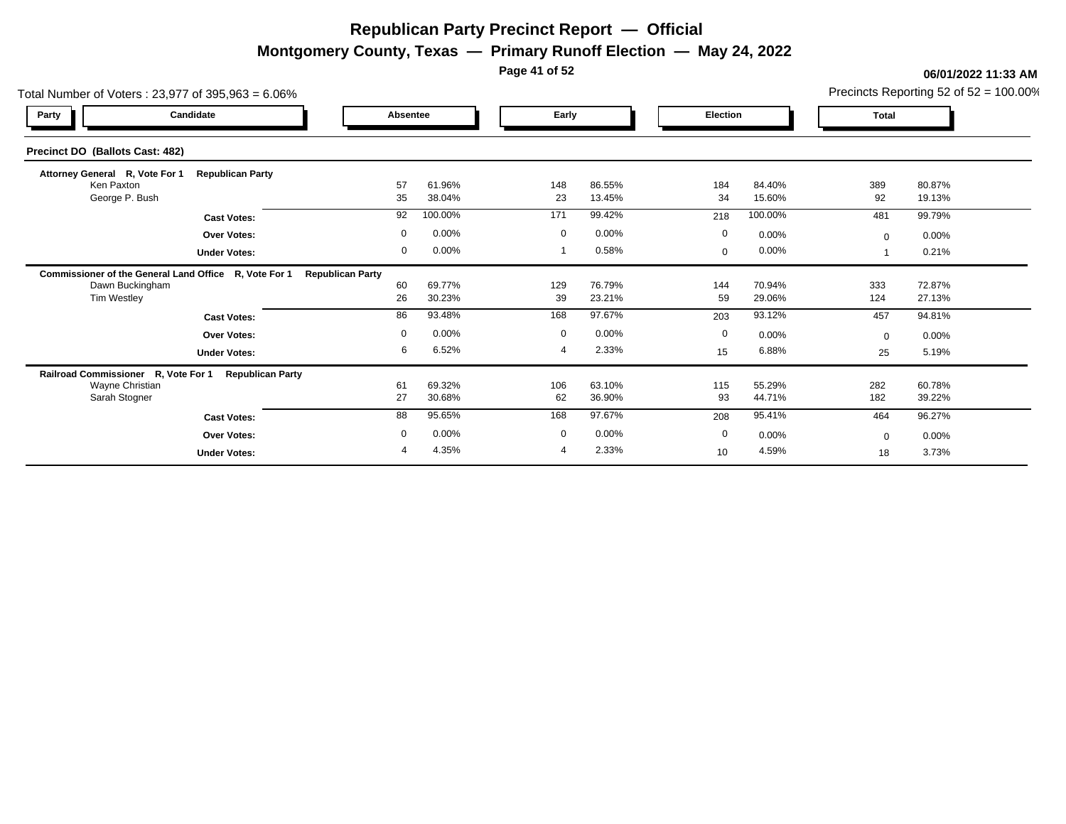**Montgomery County, Texas — Primary Runoff Election — May 24, 2022**

**Page 41 of 52**

|                                                       | Total Number of Voters: 23,977 of 395,963 = 6.06% |                         |                  |                |                  |                 |                  |            |                  |  |  |  |  |
|-------------------------------------------------------|---------------------------------------------------|-------------------------|------------------|----------------|------------------|-----------------|------------------|------------|------------------|--|--|--|--|
| Party                                                 | Candidate                                         | Absentee                |                  |                | Early            |                 | <b>Election</b>  |            |                  |  |  |  |  |
| Precinct DO (Ballots Cast: 482)                       |                                                   |                         |                  |                |                  |                 |                  |            |                  |  |  |  |  |
| Attorney General R, Vote For 1                        | <b>Republican Party</b>                           |                         |                  |                |                  |                 |                  |            |                  |  |  |  |  |
| Ken Paxton<br>George P. Bush                          |                                                   | 57<br>35                | 61.96%<br>38.04% | 148<br>23      | 86.55%<br>13.45% | 184<br>34       | 84.40%<br>15.60% | 389<br>92  | 80.87%<br>19.13% |  |  |  |  |
|                                                       | <b>Cast Votes:</b>                                | 92                      | 100.00%          | 171            | 99.42%           | 218             | 100.00%          | 481        | 99.79%           |  |  |  |  |
|                                                       | <b>Over Votes:</b>                                | $\mathbf 0$             | 0.00%            | $\mathbf 0$    | 0.00%            | $\mathbf 0$     | 0.00%            | $\Omega$   | $0.00\%$         |  |  |  |  |
|                                                       | <b>Under Votes:</b>                               | 0                       | 0.00%            |                | 0.58%            | $\mathbf{0}$    | 0.00%            |            | 0.21%            |  |  |  |  |
| Commissioner of the General Land Office R, Vote For 1 |                                                   | <b>Republican Party</b> |                  |                |                  |                 |                  |            |                  |  |  |  |  |
| Dawn Buckingham                                       |                                                   | 60                      | 69.77%           | 129            | 76.79%           | 144             | 70.94%           | 333        | 72.87%           |  |  |  |  |
| Tim Westley                                           |                                                   | 26                      | 30.23%           | 39             | 23.21%           | 59              | 29.06%           | 124        | 27.13%           |  |  |  |  |
|                                                       | <b>Cast Votes:</b>                                | 86                      | 93.48%           | 168            | 97.67%           | 203             | 93.12%           | 457        | 94.81%           |  |  |  |  |
|                                                       | <b>Over Votes:</b>                                | $\mathbf 0$             | 0.00%            | $\mathbf 0$    | 0.00%            | $\mathbf 0$     | 0.00%            | $\Omega$   | 0.00%            |  |  |  |  |
|                                                       | <b>Under Votes:</b>                               | 6                       | 6.52%            |                | 2.33%            | 15              | 6.88%            | 25         | 5.19%            |  |  |  |  |
| Railroad Commissioner R, Vote For 1                   | <b>Republican Party</b>                           |                         |                  |                |                  |                 |                  |            |                  |  |  |  |  |
| Wayne Christian<br>Sarah Stogner                      |                                                   | 61<br>27                | 69.32%<br>30.68% | 106<br>62      | 63.10%<br>36.90% | 115<br>93       | 55.29%<br>44.71% | 282<br>182 | 60.78%<br>39.22% |  |  |  |  |
|                                                       |                                                   |                         |                  |                |                  |                 |                  |            |                  |  |  |  |  |
|                                                       | <b>Cast Votes:</b>                                | 88                      | 95.65%           | 168            | 97.67%           | 208             | 95.41%           | 464        | 96.27%           |  |  |  |  |
|                                                       | <b>Over Votes:</b>                                | $\mathbf 0$             | 0.00%            | $\mathbf 0$    | 0.00%            | $\mathbf 0$     | 0.00%            | $\Omega$   | 0.00%            |  |  |  |  |
|                                                       | <b>Under Votes:</b>                               | 4                       | 4.35%            | $\overline{4}$ | 2.33%            | 10 <sup>°</sup> | 4.59%            | 18         | 3.73%            |  |  |  |  |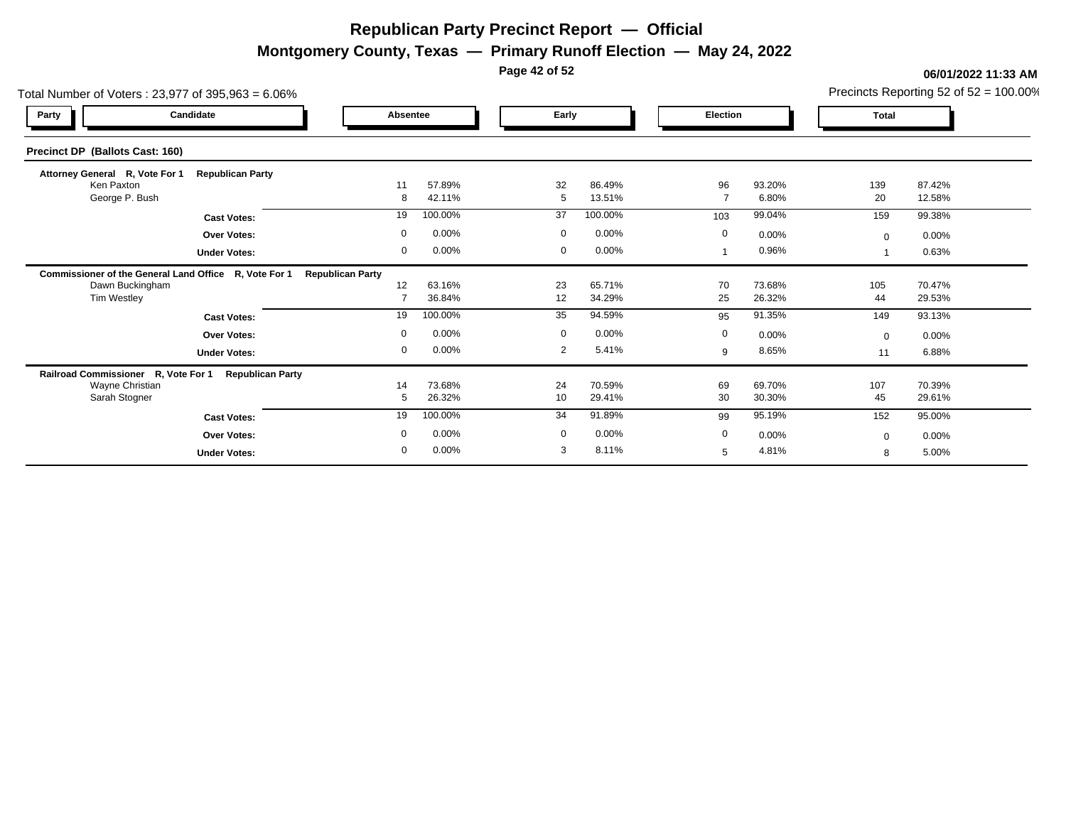**Montgomery County, Texas — Primary Runoff Election — May 24, 2022**

**Page 42 of 52**

| Total Number of Voters: 23,977 of 395,963 = 6.06%     |                         |                         | Precincts Reporting 52 of $52 = 100.00\%$ |             |                  |                      |                  |           |                  |  |
|-------------------------------------------------------|-------------------------|-------------------------|-------------------------------------------|-------------|------------------|----------------------|------------------|-----------|------------------|--|
| Party                                                 | Candidate               | Absentee                |                                           |             | Early            |                      | Election         |           | <b>Total</b>     |  |
| Precinct DP (Ballots Cast: 160)                       |                         |                         |                                           |             |                  |                      |                  |           |                  |  |
| Attorney General R, Vote For 1                        | <b>Republican Party</b> |                         |                                           |             |                  |                      |                  |           |                  |  |
| Ken Paxton<br>George P. Bush                          |                         | 11<br>8                 | 57.89%<br>42.11%                          | 32<br>5     | 86.49%<br>13.51% | 96<br>$\overline{7}$ | 93.20%<br>6.80%  | 139<br>20 | 87.42%<br>12.58% |  |
|                                                       | <b>Cast Votes:</b>      | 19                      | 100.00%                                   | 37          | 100.00%          | 103                  | 99.04%           | 159       | 99.38%           |  |
|                                                       | <b>Over Votes:</b>      | $\mathbf 0$             | 0.00%                                     | $\mathbf 0$ | 0.00%            | $\mathbf 0$          | 0.00%            | $\Omega$  | 0.00%            |  |
|                                                       | <b>Under Votes:</b>     | 0                       | 0.00%                                     | 0           | 0.00%            |                      | 0.96%            |           | 0.63%            |  |
| Commissioner of the General Land Office R, Vote For 1 |                         | <b>Republican Party</b> |                                           |             |                  |                      |                  |           |                  |  |
| Dawn Buckingham                                       |                         | 12                      | 63.16%                                    | 23          | 65.71%           | 70                   | 73.68%           | 105       | 70.47%           |  |
| Tim Westley                                           |                         |                         | 36.84%                                    | 12          | 34.29%           | 25                   | 26.32%           | 44        | 29.53%           |  |
|                                                       | <b>Cast Votes:</b>      | 19                      | 100.00%                                   | 35          | 94.59%           | 95                   | 91.35%           | 149       | 93.13%           |  |
|                                                       | <b>Over Votes:</b>      | $\mathbf 0$             | 0.00%                                     | $\mathbf 0$ | 0.00%            | $\mathbf 0$          | 0.00%            | $\Omega$  | 0.00%            |  |
|                                                       | <b>Under Votes:</b>     | 0                       | 0.00%                                     | 2           | 5.41%            | 9                    | 8.65%            | 11        | 6.88%            |  |
| Railroad Commissioner R, Vote For 1                   | <b>Republican Party</b> |                         |                                           |             |                  |                      |                  |           |                  |  |
| Wayne Christian<br>Sarah Stogner                      |                         | 14<br>5                 | 73.68%<br>26.32%                          | 24<br>10    | 70.59%<br>29.41% | 69<br>30             | 69.70%<br>30.30% | 107<br>45 | 70.39%<br>29.61% |  |
|                                                       |                         | 19                      | 100.00%                                   | 34          | 91.89%           |                      | 95.19%           |           |                  |  |
|                                                       | <b>Cast Votes:</b>      |                         |                                           |             |                  | 99                   |                  | 152       | 95.00%           |  |
|                                                       | <b>Over Votes:</b>      | $\mathbf 0$             | 0.00%                                     | $\mathbf 0$ | 0.00%            | $\mathbf 0$          | 0.00%            | $\Omega$  | 0.00%            |  |
|                                                       | <b>Under Votes:</b>     | $\mathbf 0$             | 0.00%                                     | 3           | 8.11%            | 5                    | 4.81%            | 8         | 5.00%            |  |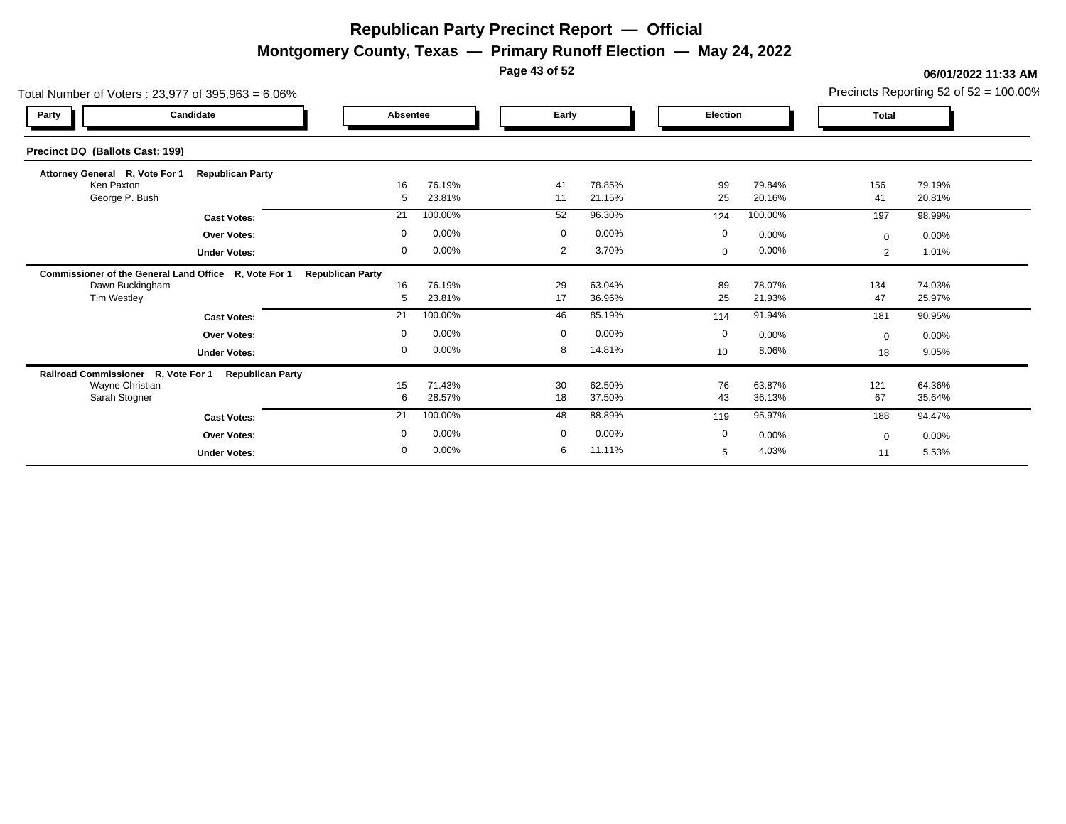**Montgomery County, Texas — Primary Runoff Election — May 24, 2022**

**Page 43 of 52**

|                                                       | Total Number of Voters: 23,977 of 395,963 = 6.06% |                         |                  |                |                  |              |                  |                |                  |  |  |  |  |
|-------------------------------------------------------|---------------------------------------------------|-------------------------|------------------|----------------|------------------|--------------|------------------|----------------|------------------|--|--|--|--|
| Party                                                 | Candidate                                         |                         | Absentee         |                | Early            |              | <b>Election</b>  |                | <b>Total</b>     |  |  |  |  |
| Precinct DQ (Ballots Cast: 199)                       |                                                   |                         |                  |                |                  |              |                  |                |                  |  |  |  |  |
| Attorney General R, Vote For 1                        | <b>Republican Party</b>                           |                         |                  |                |                  |              |                  |                |                  |  |  |  |  |
| Ken Paxton<br>George P. Bush                          |                                                   | 16<br>5                 | 76.19%<br>23.81% | 41<br>11       | 78.85%<br>21.15% | 99<br>25     | 79.84%<br>20.16% | 156<br>41      | 79.19%<br>20.81% |  |  |  |  |
|                                                       | <b>Cast Votes:</b>                                | 21                      | 100.00%          | 52             | 96.30%           | 124          | 100.00%          | 197            | 98.99%           |  |  |  |  |
|                                                       | <b>Over Votes:</b>                                | $\mathbf 0$             | 0.00%            | $\mathbf 0$    | 0.00%            | $\mathbf 0$  | 0.00%            | $\Omega$       | 0.00%            |  |  |  |  |
|                                                       | <b>Under Votes:</b>                               | 0                       | 0.00%            | 2              | 3.70%            | $\mathbf{0}$ | 0.00%            | $\overline{2}$ | 1.01%            |  |  |  |  |
| Commissioner of the General Land Office R, Vote For 1 |                                                   | <b>Republican Party</b> |                  |                |                  |              |                  |                |                  |  |  |  |  |
| Dawn Buckingham                                       |                                                   | 16                      | 76.19%           | 29             | 63.04%           | 89           | 78.07%           | 134            | 74.03%           |  |  |  |  |
| Tim Westley                                           |                                                   | 5                       | 23.81%           | 17             | 36.96%           | 25           | 21.93%           | 47             | 25.97%           |  |  |  |  |
|                                                       | <b>Cast Votes:</b>                                | 21                      | 100.00%          | 46             | 85.19%           | 114          | 91.94%           | 181            | 90.95%           |  |  |  |  |
|                                                       | <b>Over Votes:</b>                                | $\mathbf 0$             | 0.00%            | $\overline{0}$ | 0.00%            | $\mathbf 0$  | 0.00%            | $\Omega$       | $0.00\%$         |  |  |  |  |
|                                                       | <b>Under Votes:</b>                               | 0                       | 0.00%            | 8              | 14.81%           | 10           | 8.06%            | 18             | 9.05%            |  |  |  |  |
| Railroad Commissioner R, Vote For 1                   | <b>Republican Party</b>                           |                         |                  |                |                  |              |                  |                |                  |  |  |  |  |
| Wayne Christian<br>Sarah Stogner                      |                                                   | 15<br>6                 | 71.43%<br>28.57% | 30<br>18       | 62.50%<br>37.50% | 76<br>43     | 63.87%<br>36.13% | 121<br>67      | 64.36%<br>35.64% |  |  |  |  |
|                                                       |                                                   | 21                      | 100.00%          | 48             | 88.89%           | 119          | 95.97%           | 188            | 94.47%           |  |  |  |  |
|                                                       | <b>Cast Votes:</b>                                | $\mathbf 0$             | 0.00%            | $\mathbf 0$    | 0.00%            | $\mathbf 0$  |                  |                |                  |  |  |  |  |
|                                                       | <b>Over Votes:</b>                                | $\mathbf 0$             | 0.00%            | 6              | 11.11%           |              | 0.00%            | $\Omega$       | 0.00%            |  |  |  |  |
|                                                       | <b>Under Votes:</b>                               |                         |                  |                |                  | 5            | 4.03%            | 11             | 5.53%            |  |  |  |  |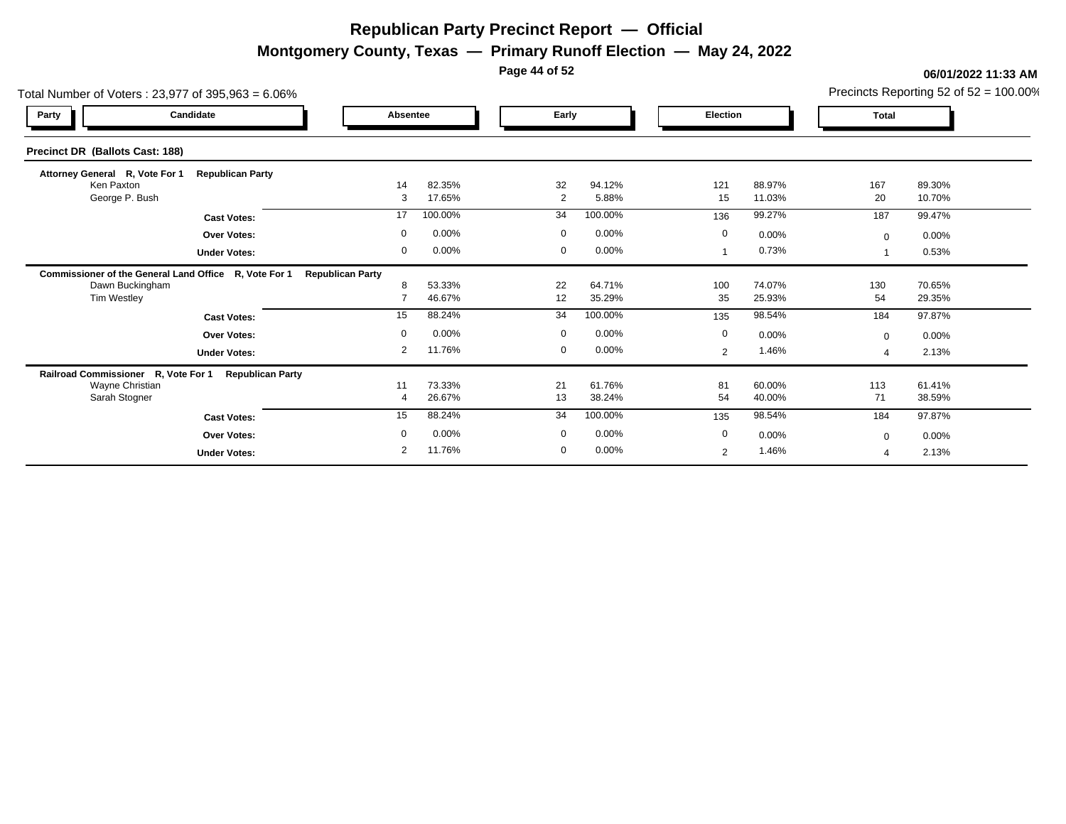**Montgomery County, Texas — Primary Runoff Election — May 24, 2022**

**Page 44 of 52**

| Total Number of Voters: 23,977 of 395,963 = 6.06%     |                         |                         | Precincts Reporting 52 of $52 = 100.00\%$ |                      |                  |             |                  |              |                  |
|-------------------------------------------------------|-------------------------|-------------------------|-------------------------------------------|----------------------|------------------|-------------|------------------|--------------|------------------|
| Party                                                 | Candidate               | Absentee                |                                           | Early                |                  | Election    |                  | <b>Total</b> |                  |
| Precinct DR (Ballots Cast: 188)                       |                         |                         |                                           |                      |                  |             |                  |              |                  |
| Attorney General R, Vote For 1                        | <b>Republican Party</b> |                         |                                           |                      |                  |             |                  |              |                  |
| Ken Paxton<br>George P. Bush                          |                         | 14<br>3                 | 82.35%<br>17.65%                          | 32<br>$\overline{2}$ | 94.12%<br>5.88%  | 121<br>15   | 88.97%<br>11.03% | 167<br>20    | 89.30%<br>10.70% |
|                                                       | <b>Cast Votes:</b>      | 17                      | 100.00%                                   | 34                   | 100.00%          | 136         | 99.27%           | 187          | 99.47%           |
|                                                       | <b>Over Votes:</b>      | $\mathbf 0$             | 0.00%                                     | $\mathbf 0$          | 0.00%            | $\mathbf 0$ | 0.00%            | $\Omega$     | 0.00%            |
|                                                       | <b>Under Votes:</b>     | 0                       | 0.00%                                     | 0                    | 0.00%            |             | 0.73%            |              | 0.53%            |
| Commissioner of the General Land Office R, Vote For 1 |                         | <b>Republican Party</b> |                                           |                      |                  |             |                  |              |                  |
| Dawn Buckingham                                       |                         |                         | 53.33%                                    | 22                   | 64.71%           | 100         | 74.07%           | 130          | 70.65%           |
| Tim Westley                                           |                         |                         | 46.67%                                    | 12                   | 35.29%           | 35          | 25.93%           | 54           | 29.35%           |
|                                                       | <b>Cast Votes:</b>      | 15                      | 88.24%                                    | 34                   | 100.00%          | 135         | 98.54%           | 184          | 97.87%           |
|                                                       | <b>Over Votes:</b>      | $\mathbf 0$             | 0.00%                                     | $\overline{0}$       | 0.00%            | $\mathbf 0$ | 0.00%            | $\Omega$     | 0.00%            |
|                                                       | <b>Under Votes:</b>     | $\overline{2}$          | 11.76%                                    | $\mathbf 0$          | 0.00%            | 2           | 1.46%            |              | 2.13%            |
| Railroad Commissioner R, Vote For 1                   | <b>Republican Party</b> |                         |                                           |                      |                  |             |                  |              |                  |
| Wayne Christian<br>Sarah Stogner                      |                         | 11<br>4                 | 73.33%<br>26.67%                          | 21<br>13             | 61.76%<br>38.24% | 81<br>54    | 60.00%<br>40.00% | 113<br>71    | 61.41%<br>38.59% |
|                                                       |                         | 15                      | 88.24%                                    | 34                   | 100.00%          |             | 98.54%           |              | 97.87%           |
|                                                       | <b>Cast Votes:</b>      |                         |                                           |                      |                  | 135         |                  | 184          |                  |
|                                                       | <b>Over Votes:</b>      | $\Omega$                | 0.00%                                     | $\mathbf 0$          | 0.00%            | $\mathbf 0$ | 0.00%            | $\Omega$     | 0.00%            |
|                                                       | <b>Under Votes:</b>     | $\overline{2}$          | 11.76%                                    | $\mathbf 0$          | 0.00%            | 2           | 1.46%            |              | 2.13%            |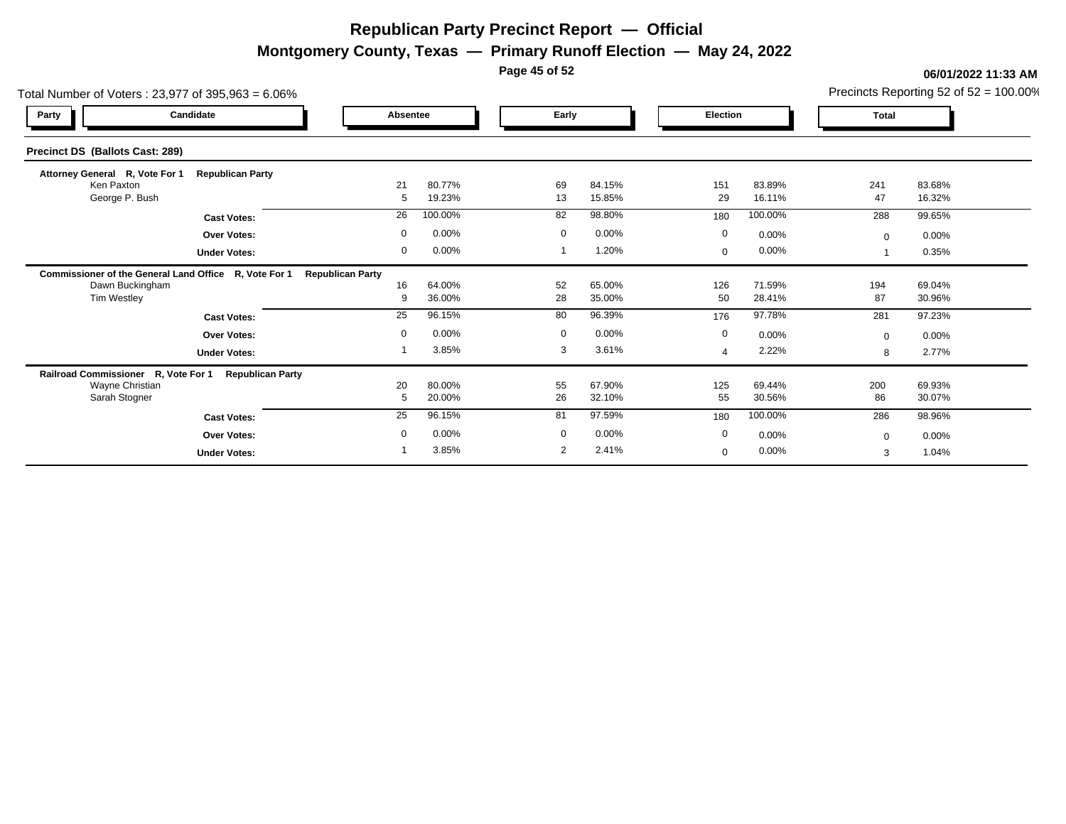**Montgomery County, Texas — Primary Runoff Election — May 24, 2022**

**Page 45 of 52**

|                                     | Total Number of Voters: 23,977 of 395,963 = 6.06%     |                         |                  |             |                  |                |                  |              |                  |  |  |  |  |
|-------------------------------------|-------------------------------------------------------|-------------------------|------------------|-------------|------------------|----------------|------------------|--------------|------------------|--|--|--|--|
| Party                               | Candidate                                             | Absentee                |                  |             | Early            |                | Election         |              |                  |  |  |  |  |
| Precinct DS (Ballots Cast: 289)     |                                                       |                         |                  |             |                  |                |                  |              |                  |  |  |  |  |
| Attorney General R, Vote For 1      | <b>Republican Party</b>                               |                         |                  |             |                  |                |                  |              |                  |  |  |  |  |
| Ken Paxton<br>George P. Bush        |                                                       | 21<br>5                 | 80.77%<br>19.23% | 69<br>13    | 84.15%<br>15.85% | 151<br>29      | 83.89%<br>16.11% | 241<br>47    | 83.68%<br>16.32% |  |  |  |  |
|                                     | <b>Cast Votes:</b>                                    | 26                      | 100.00%          | 82          | 98.80%           | 180            | 100.00%          | 288          | 99.65%           |  |  |  |  |
|                                     | <b>Over Votes:</b>                                    | $\mathbf 0$             | 0.00%            | $\mathbf 0$ | 0.00%            | $\mathbf 0$    | 0.00%            | $\mathbf{0}$ | $0.00\%$         |  |  |  |  |
|                                     | <b>Under Votes:</b>                                   | 0                       | 0.00%            |             | 1.20%            | $\mathbf{0}$   | 0.00%            |              | 0.35%            |  |  |  |  |
|                                     | Commissioner of the General Land Office R, Vote For 1 | <b>Republican Party</b> |                  |             |                  |                |                  |              |                  |  |  |  |  |
| Dawn Buckingham                     |                                                       | 16                      | 64.00%           | 52          | 65.00%           | 126            | 71.59%           | 194          | 69.04%           |  |  |  |  |
| Tim Westley                         |                                                       | -9                      | 36.00%           | 28          | 35.00%           | 50             | 28.41%           | 87           | 30.96%           |  |  |  |  |
|                                     | <b>Cast Votes:</b>                                    | 25                      | 96.15%           | 80          | 96.39%           | 176            | 97.78%           | 281          | 97.23%           |  |  |  |  |
|                                     | <b>Over Votes:</b>                                    | $\mathbf 0$             | 0.00%            | $\mathbf 0$ | 0.00%            | $\mathbf 0$    | 0.00%            | $\Omega$     | $0.00\%$         |  |  |  |  |
|                                     | <b>Under Votes:</b>                                   |                         | 3.85%            | 3           | 3.61%            | $\overline{a}$ | 2.22%            | 8            | 2.77%            |  |  |  |  |
| Railroad Commissioner R, Vote For 1 | <b>Republican Party</b>                               |                         |                  |             |                  |                |                  |              |                  |  |  |  |  |
| Wayne Christian<br>Sarah Stogner    |                                                       | 20<br>5                 | 80.00%<br>20.00% | 55<br>26    | 67.90%<br>32.10% | 125<br>55      | 69.44%<br>30.56% | 200<br>86    | 69.93%<br>30.07% |  |  |  |  |
|                                     | <b>Cast Votes:</b>                                    | 25                      | 96.15%           | 81          | 97.59%           | 180            | 100.00%          | 286          | 98.96%           |  |  |  |  |
|                                     | <b>Over Votes:</b>                                    | $\mathbf 0$             | 0.00%            | $\mathbf 0$ | 0.00%            | $\mathbf 0$    | 0.00%            | $\Omega$     | 0.00%            |  |  |  |  |
|                                     | <b>Under Votes:</b>                                   |                         | 3.85%            | 2           | 2.41%            | $\mathbf{0}$   | 0.00%            | 3            | 1.04%            |  |  |  |  |
|                                     |                                                       |                         |                  |             |                  |                |                  |              |                  |  |  |  |  |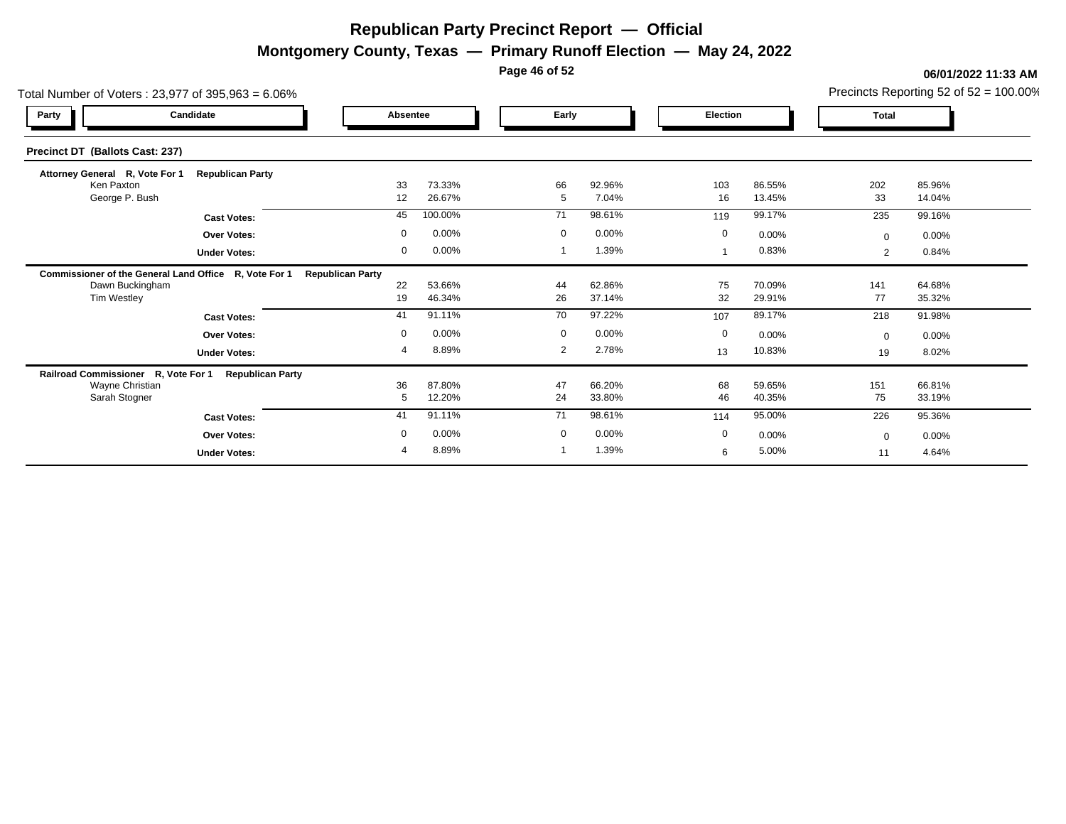**Montgomery County, Texas — Primary Runoff Election — May 24, 2022**

**Page 46 of 52**

| Total Number of Voters: 23,977 of 395,963 = 6.06%     |                         |                         | Precincts Reporting 52 of $52 = 100.00\%$ |             |                  |           |                  |              |                  |  |
|-------------------------------------------------------|-------------------------|-------------------------|-------------------------------------------|-------------|------------------|-----------|------------------|--------------|------------------|--|
| Party                                                 | Candidate               |                         | Absentee                                  |             | Early            |           | Election         |              | <b>Total</b>     |  |
| Precinct DT (Ballots Cast: 237)                       |                         |                         |                                           |             |                  |           |                  |              |                  |  |
| Attorney General R, Vote For 1                        | <b>Republican Party</b> |                         |                                           |             |                  |           |                  |              |                  |  |
| Ken Paxton<br>George P. Bush                          |                         | 33<br>12                | 73.33%<br>26.67%                          | 66<br>5     | 92.96%<br>7.04%  | 103<br>16 | 86.55%<br>13.45% | 202<br>33    | 85.96%<br>14.04% |  |
|                                                       | <b>Cast Votes:</b>      | 45                      | 100.00%                                   | 71          | 98.61%           | 119       | 99.17%           | 235          | 99.16%           |  |
|                                                       | <b>Over Votes:</b>      | $\mathbf 0$             | 0.00%                                     | $\mathbf 0$ | 0.00%            | 0         | 0.00%            | $\mathbf{0}$ | 0.00%            |  |
|                                                       | <b>Under Votes:</b>     | 0                       | 0.00%                                     |             | 1.39%            |           | 0.83%            | 2            | 0.84%            |  |
| Commissioner of the General Land Office R, Vote For 1 |                         | <b>Republican Party</b> |                                           |             |                  |           |                  |              |                  |  |
| Dawn Buckingham                                       |                         | 22                      | 53.66%                                    | 44          | 62.86%           | 75        | 70.09%           | 141          | 64.68%           |  |
| <b>Tim Westley</b>                                    |                         | 19                      | 46.34%                                    | 26          | 37.14%           | 32        | 29.91%           | 77           | 35.32%           |  |
|                                                       | <b>Cast Votes:</b>      | 41                      | 91.11%                                    | 70          | 97.22%           | 107       | 89.17%           | 218          | 91.98%           |  |
|                                                       | <b>Over Votes:</b>      | $\mathbf 0$             | 0.00%                                     | $\mathbf 0$ | 0.00%            | 0         | 0.00%            | $\mathbf{0}$ | 0.00%            |  |
|                                                       | <b>Under Votes:</b>     | 4                       | 8.89%                                     | 2           | 2.78%            | 13        | 10.83%           | 19           | 8.02%            |  |
| Railroad Commissioner R, Vote For 1                   | <b>Republican Party</b> |                         |                                           |             |                  |           |                  |              |                  |  |
| Wayne Christian<br>Sarah Stogner                      |                         | 36<br>5                 | 87.80%<br>12.20%                          | 47<br>24    | 66.20%<br>33.80% | 68<br>46  | 59.65%<br>40.35% | 151<br>75    | 66.81%<br>33.19% |  |
|                                                       |                         | 41                      | 91.11%                                    | 71          | 98.61%           |           | 95.00%           |              | 95.36%           |  |
|                                                       | <b>Cast Votes:</b>      |                         |                                           |             |                  | 114       |                  | 226          |                  |  |
|                                                       | <b>Over Votes:</b>      | $\mathbf 0$             | 0.00%                                     | $\mathbf 0$ | 0.00%            | 0         | 0.00%            | $\mathbf{0}$ | 0.00%            |  |
|                                                       | <b>Under Votes:</b>     | 4                       | 8.89%                                     |             | 1.39%            | 6         | 5.00%            | 11           | 4.64%            |  |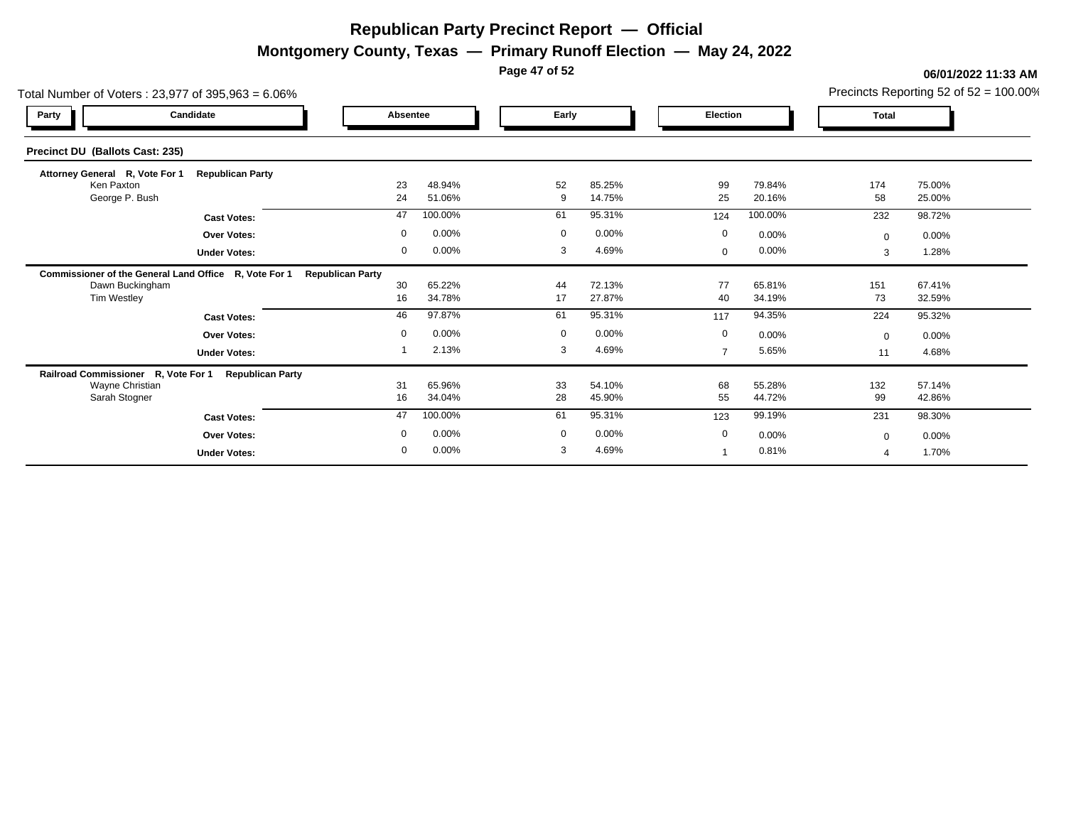**Montgomery County, Texas — Primary Runoff Election — May 24, 2022**

**Page 47 of 52**

| Total Number of Voters: 23,977 of 395,963 = 6.06%     |                         |             | Precincts Reporting 52 of $52 = 100.00\%$ |             |                  |       |                |                  |              |                  |  |  |
|-------------------------------------------------------|-------------------------|-------------|-------------------------------------------|-------------|------------------|-------|----------------|------------------|--------------|------------------|--|--|
| Candidate<br>Party                                    |                         | Absentee    |                                           |             | Early            |       | Election       |                  | <b>Total</b> |                  |  |  |
| Precinct DU (Ballots Cast: 235)                       |                         |             |                                           |             |                  |       |                |                  |              |                  |  |  |
| Attorney General R, Vote For 1                        | <b>Republican Party</b> |             |                                           |             |                  |       |                |                  |              |                  |  |  |
| Ken Paxton<br>George P. Bush                          |                         | 23<br>24    | 48.94%<br>51.06%                          | 52<br>9     | 85.25%<br>14.75% |       | 99<br>25       | 79.84%<br>20.16% | 174<br>58    | 75.00%<br>25.00% |  |  |
|                                                       | <b>Cast Votes:</b>      | 47          | 100.00%                                   | 61          | 95.31%           |       | 124            | 100.00%          | 232          | 98.72%           |  |  |
|                                                       | <b>Over Votes:</b>      | $\mathbf 0$ | 0.00%                                     | $\mathbf 0$ |                  | 0.00% | $\mathbf 0$    | 0.00%            | $\Omega$     | 0.00%            |  |  |
|                                                       | <b>Under Votes:</b>     | 0           | 0.00%                                     | 3           |                  | 4.69% | $\mathbf{0}$   | 0.00%            | 3            | 1.28%            |  |  |
| Commissioner of the General Land Office R, Vote For 1 | <b>Republican Party</b> |             |                                           |             |                  |       |                |                  |              |                  |  |  |
| Dawn Buckingham                                       |                         | 30          | 65.22%                                    | 44          | 72.13%           |       | 77             | 65.81%           | 151          | 67.41%           |  |  |
| Tim Westley                                           |                         | 16          | 34.78%                                    | 17          | 27.87%           |       | 40             | 34.19%           | 73           | 32.59%           |  |  |
|                                                       | <b>Cast Votes:</b>      | 46          | 97.87%                                    | 61          | 95.31%           |       | 117            | 94.35%           | 224          | 95.32%           |  |  |
|                                                       | <b>Over Votes:</b>      | $\mathbf 0$ | 0.00%                                     | $\mathbf 0$ |                  | 0.00% | $\mathbf 0$    | 0.00%            | $\Omega$     | 0.00%            |  |  |
|                                                       | <b>Under Votes:</b>     |             | 2.13%                                     |             | 3                | 4.69% | $\overline{7}$ | 5.65%            | 11           | 4.68%            |  |  |
| Railroad Commissioner R, Vote For 1                   | <b>Republican Party</b> |             |                                           |             |                  |       |                |                  |              |                  |  |  |
| Wayne Christian<br>Sarah Stogner                      |                         | 31<br>16    | 65.96%<br>34.04%                          | 33<br>28    | 54.10%<br>45.90% |       | 68<br>55       | 55.28%<br>44.72% | 132<br>99    | 57.14%<br>42.86% |  |  |
|                                                       |                         | 47          | 100.00%                                   | 61          | 95.31%           |       | 123            | 99.19%           | 231          | 98.30%           |  |  |
|                                                       | <b>Cast Votes:</b>      |             |                                           |             |                  |       |                |                  |              |                  |  |  |
|                                                       | <b>Over Votes:</b>      | $\mathbf 0$ | 0.00%                                     | $\mathbf 0$ |                  | 0.00% | $\mathbf 0$    | 0.00%            | $\Omega$     | 0.00%            |  |  |
|                                                       | <b>Under Votes:</b>     | $\mathbf 0$ | 0.00%                                     | 3           |                  | 4.69% |                | 0.81%            |              | 1.70%            |  |  |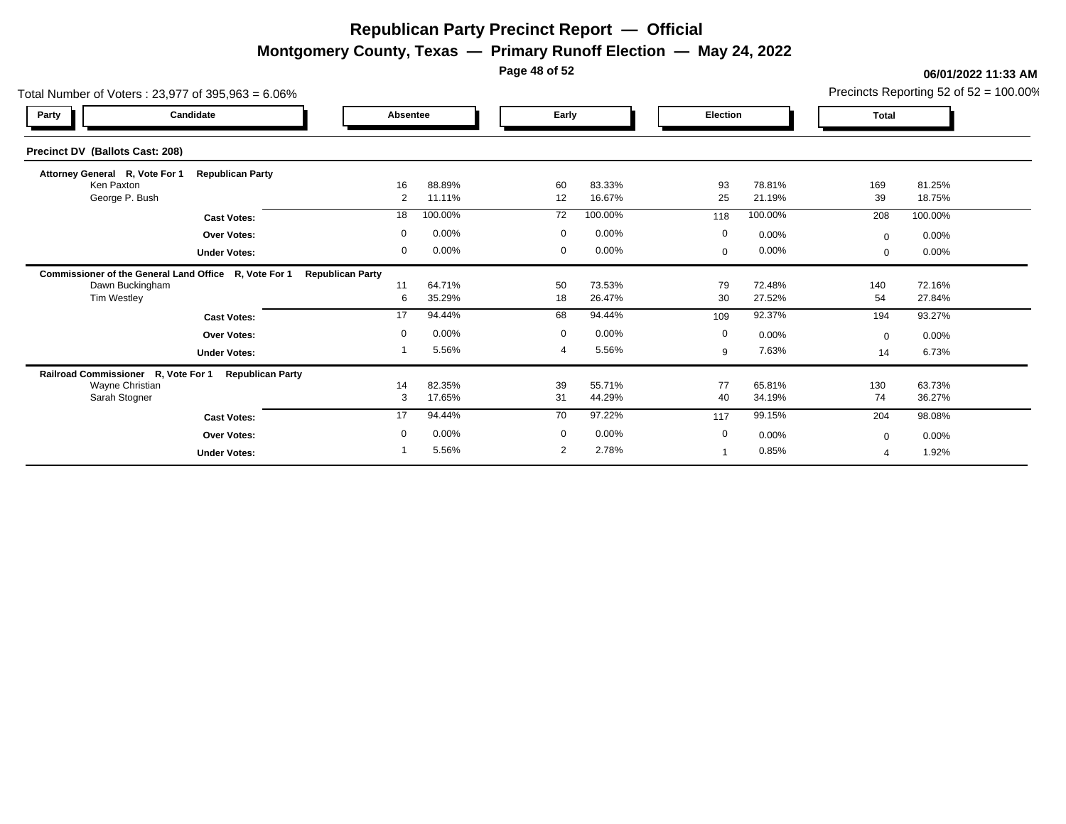**Montgomery County, Texas — Primary Runoff Election — May 24, 2022**

**Page 48 of 52**

| Total Number of Voters: 23,977 of 395,963 = 6.06%     |                         |                         |                  | Precincts Reporting 52 of $52 = 100.00\%$ |                  |             |                  |              |                  |
|-------------------------------------------------------|-------------------------|-------------------------|------------------|-------------------------------------------|------------------|-------------|------------------|--------------|------------------|
| Party                                                 | Candidate               | Absentee                |                  | Early                                     |                  | Election    |                  | <b>Total</b> |                  |
| Precinct DV (Ballots Cast: 208)                       |                         |                         |                  |                                           |                  |             |                  |              |                  |
| Attorney General R, Vote For 1                        | <b>Republican Party</b> |                         |                  |                                           |                  |             |                  |              |                  |
| Ken Paxton<br>George P. Bush                          |                         | 16<br>$\overline{2}$    | 88.89%<br>11.11% | 60<br>12                                  | 83.33%<br>16.67% | 93<br>25    | 78.81%<br>21.19% | 169<br>39    | 81.25%<br>18.75% |
|                                                       | <b>Cast Votes:</b>      | 18                      | 100.00%          | 72                                        | 100.00%          | 118         | 100.00%          | 208          | 100.00%          |
|                                                       | <b>Over Votes:</b>      | $\mathbf 0$             | 0.00%            | $\mathbf 0$                               | 0.00%            | $\mathbf 0$ | 0.00%            | $\mathbf{0}$ | 0.00%            |
|                                                       | <b>Under Votes:</b>     | $\mathbf{0}$            | 0.00%            | $\mathbf 0$                               | 0.00%            | 0           | 0.00%            | $\mathbf{0}$ | 0.00%            |
| Commissioner of the General Land Office R, Vote For 1 |                         | <b>Republican Party</b> |                  |                                           |                  |             |                  |              |                  |
| Dawn Buckingham                                       |                         | 11                      | 64.71%           | 50                                        | 73.53%           | 79          | 72.48%           | 140          | 72.16%           |
| Tim Westley                                           |                         | 6                       | 35.29%           | 18                                        | 26.47%           | 30          | 27.52%           | 54           | 27.84%           |
|                                                       | <b>Cast Votes:</b>      | 17                      | 94.44%           | 68                                        | 94.44%           | 109         | 92.37%           | 194          | 93.27%           |
|                                                       | <b>Over Votes:</b>      | $\mathbf 0$             | 0.00%            | $\mathbf 0$                               | 0.00%            | $\mathbf 0$ | 0.00%            | $\Omega$     | 0.00%            |
|                                                       | <b>Under Votes:</b>     |                         | 5.56%            |                                           | 5.56%            | 9           | 7.63%            | 14           | 6.73%            |
| Railroad Commissioner R, Vote For 1                   | <b>Republican Party</b> |                         |                  |                                           |                  |             |                  |              |                  |
| Wayne Christian<br>Sarah Stogner                      |                         | 14<br>3                 | 82.35%<br>17.65% | 39<br>31                                  | 55.71%<br>44.29% | 77<br>40    | 65.81%<br>34.19% | 130<br>74    | 63.73%<br>36.27% |
|                                                       |                         |                         | 94.44%           |                                           | 97.22%           |             | 99.15%           |              |                  |
|                                                       | <b>Cast Votes:</b>      | 17                      |                  | 70                                        |                  | 117         |                  | 204          | 98.08%           |
|                                                       | <b>Over Votes:</b>      | $\mathbf 0$             | 0.00%            | $\mathbf 0$                               | 0.00%            | 0           | 0.00%            | $\Omega$     | 0.00%            |
|                                                       | <b>Under Votes:</b>     |                         | 5.56%            | 2                                         | 2.78%            |             | 0.85%            |              | 1.92%            |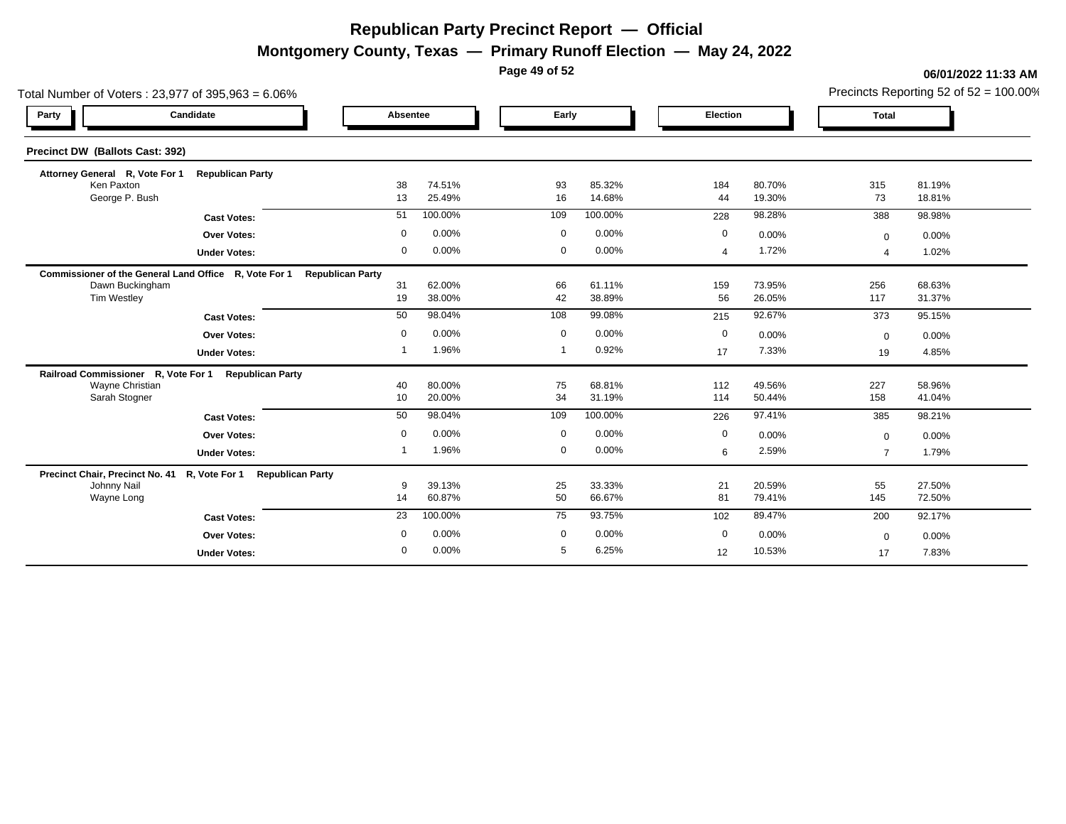**Montgomery County, Texas — Primary Runoff Election — May 24, 2022**

**Page 49 of 52**

#### **06/01/2022 11:33 AM**

Precincts Reporting 52 of 52 = 100.00%

| Total Number of Voters: 23,977 of 395,963 = 6.06%                       |                                |                         | Precincts Reporting 52 of $52 = 100.00\%$ |             |                  |                |                  |                          |                  |
|-------------------------------------------------------------------------|--------------------------------|-------------------------|-------------------------------------------|-------------|------------------|----------------|------------------|--------------------------|------------------|
| Party                                                                   | Candidate                      | Absentee                |                                           |             | Early            |                | Election         |                          |                  |
| Precinct DW (Ballots Cast: 392)                                         |                                |                         |                                           |             |                  |                |                  |                          |                  |
| Attorney General R, Vote For 1                                          | <b>Republican Party</b>        |                         |                                           |             |                  |                |                  |                          |                  |
| Ken Paxton<br>George P. Bush                                            |                                | 38<br>13                | 74.51%<br>25.49%                          | 93<br>16    | 85.32%<br>14.68% | 184<br>44      | 80.70%<br>19.30% | 315<br>73                | 81.19%<br>18.81% |
|                                                                         | <b>Cast Votes:</b>             | 51                      | 100.00%                                   | 109         | 100.00%          | 228            | 98.28%           | 388                      | 98.98%           |
|                                                                         |                                | $\mathbf 0$             | 0.00%                                     | $\mathbf 0$ | 0.00%            | $\mathbf 0$    | 0.00%            |                          |                  |
|                                                                         | <b>Over Votes:</b>             | 0                       | 0.00%                                     | $\mathbf 0$ | 0.00%            |                | 1.72%            | $\mathbf 0$              | 0.00%            |
|                                                                         | <b>Under Votes:</b>            |                         |                                           |             |                  | $\overline{4}$ |                  | $\overline{\mathcal{A}}$ | 1.02%            |
| Commissioner of the General Land Office R, Vote For 1                   |                                | <b>Republican Party</b> |                                           |             | 61.11%           | 159            | 73.95%           |                          | 68.63%           |
| Dawn Buckingham<br><b>Tim Westley</b>                                   |                                | 31<br>19                | 62.00%<br>38.00%                          | 66<br>42    | 38.89%           | 56             | 26.05%           | 256<br>117               | 31.37%           |
|                                                                         | <b>Cast Votes:</b>             | 50                      | 98.04%                                    | 108         | 99.08%           | 215            | 92.67%           | 373                      | 95.15%           |
|                                                                         | <b>Over Votes:</b>             | 0                       | 0.00%                                     | 0           | 0.00%            | $\mathbf 0$    | 0.00%            |                          | 0.00%            |
|                                                                         |                                | 1                       | 1.96%                                     | $\mathbf 1$ | 0.92%            | 17             | 7.33%            | $\mathbf 0$              | 4.85%            |
|                                                                         | <b>Under Votes:</b>            |                         |                                           |             |                  |                |                  | 19                       |                  |
| Railroad Commissioner R, Vote For 1 Republican Party<br>Wayne Christian |                                | 40                      | 80.00%                                    | 75          | 68.81%           | 112            | 49.56%           | 227                      | 58.96%           |
| Sarah Stogner                                                           |                                | 10                      | 20.00%                                    | 34          | 31.19%           | 114            | 50.44%           | 158                      | 41.04%           |
|                                                                         | <b>Cast Votes:</b>             | 50                      | 98.04%                                    | 109         | 100.00%          | 226            | 97.41%           | 385                      | 98.21%           |
|                                                                         | <b>Over Votes:</b>             | $\mathbf 0$             | 0.00%                                     | $\mathbf 0$ | 0.00%            | $\mathbf 0$    | 0.00%            | $\mathbf 0$              | 0.00%            |
|                                                                         | <b>Under Votes:</b>            |                         | 1.96%                                     | $\mathbf 0$ | 0.00%            | 6              | 2.59%            | $\overline{7}$           | 1.79%            |
|                                                                         |                                |                         |                                           |             |                  |                |                  |                          |                  |
| Precinct Chair, Precinct No. 41<br>Johnny Nail                          | R, Vote For 1 Republican Party | 9                       | 39.13%                                    | 25          | 33.33%           | 21             | 20.59%           | 55                       | 27.50%           |
| Wayne Long                                                              |                                | 14                      | 60.87%                                    | 50          | 66.67%           | 81             | 79.41%           | 145                      | 72.50%           |
|                                                                         | <b>Cast Votes:</b>             | 23                      | 100.00%                                   | 75          | 93.75%           | 102            | 89.47%           | 200                      | 92.17%           |
|                                                                         | Over Votes:                    | $\mathbf 0$             | 0.00%                                     | $\mathbf 0$ | 0.00%            | $\mathbf 0$    | 0.00%            | $\mathbf 0$              | 0.00%            |
|                                                                         | <b>Under Votes:</b>            | 0                       | 0.00%                                     | 5           | 6.25%            | 12             | 10.53%           | 17                       | 7.83%            |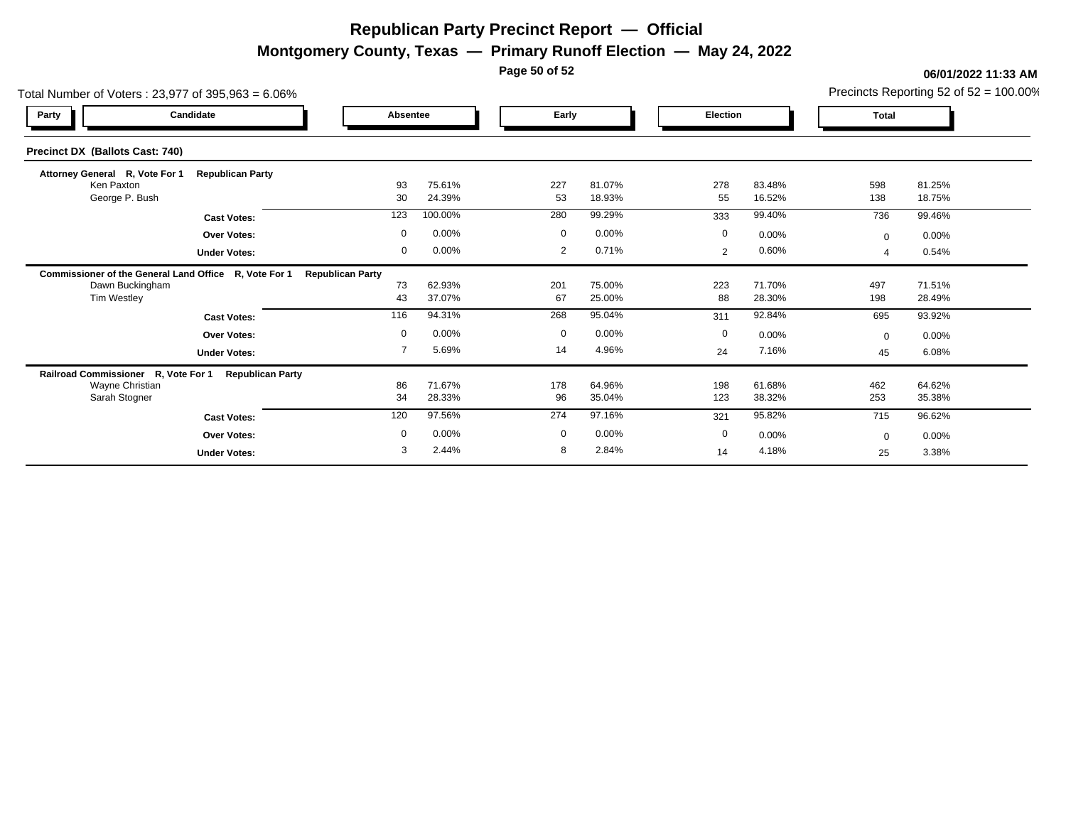**Montgomery County, Texas — Primary Runoff Election — May 24, 2022**

**Page 50 of 52**

| Total Number of Voters: 23,977 of 395,963 = 6.06%     |                         |                                      | Precincts Reporting 52 of $52 = 100.00\%$ |             |                  |                |                  |              |                  |
|-------------------------------------------------------|-------------------------|--------------------------------------|-------------------------------------------|-------------|------------------|----------------|------------------|--------------|------------------|
| Party                                                 | Candidate               | Early<br><b>Election</b><br>Absentee |                                           |             | <b>Total</b>     |                |                  |              |                  |
| <b>Precinct DX (Ballots Cast: 740)</b>                |                         |                                      |                                           |             |                  |                |                  |              |                  |
| Attorney General R, Vote For 1                        | <b>Republican Party</b> |                                      |                                           |             |                  |                |                  |              |                  |
| Ken Paxton<br>George P. Bush                          |                         | 93<br>30                             | 75.61%<br>24.39%                          | 227<br>53   | 81.07%<br>18.93% | 278<br>55      | 83.48%<br>16.52% | 598<br>138   | 81.25%<br>18.75% |
|                                                       | <b>Cast Votes:</b>      | 123                                  | 100.00%                                   | 280         | 99.29%           | 333            | 99.40%           | 736          | 99.46%           |
|                                                       | <b>Over Votes:</b>      | $\mathbf 0$                          | 0.00%                                     | $\mathbf 0$ | 0.00%            | $\mathbf 0$    | 0.00%            | $\mathbf{0}$ | 0.00%            |
|                                                       | <b>Under Votes:</b>     | 0                                    | 0.00%                                     | 2           | 0.71%            | $\overline{2}$ | 0.60%            |              | 0.54%            |
| Commissioner of the General Land Office R, Vote For 1 |                         | <b>Republican Party</b>              |                                           |             |                  |                |                  |              |                  |
| Dawn Buckingham                                       |                         | 73                                   | 62.93%                                    | 201         | 75.00%           | 223            | 71.70%           | 497          | 71.51%           |
| Tim Westley                                           |                         | 43                                   | 37.07%                                    | 67          | 25.00%           | 88             | 28.30%           | 198          | 28.49%           |
|                                                       | <b>Cast Votes:</b>      | 116                                  | 94.31%                                    | 268         | 95.04%           | 311            | 92.84%           | 695          | 93.92%           |
|                                                       | <b>Over Votes:</b>      | $\mathbf 0$                          | 0.00%                                     | $\mathbf 0$ | 0.00%            | $\mathbf 0$    | 0.00%            | $\Omega$     | $0.00\%$         |
|                                                       | <b>Under Votes:</b>     | $\overline{7}$                       | 5.69%                                     | 14          | 4.96%            | 24             | 7.16%            | 45           | 6.08%            |
| Railroad Commissioner R, Vote For 1                   | <b>Republican Party</b> |                                      |                                           |             |                  |                |                  |              |                  |
| Wayne Christian<br>Sarah Stogner                      |                         | 86<br>34                             | 71.67%<br>28.33%                          | 178<br>96   | 64.96%<br>35.04% | 198<br>123     | 61.68%<br>38.32% | 462<br>253   | 64.62%<br>35.38% |
|                                                       | <b>Cast Votes:</b>      | 120                                  | 97.56%                                    | 274         | 97.16%           | 321            | 95.82%           | 715          | 96.62%           |
|                                                       |                         | $\mathbf 0$                          | 0.00%                                     | $\mathbf 0$ | 0.00%            | $\mathbf 0$    |                  |              |                  |
|                                                       | <b>Over Votes:</b>      | 3                                    | 2.44%                                     | 8           | 2.84%            |                | 0.00%<br>4.18%   | $\Omega$     | 0.00%            |
|                                                       | <b>Under Votes:</b>     |                                      |                                           |             |                  | 14             |                  | 25           | 3.38%            |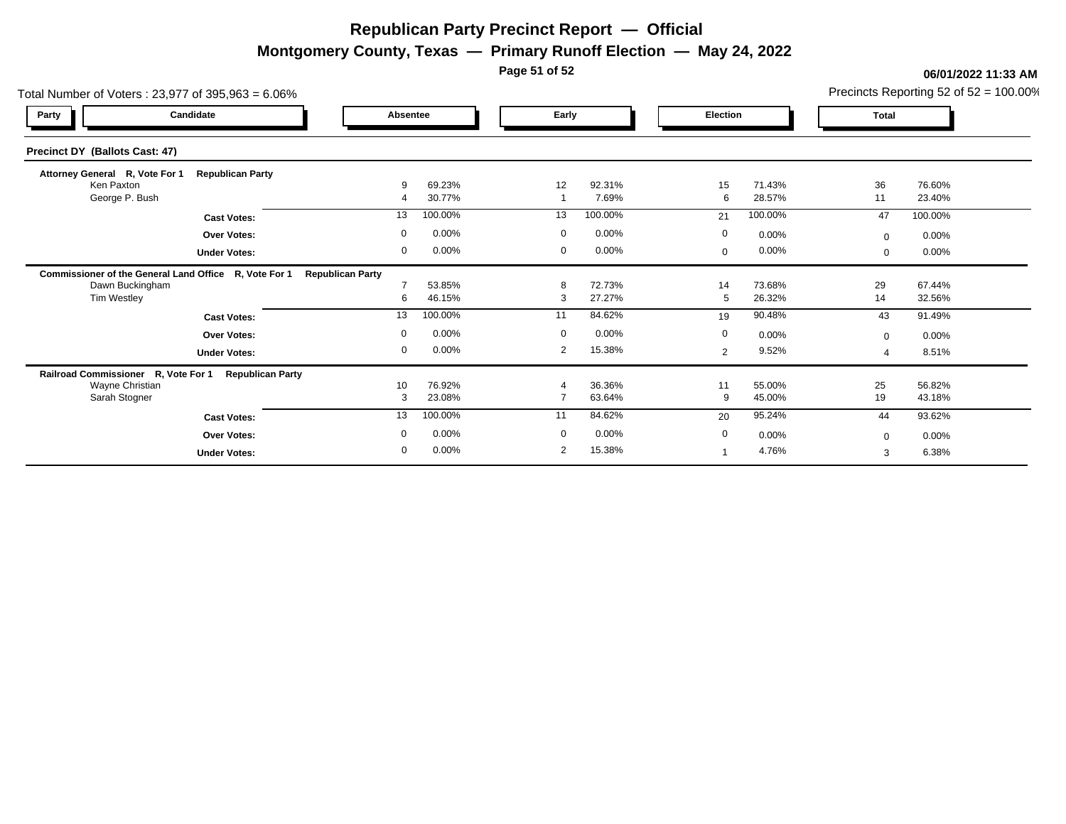**Montgomery County, Texas — Primary Runoff Election — May 24, 2022**

**Page 51 of 52**

| Total Number of Voters: 23,977 of 395,963 = 6.06%     |                         |                         |         |             |         |  |             |         |                | Precincts Reporting 52 of 52 = 100.00% |
|-------------------------------------------------------|-------------------------|-------------------------|---------|-------------|---------|--|-------------|---------|----------------|----------------------------------------|
| Party                                                 | Candidate               | <b>Absentee</b>         |         |             | Early   |  | Election    |         | <b>Total</b>   |                                        |
| Precinct DY (Ballots Cast: 47)                        |                         |                         |         |             |         |  |             |         |                |                                        |
| Attorney General R, Vote For 1                        | <b>Republican Party</b> |                         |         |             |         |  |             |         |                |                                        |
| Ken Paxton                                            |                         | -9                      | 69.23%  | 12          | 92.31%  |  | 15          | 71.43%  | 36             | 76.60%                                 |
| George P. Bush                                        |                         |                         | 30.77%  |             | 7.69%   |  | 6           | 28.57%  | 11             | 23.40%                                 |
|                                                       | <b>Cast Votes:</b>      | 13                      | 100.00% | 13          | 100.00% |  | 21          | 100.00% | 47             | 100.00%                                |
|                                                       | Over Votes:             | $\Omega$                | 0.00%   | $\Omega$    | 0.00%   |  | $\mathbf 0$ | 0.00%   | $\mathbf 0$    | 0.00%                                  |
|                                                       | <b>Under Votes:</b>     | $\overline{0}$          | 0.00%   | $\mathbf 0$ | 0.00%   |  | $\mathbf 0$ | 0.00%   | $\Omega$       | 0.00%                                  |
| Commissioner of the General Land Office R, Vote For 1 |                         | <b>Republican Party</b> |         |             |         |  |             |         |                |                                        |
| Dawn Buckingham                                       |                         |                         | 53.85%  | 8           | 72.73%  |  | 14          | 73.68%  | 29             | 67.44%                                 |
| Tim Westley                                           |                         | 6                       | 46.15%  | 3           | 27.27%  |  | 5           | 26.32%  | 14             | 32.56%                                 |
|                                                       | <b>Cast Votes:</b>      | 13                      | 100.00% | 11          | 84.62%  |  | 19          | 90.48%  | 43             | 91.49%                                 |
|                                                       | Over Votes:             | $\Omega$                | 0.00%   | $\mathbf 0$ | 0.00%   |  | $\mathbf 0$ | 0.00%   | $\mathbf 0$    | 0.00%                                  |
|                                                       | <b>Under Votes:</b>     | $\mathbf 0$             | 0.00%   | 2           | 15.38%  |  | 2           | 9.52%   | $\overline{4}$ | 8.51%                                  |
| Railroad Commissioner R, Vote For 1                   | <b>Republican Party</b> |                         |         |             |         |  |             |         |                |                                        |
| Wayne Christian                                       |                         | 10                      | 76.92%  |             | 36.36%  |  | 11          | 55.00%  | 25             | 56.82%                                 |
| Sarah Stogner                                         |                         | 3                       | 23.08%  |             | 63.64%  |  | $9\,$       | 45.00%  | 19             | 43.18%                                 |
|                                                       | <b>Cast Votes:</b>      | 13                      | 100.00% | 11          | 84.62%  |  | 20          | 95.24%  | 44             | 93.62%                                 |
|                                                       | <b>Over Votes:</b>      | $\Omega$                | 0.00%   | $\mathbf 0$ | 0.00%   |  | $\mathbf 0$ | 0.00%   | $\Omega$       | 0.00%                                  |
|                                                       | <b>Under Votes:</b>     | $\overline{0}$          | 0.00%   | 2           | 15.38%  |  |             | 4.76%   | 3              | 6.38%                                  |
|                                                       |                         |                         |         |             |         |  |             |         |                |                                        |